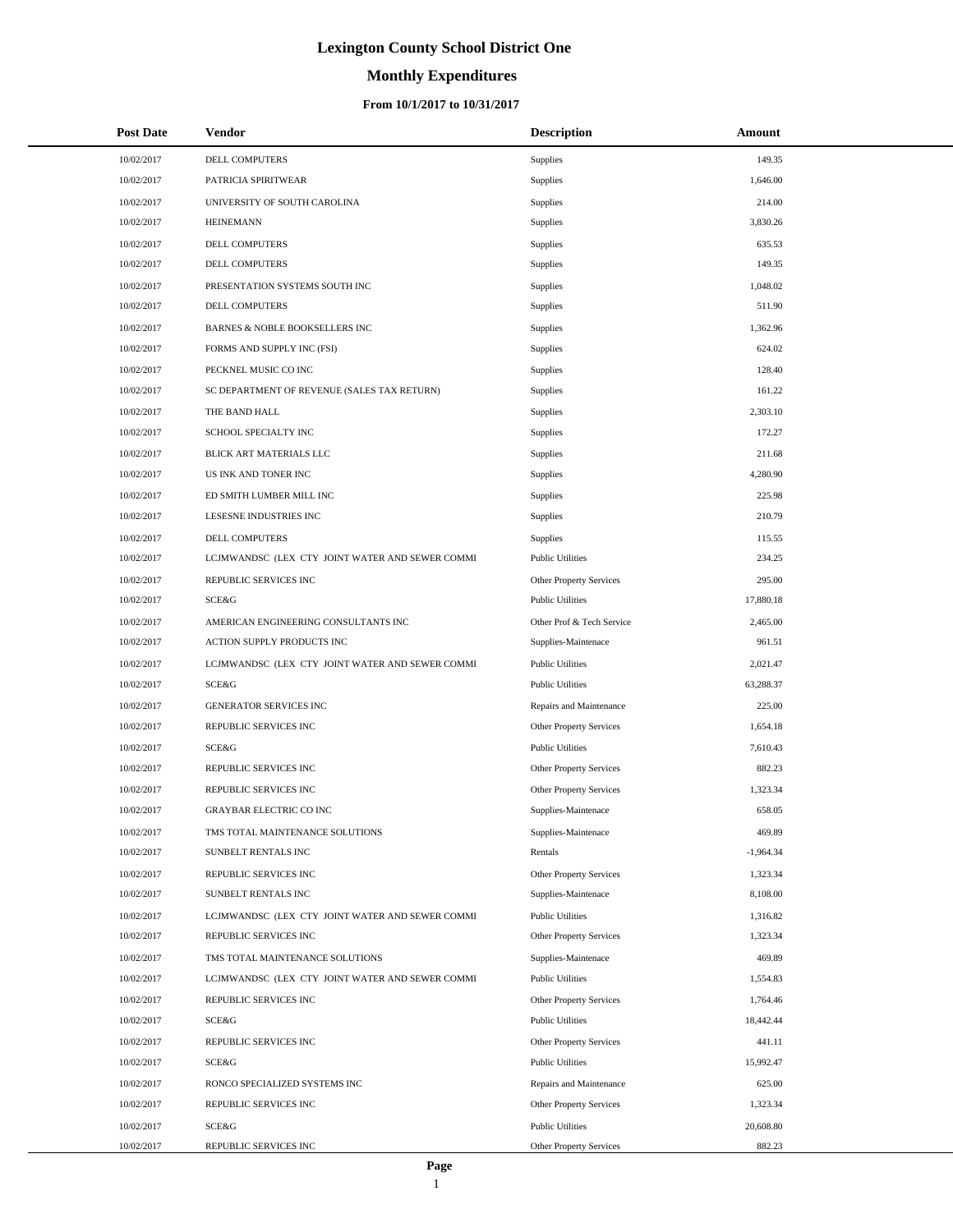# **Monthly Expenditures**

### **From 10/1/2017 to 10/31/2017**

| <b>Post Date</b> | Vendor                                          | <b>Description</b>        | Amount      |  |
|------------------|-------------------------------------------------|---------------------------|-------------|--|
| 10/02/2017       | DELL COMPUTERS                                  | Supplies                  | 149.35      |  |
| 10/02/2017       | PATRICIA SPIRITWEAR                             | Supplies                  | 1,646.00    |  |
| 10/02/2017       | UNIVERSITY OF SOUTH CAROLINA                    | Supplies                  | 214.00      |  |
| 10/02/2017       | <b>HEINEMANN</b>                                | Supplies                  | 3,830.26    |  |
| 10/02/2017       | DELL COMPUTERS                                  | Supplies                  | 635.53      |  |
| 10/02/2017       | DELL COMPUTERS                                  | Supplies                  | 149.35      |  |
| 10/02/2017       | PRESENTATION SYSTEMS SOUTH INC                  | Supplies                  | 1,048.02    |  |
| 10/02/2017       | DELL COMPUTERS                                  | Supplies                  | 511.90      |  |
| 10/02/2017       | BARNES & NOBLE BOOKSELLERS INC                  | Supplies                  | 1,362.96    |  |
| 10/02/2017       | FORMS AND SUPPLY INC (FSI)                      | Supplies                  | 624.02      |  |
| 10/02/2017       | PECKNEL MUSIC CO INC                            | <b>Supplies</b>           | 128.40      |  |
| 10/02/2017       | SC DEPARTMENT OF REVENUE (SALES TAX RETURN)     | Supplies                  | 161.22      |  |
| 10/02/2017       | THE BAND HALL                                   | Supplies                  | 2,303.10    |  |
| 10/02/2017       | SCHOOL SPECIALTY INC                            | Supplies                  | 172.27      |  |
| 10/02/2017       | BLICK ART MATERIALS LLC                         | Supplies                  | 211.68      |  |
| 10/02/2017       | US INK AND TONER INC                            | Supplies                  | 4,280.90    |  |
| 10/02/2017       | ED SMITH LUMBER MILL INC                        | Supplies                  | 225.98      |  |
| 10/02/2017       | LESESNE INDUSTRIES INC                          | Supplies                  | 210.79      |  |
| 10/02/2017       | <b>DELL COMPUTERS</b>                           | Supplies                  | 115.55      |  |
| 10/02/2017       | LCJMWANDSC (LEX CTY JOINT WATER AND SEWER COMMI | <b>Public Utilities</b>   | 234.25      |  |
| 10/02/2017       | REPUBLIC SERVICES INC                           | Other Property Services   | 295.00      |  |
| 10/02/2017       | SCE&G                                           | <b>Public Utilities</b>   | 17,880.18   |  |
| 10/02/2017       | AMERICAN ENGINEERING CONSULTANTS INC            | Other Prof & Tech Service | 2,465.00    |  |
| 10/02/2017       | ACTION SUPPLY PRODUCTS INC                      | Supplies-Maintenace       | 961.51      |  |
| 10/02/2017       | LCJMWANDSC (LEX CTY JOINT WATER AND SEWER COMMI | <b>Public Utilities</b>   | 2,021.47    |  |
| 10/02/2017       | SCE&G                                           | <b>Public Utilities</b>   | 63,288.37   |  |
| 10/02/2017       | <b>GENERATOR SERVICES INC</b>                   | Repairs and Maintenance   | 225.00      |  |
| 10/02/2017       | REPUBLIC SERVICES INC                           | Other Property Services   | 1,654.18    |  |
| 10/02/2017       | SCE&G                                           | <b>Public Utilities</b>   | 7,610.43    |  |
| 10/02/2017       | REPUBLIC SERVICES INC                           | Other Property Services   | 882.23      |  |
| 10/02/2017       | REPUBLIC SERVICES INC                           | Other Property Services   | 1,323.34    |  |
| 10/02/2017       | <b>GRAYBAR ELECTRIC CO INC</b>                  | Supplies-Maintenace       | 658.05      |  |
| 10/02/2017       | TMS TOTAL MAINTENANCE SOLUTIONS                 | Supplies-Maintenace       | 469.89      |  |
| 10/02/2017       | SUNBELT RENTALS INC                             | Rentals                   | $-1,964.34$ |  |
| 10/02/2017       | REPUBLIC SERVICES INC                           | Other Property Services   | 1,323.34    |  |
| 10/02/2017       | SUNBELT RENTALS INC                             | Supplies-Maintenace       | 8,108.00    |  |
| 10/02/2017       | LCJMWANDSC (LEX CTY JOINT WATER AND SEWER COMMI | <b>Public Utilities</b>   | 1,316.82    |  |
| 10/02/2017       | REPUBLIC SERVICES INC                           | Other Property Services   | 1,323.34    |  |
| 10/02/2017       | TMS TOTAL MAINTENANCE SOLUTIONS                 | Supplies-Maintenace       | 469.89      |  |
| 10/02/2017       | LCJMWANDSC (LEX CTY JOINT WATER AND SEWER COMMI | <b>Public Utilities</b>   | 1,554.83    |  |
| 10/02/2017       | REPUBLIC SERVICES INC                           | Other Property Services   | 1,764.46    |  |
| 10/02/2017       | SCE&G                                           | <b>Public Utilities</b>   | 18,442.44   |  |
| 10/02/2017       | REPUBLIC SERVICES INC                           | Other Property Services   | 441.11      |  |
| 10/02/2017       | SCE&G                                           | <b>Public Utilities</b>   | 15,992.47   |  |
| 10/02/2017       | RONCO SPECIALIZED SYSTEMS INC                   | Repairs and Maintenance   | 625.00      |  |
| 10/02/2017       | REPUBLIC SERVICES INC                           | Other Property Services   | 1,323.34    |  |
| 10/02/2017       | <b>SCE&amp;G</b>                                | <b>Public Utilities</b>   | 20,608.80   |  |
| 10/02/2017       | REPUBLIC SERVICES INC                           | Other Property Services   | 882.23      |  |

 $\overline{a}$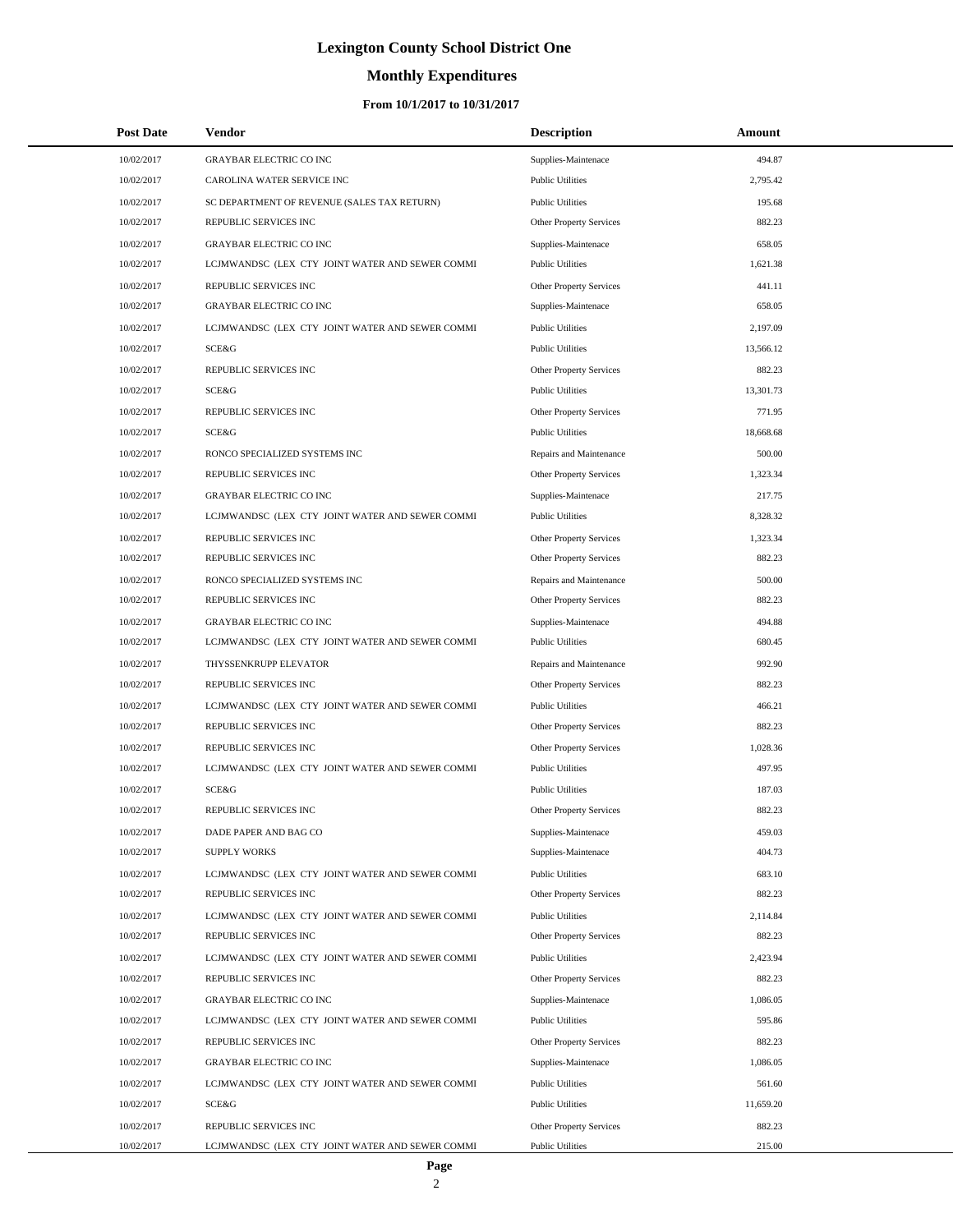# **Monthly Expenditures**

| <b>Post Date</b>         | Vendor                                                                   | <b>Description</b>                                 | Amount           |  |
|--------------------------|--------------------------------------------------------------------------|----------------------------------------------------|------------------|--|
| 10/02/2017               | <b>GRAYBAR ELECTRIC CO INC</b>                                           | Supplies-Maintenace                                | 494.87           |  |
| 10/02/2017               | CAROLINA WATER SERVICE INC                                               | <b>Public Utilities</b>                            | 2,795.42         |  |
| 10/02/2017               | SC DEPARTMENT OF REVENUE (SALES TAX RETURN)                              | <b>Public Utilities</b>                            | 195.68           |  |
| 10/02/2017               | REPUBLIC SERVICES INC                                                    | Other Property Services                            | 882.23           |  |
| 10/02/2017               | <b>GRAYBAR ELECTRIC CO INC</b>                                           | Supplies-Maintenace                                | 658.05           |  |
| 10/02/2017               | LCJMWANDSC (LEX CTY JOINT WATER AND SEWER COMMI                          | <b>Public Utilities</b>                            | 1,621.38         |  |
| 10/02/2017               | REPUBLIC SERVICES INC                                                    | Other Property Services                            | 441.11           |  |
| 10/02/2017               | <b>GRAYBAR ELECTRIC CO INC</b>                                           | Supplies-Maintenace                                | 658.05           |  |
| 10/02/2017               | LCJMWANDSC (LEX CTY JOINT WATER AND SEWER COMMI                          | <b>Public Utilities</b>                            | 2,197.09         |  |
| 10/02/2017               | SCE&G                                                                    | <b>Public Utilities</b>                            | 13,566.12        |  |
| 10/02/2017               | REPUBLIC SERVICES INC                                                    | Other Property Services                            | 882.23           |  |
| 10/02/2017               | SCE&G                                                                    | <b>Public Utilities</b>                            | 13,301.73        |  |
| 10/02/2017               | REPUBLIC SERVICES INC                                                    | Other Property Services                            | 771.95           |  |
| 10/02/2017               | SCE&G                                                                    | <b>Public Utilities</b>                            | 18,668.68        |  |
| 10/02/2017               | RONCO SPECIALIZED SYSTEMS INC                                            | Repairs and Maintenance                            | 500.00           |  |
| 10/02/2017               | REPUBLIC SERVICES INC                                                    | Other Property Services                            | 1,323.34         |  |
| 10/02/2017               | <b>GRAYBAR ELECTRIC CO INC</b>                                           | Supplies-Maintenace                                | 217.75           |  |
| 10/02/2017               | LCJMWANDSC (LEX CTY JOINT WATER AND SEWER COMMI                          | <b>Public Utilities</b>                            | 8,328.32         |  |
| 10/02/2017               | REPUBLIC SERVICES INC                                                    | Other Property Services                            | 1,323.34         |  |
| 10/02/2017               | REPUBLIC SERVICES INC                                                    | Other Property Services                            | 882.23           |  |
| 10/02/2017               | RONCO SPECIALIZED SYSTEMS INC                                            | Repairs and Maintenance                            | 500.00           |  |
| 10/02/2017               | REPUBLIC SERVICES INC                                                    | Other Property Services                            | 882.23           |  |
| 10/02/2017               | <b>GRAYBAR ELECTRIC CO INC</b>                                           | Supplies-Maintenace                                | 494.88           |  |
| 10/02/2017               | LCJMWANDSC (LEX CTY JOINT WATER AND SEWER COMMI                          | <b>Public Utilities</b>                            | 680.45           |  |
| 10/02/2017               | THYSSENKRUPP ELEVATOR                                                    | Repairs and Maintenance                            | 992.90           |  |
| 10/02/2017               | REPUBLIC SERVICES INC                                                    | Other Property Services                            | 882.23           |  |
| 10/02/2017               | LCJMWANDSC (LEX CTY JOINT WATER AND SEWER COMMI                          | <b>Public Utilities</b>                            | 466.21           |  |
| 10/02/2017               | REPUBLIC SERVICES INC                                                    | Other Property Services                            | 882.23           |  |
| 10/02/2017               | REPUBLIC SERVICES INC                                                    | Other Property Services                            | 1,028.36         |  |
| 10/02/2017               | LCJMWANDSC (LEX CTY JOINT WATER AND SEWER COMMI                          | <b>Public Utilities</b>                            | 497.95           |  |
| 10/02/2017               | SCE&G                                                                    | <b>Public Utilities</b>                            | 187.03           |  |
| 10/02/2017               | REPUBLIC SERVICES INC                                                    | <b>Other Property Services</b>                     | 882.23           |  |
| 10/02/2017               | DADE PAPER AND BAG CO                                                    | Supplies-Maintenace                                | 459.03           |  |
| 10/02/2017               | <b>SUPPLY WORKS</b>                                                      | Supplies-Maintenace                                | 404.73           |  |
| 10/02/2017               | LCJMWANDSC (LEX CTY JOINT WATER AND SEWER COMMI                          | <b>Public Utilities</b>                            | 683.10           |  |
| 10/02/2017               | REPUBLIC SERVICES INC                                                    | <b>Other Property Services</b>                     | 882.23           |  |
| 10/02/2017               | LCJMWANDSC (LEX CTY JOINT WATER AND SEWER COMMI                          | <b>Public Utilities</b>                            | 2,114.84         |  |
| 10/02/2017               | REPUBLIC SERVICES INC                                                    | Other Property Services                            | 882.23           |  |
| 10/02/2017               | LCJMWANDSC (LEX CTY JOINT WATER AND SEWER COMMI                          | <b>Public Utilities</b>                            | 2,423.94         |  |
| 10/02/2017               | REPUBLIC SERVICES INC                                                    | Other Property Services                            | 882.23           |  |
| 10/02/2017               | <b>GRAYBAR ELECTRIC CO INC</b>                                           | Supplies-Maintenace                                | 1,086.05         |  |
| 10/02/2017               | LCJMWANDSC (LEX CTY JOINT WATER AND SEWER COMMI                          | <b>Public Utilities</b>                            | 595.86           |  |
| 10/02/2017               | REPUBLIC SERVICES INC                                                    | Other Property Services                            | 882.23           |  |
| 10/02/2017               | GRAYBAR ELECTRIC CO INC                                                  | Supplies-Maintenace                                | 1,086.05         |  |
| 10/02/2017               | LCJMWANDSC (LEX CTY JOINT WATER AND SEWER COMMI                          | <b>Public Utilities</b>                            | 561.60           |  |
| 10/02/2017               | SCE&G                                                                    | <b>Public Utilities</b>                            | 11,659.20        |  |
| 10/02/2017<br>10/02/2017 | REPUBLIC SERVICES INC<br>LCJMWANDSC (LEX CTY JOINT WATER AND SEWER COMMI | Other Property Services<br><b>Public Utilities</b> | 882.23<br>215.00 |  |
|                          |                                                                          |                                                    |                  |  |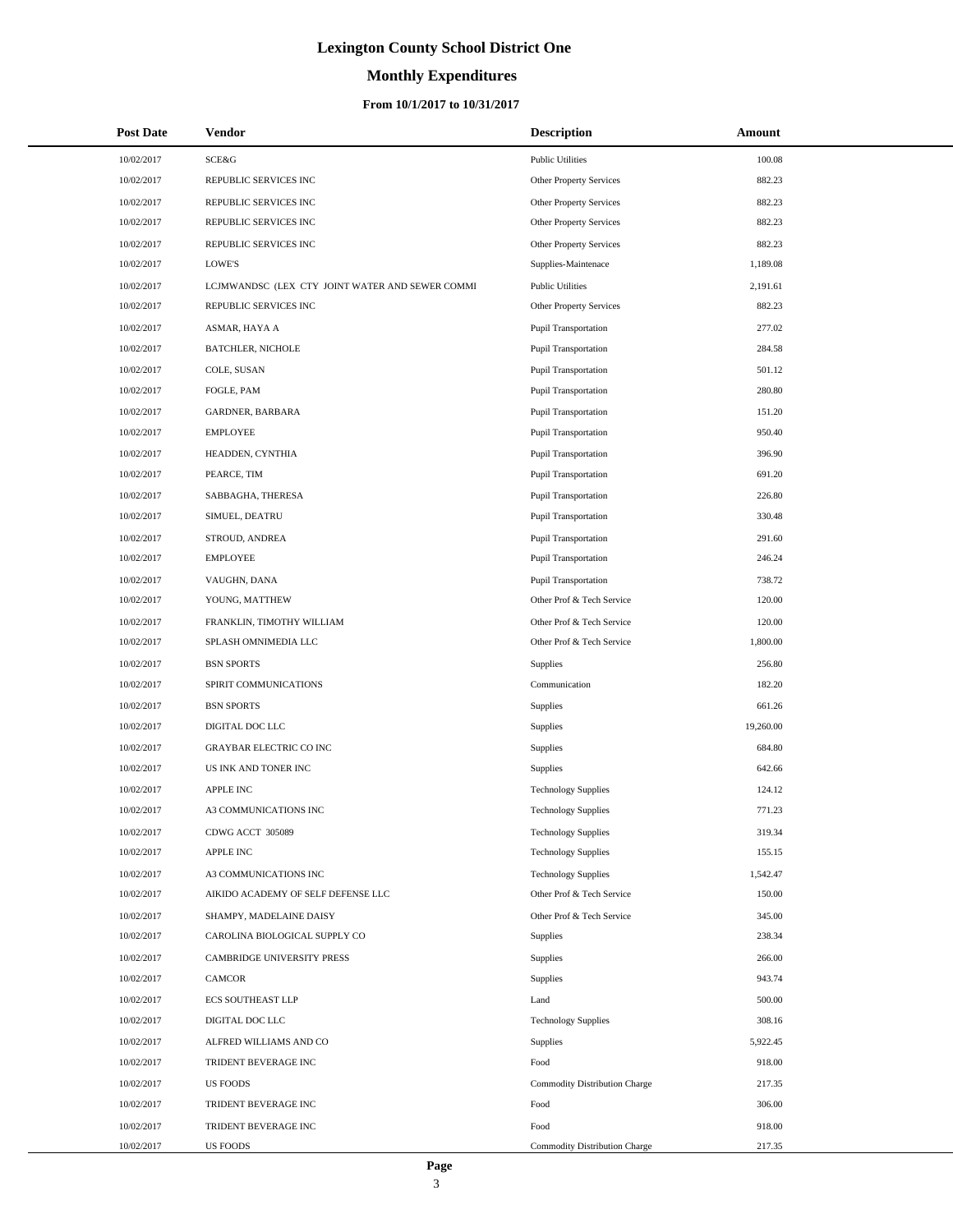# **Monthly Expenditures**

### **From 10/1/2017 to 10/31/2017**

| <b>Post Date</b> | Vendor                                          | <b>Description</b>                   | Amount    |
|------------------|-------------------------------------------------|--------------------------------------|-----------|
| 10/02/2017       | SCE&G                                           | <b>Public Utilities</b>              | 100.08    |
| 10/02/2017       | REPUBLIC SERVICES INC                           | Other Property Services              | 882.23    |
| 10/02/2017       | REPUBLIC SERVICES INC                           | <b>Other Property Services</b>       | 882.23    |
| 10/02/2017       | REPUBLIC SERVICES INC                           | Other Property Services              | 882.23    |
| 10/02/2017       | REPUBLIC SERVICES INC                           | Other Property Services              | 882.23    |
| 10/02/2017       | LOWE'S                                          | Supplies-Maintenace                  | 1,189.08  |
| 10/02/2017       | LCJMWANDSC (LEX CTY JOINT WATER AND SEWER COMMI | <b>Public Utilities</b>              | 2,191.61  |
| 10/02/2017       | REPUBLIC SERVICES INC                           | <b>Other Property Services</b>       | 882.23    |
| 10/02/2017       | ASMAR, HAYA A                                   | Pupil Transportation                 | 277.02    |
| 10/02/2017       | <b>BATCHLER, NICHOLE</b>                        | Pupil Transportation                 | 284.58    |
| 10/02/2017       | COLE, SUSAN                                     | Pupil Transportation                 | 501.12    |
| 10/02/2017       | FOGLE, PAM                                      | Pupil Transportation                 | 280.80    |
| 10/02/2017       | GARDNER, BARBARA                                | Pupil Transportation                 | 151.20    |
| 10/02/2017       | <b>EMPLOYEE</b>                                 | Pupil Transportation                 | 950.40    |
| 10/02/2017       | HEADDEN, CYNTHIA                                | <b>Pupil Transportation</b>          | 396.90    |
| 10/02/2017       | PEARCE, TIM                                     | Pupil Transportation                 | 691.20    |
| 10/02/2017       | SABBAGHA, THERESA                               | Pupil Transportation                 | 226.80    |
| 10/02/2017       | SIMUEL, DEATRU                                  | <b>Pupil Transportation</b>          | 330.48    |
| 10/02/2017       | STROUD, ANDREA                                  | Pupil Transportation                 | 291.60    |
| 10/02/2017       | <b>EMPLOYEE</b>                                 | Pupil Transportation                 | 246.24    |
| 10/02/2017       | VAUGHN, DANA                                    | <b>Pupil Transportation</b>          | 738.72    |
| 10/02/2017       | YOUNG, MATTHEW                                  | Other Prof & Tech Service            | 120.00    |
| 10/02/2017       | FRANKLIN, TIMOTHY WILLIAM                       | Other Prof & Tech Service            | 120.00    |
| 10/02/2017       | SPLASH OMNIMEDIA LLC                            | Other Prof & Tech Service            | 1,800.00  |
| 10/02/2017       | <b>BSN SPORTS</b>                               | Supplies                             | 256.80    |
| 10/02/2017       | SPIRIT COMMUNICATIONS                           | Communication                        | 182.20    |
| 10/02/2017       | <b>BSN SPORTS</b>                               | Supplies                             | 661.26    |
| 10/02/2017       | DIGITAL DOC LLC                                 | Supplies                             | 19,260.00 |
| 10/02/2017       | GRAYBAR ELECTRIC CO INC                         | Supplies                             | 684.80    |
| 10/02/2017       | US INK AND TONER INC                            | Supplies                             | 642.66    |
| 10/02/2017       | <b>APPLE INC</b>                                | <b>Technology Supplies</b>           | 124.12    |
| 10/02/2017       | A3 COMMUNICATIONS INC                           | <b>Technology Supplies</b>           | 771.23    |
| 10/02/2017       | CDWG ACCT 305089                                | <b>Technology Supplies</b>           | 319.34    |
| 10/02/2017       | APPLE INC                                       | <b>Technology Supplies</b>           | 155.15    |
| 10/02/2017       | A3 COMMUNICATIONS INC                           | <b>Technology Supplies</b>           | 1,542.47  |
| 10/02/2017       | AIKIDO ACADEMY OF SELF DEFENSE LLC              | Other Prof & Tech Service            | 150.00    |
| 10/02/2017       | SHAMPY, MADELAINE DAISY                         | Other Prof & Tech Service            | 345.00    |
| 10/02/2017       | CAROLINA BIOLOGICAL SUPPLY CO                   | Supplies                             | 238.34    |
| 10/02/2017       | <b>CAMBRIDGE UNIVERSITY PRESS</b>               | Supplies                             | 266.00    |
| 10/02/2017       | <b>CAMCOR</b>                                   | Supplies                             | 943.74    |
| 10/02/2017       | <b>ECS SOUTHEAST LLP</b>                        | Land                                 | 500.00    |
| 10/02/2017       | DIGITAL DOC LLC                                 | <b>Technology Supplies</b>           | 308.16    |
| 10/02/2017       | ALFRED WILLIAMS AND CO                          | Supplies                             | 5,922.45  |
| 10/02/2017       | TRIDENT BEVERAGE INC                            | Food                                 | 918.00    |
| 10/02/2017       | <b>US FOODS</b>                                 | <b>Commodity Distribution Charge</b> | 217.35    |
| 10/02/2017       | TRIDENT BEVERAGE INC                            | Food                                 | 306.00    |
| 10/02/2017       | TRIDENT BEVERAGE INC                            | Food                                 | 918.00    |
| 10/02/2017       | <b>US FOODS</b>                                 | Commodity Distribution Charge        | 217.35    |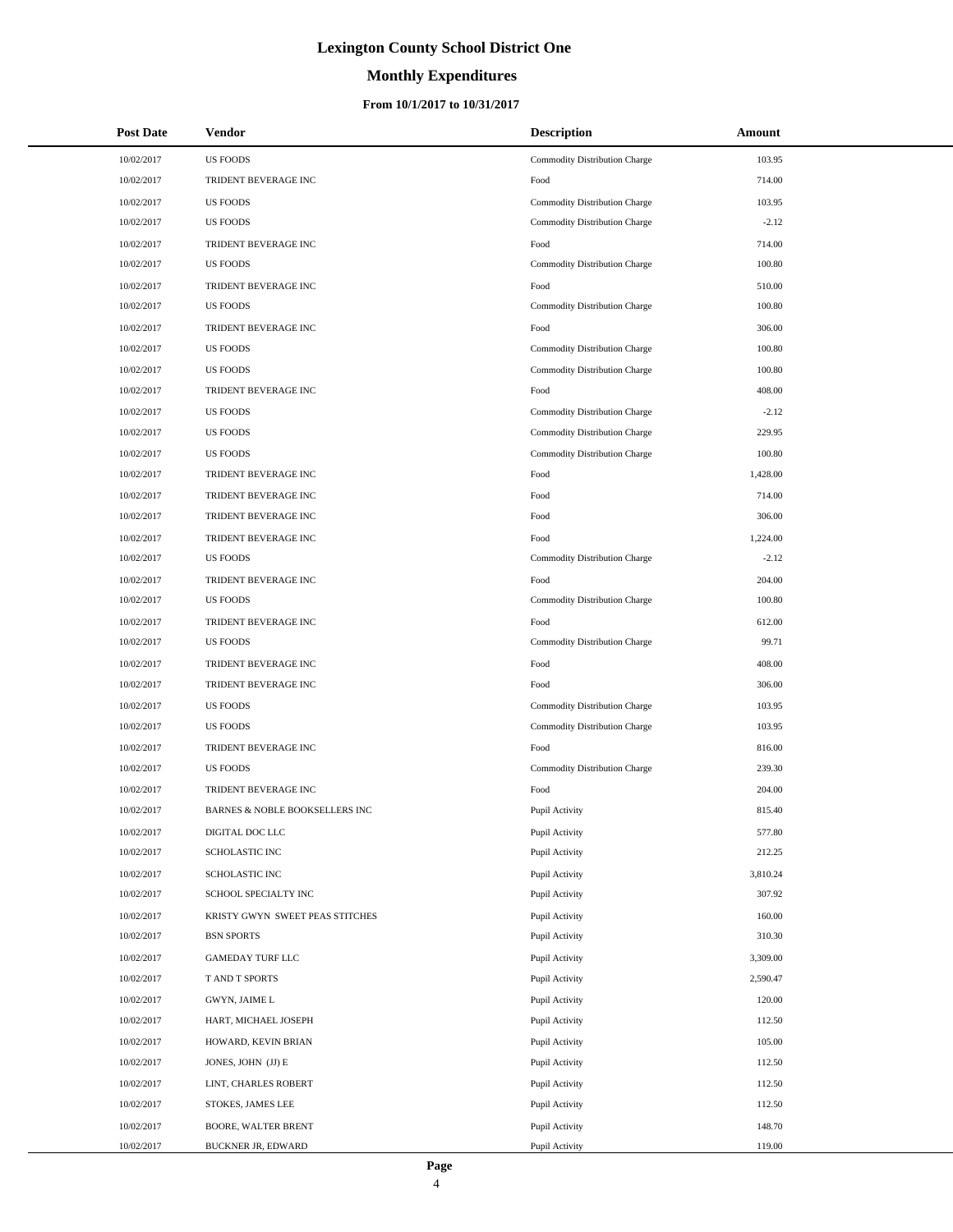# **Monthly Expenditures**

### **From 10/1/2017 to 10/31/2017**

| <b>Post Date</b> | <b>Vendor</b>                   | <b>Description</b>            | Amount   |
|------------------|---------------------------------|-------------------------------|----------|
| 10/02/2017       | <b>US FOODS</b>                 | Commodity Distribution Charge | 103.95   |
| 10/02/2017       | TRIDENT BEVERAGE INC            | Food                          | 714.00   |
| 10/02/2017       | <b>US FOODS</b>                 | Commodity Distribution Charge | 103.95   |
| 10/02/2017       | <b>US FOODS</b>                 | Commodity Distribution Charge | $-2.12$  |
| 10/02/2017       | TRIDENT BEVERAGE INC            | Food                          | 714.00   |
| 10/02/2017       | <b>US FOODS</b>                 | Commodity Distribution Charge | 100.80   |
| 10/02/2017       | TRIDENT BEVERAGE INC            | Food                          | 510.00   |
| 10/02/2017       | <b>US FOODS</b>                 | Commodity Distribution Charge | 100.80   |
| 10/02/2017       | TRIDENT BEVERAGE INC            | Food                          | 306.00   |
| 10/02/2017       | <b>US FOODS</b>                 | Commodity Distribution Charge | 100.80   |
| 10/02/2017       | <b>US FOODS</b>                 | Commodity Distribution Charge | 100.80   |
| 10/02/2017       | TRIDENT BEVERAGE INC            | Food                          | 408.00   |
| 10/02/2017       | <b>US FOODS</b>                 | Commodity Distribution Charge | $-2.12$  |
| 10/02/2017       | <b>US FOODS</b>                 | Commodity Distribution Charge | 229.95   |
| 10/02/2017       | <b>US FOODS</b>                 | Commodity Distribution Charge | 100.80   |
| 10/02/2017       | TRIDENT BEVERAGE INC            | Food                          | 1,428.00 |
| 10/02/2017       | TRIDENT BEVERAGE INC            | Food                          | 714.00   |
| 10/02/2017       | TRIDENT BEVERAGE INC            | Food                          | 306.00   |
| 10/02/2017       | TRIDENT BEVERAGE INC            | Food                          | 1,224.00 |
| 10/02/2017       | <b>US FOODS</b>                 | Commodity Distribution Charge | $-2.12$  |
| 10/02/2017       | TRIDENT BEVERAGE INC            | Food                          | 204.00   |
| 10/02/2017       | <b>US FOODS</b>                 | Commodity Distribution Charge | 100.80   |
| 10/02/2017       | TRIDENT BEVERAGE INC            | Food                          | 612.00   |
| 10/02/2017       | <b>US FOODS</b>                 | Commodity Distribution Charge | 99.71    |
| 10/02/2017       | TRIDENT BEVERAGE INC            | Food                          | 408.00   |
| 10/02/2017       | TRIDENT BEVERAGE INC            | Food                          | 306.00   |
| 10/02/2017       | <b>US FOODS</b>                 | Commodity Distribution Charge | 103.95   |
| 10/02/2017       | <b>US FOODS</b>                 | Commodity Distribution Charge | 103.95   |
| 10/02/2017       | TRIDENT BEVERAGE INC            | Food                          | 816.00   |
| 10/02/2017       | <b>US FOODS</b>                 | Commodity Distribution Charge | 239.30   |
| 10/02/2017       | TRIDENT BEVERAGE INC            | Food                          | 204.00   |
| 10/02/2017       | BARNES & NOBLE BOOKSELLERS INC  | Pupil Activity                | 815.40   |
| 10/02/2017       | DIGITAL DOC LLC                 | Pupil Activity                | 577.80   |
| 10/02/2017       | SCHOLASTIC INC                  | Pupil Activity                | 212.25   |
| 10/02/2017       | SCHOLASTIC INC                  | Pupil Activity                | 3,810.24 |
| 10/02/2017       | SCHOOL SPECIALTY INC            | Pupil Activity                | 307.92   |
| 10/02/2017       | KRISTY GWYN SWEET PEAS STITCHES | Pupil Activity                | 160.00   |
| 10/02/2017       | <b>BSN SPORTS</b>               | Pupil Activity                | 310.30   |
| 10/02/2017       | GAMEDAY TURF LLC                | Pupil Activity                | 3,309.00 |
| 10/02/2017       | T AND T SPORTS                  | Pupil Activity                | 2,590.47 |
| 10/02/2017       | GWYN, JAIME L                   | Pupil Activity                | 120.00   |
| 10/02/2017       | HART, MICHAEL JOSEPH            | Pupil Activity                | 112.50   |
| 10/02/2017       | HOWARD, KEVIN BRIAN             | Pupil Activity                | 105.00   |
| 10/02/2017       | JONES, JOHN (JJ) E              | Pupil Activity                | 112.50   |
| 10/02/2017       | LINT, CHARLES ROBERT            | Pupil Activity                | 112.50   |
| 10/02/2017       | STOKES, JAMES LEE               | Pupil Activity                | 112.50   |
| 10/02/2017       | BOORE, WALTER BRENT             | Pupil Activity                | 148.70   |
| 10/02/2017       | BUCKNER JR, EDWARD              | Pupil Activity                | 119.00   |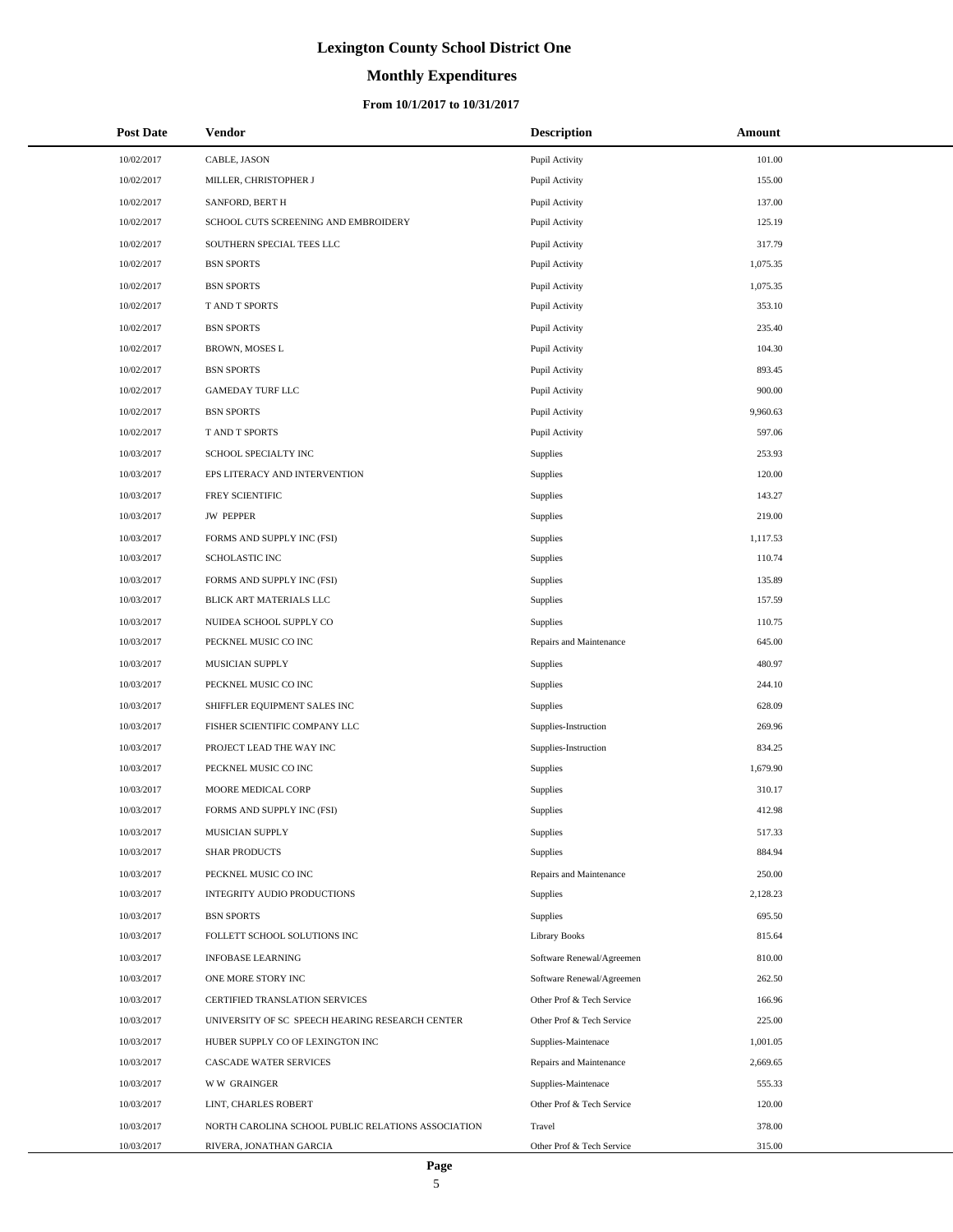# **Monthly Expenditures**

### **From 10/1/2017 to 10/31/2017**

| <b>Post Date</b> | <b>Vendor</b>                                      | <b>Description</b>        | Amount   |  |
|------------------|----------------------------------------------------|---------------------------|----------|--|
| 10/02/2017       | CABLE, JASON                                       | Pupil Activity            | 101.00   |  |
| 10/02/2017       | MILLER, CHRISTOPHER J                              | Pupil Activity            | 155.00   |  |
| 10/02/2017       | SANFORD, BERT H                                    | Pupil Activity            | 137.00   |  |
| 10/02/2017       | SCHOOL CUTS SCREENING AND EMBROIDERY               | Pupil Activity            | 125.19   |  |
| 10/02/2017       | SOUTHERN SPECIAL TEES LLC                          | Pupil Activity            | 317.79   |  |
| 10/02/2017       | <b>BSN SPORTS</b>                                  | Pupil Activity            | 1,075.35 |  |
| 10/02/2017       | <b>BSN SPORTS</b>                                  | Pupil Activity            | 1,075.35 |  |
| 10/02/2017       | T AND T SPORTS                                     | Pupil Activity            | 353.10   |  |
| 10/02/2017       | <b>BSN SPORTS</b>                                  | Pupil Activity            | 235.40   |  |
| 10/02/2017       | BROWN, MOSES L                                     | Pupil Activity            | 104.30   |  |
| 10/02/2017       | <b>BSN SPORTS</b>                                  | Pupil Activity            | 893.45   |  |
| 10/02/2017       | <b>GAMEDAY TURF LLC</b>                            | Pupil Activity            | 900.00   |  |
| 10/02/2017       | <b>BSN SPORTS</b>                                  | Pupil Activity            | 9,960.63 |  |
| 10/02/2017       | T AND T SPORTS                                     | Pupil Activity            | 597.06   |  |
| 10/03/2017       | SCHOOL SPECIALTY INC                               | Supplies                  | 253.93   |  |
| 10/03/2017       | EPS LITERACY AND INTERVENTION                      | Supplies                  | 120.00   |  |
| 10/03/2017       | FREY SCIENTIFIC                                    | Supplies                  | 143.27   |  |
| 10/03/2017       | <b>JW PEPPER</b>                                   | Supplies                  | 219.00   |  |
| 10/03/2017       | FORMS AND SUPPLY INC (FSI)                         | Supplies                  | 1,117.53 |  |
| 10/03/2017       | SCHOLASTIC INC                                     | Supplies                  | 110.74   |  |
| 10/03/2017       | FORMS AND SUPPLY INC (FSI)                         | Supplies                  | 135.89   |  |
| 10/03/2017       | BLICK ART MATERIALS LLC                            | Supplies                  | 157.59   |  |
| 10/03/2017       | NUIDEA SCHOOL SUPPLY CO                            | Supplies                  | 110.75   |  |
| 10/03/2017       | PECKNEL MUSIC CO INC                               | Repairs and Maintenance   | 645.00   |  |
| 10/03/2017       | MUSICIAN SUPPLY                                    | Supplies                  | 480.97   |  |
| 10/03/2017       | PECKNEL MUSIC CO INC                               | Supplies                  | 244.10   |  |
| 10/03/2017       | SHIFFLER EQUIPMENT SALES INC                       | Supplies                  | 628.09   |  |
| 10/03/2017       | FISHER SCIENTIFIC COMPANY LLC                      | Supplies-Instruction      | 269.96   |  |
| 10/03/2017       | PROJECT LEAD THE WAY INC                           | Supplies-Instruction      | 834.25   |  |
| 10/03/2017       | PECKNEL MUSIC CO INC                               | Supplies                  | 1,679.90 |  |
| 10/03/2017       | MOORE MEDICAL CORP                                 | Supplies                  | 310.17   |  |
| 10/03/2017       | FORMS AND SUPPLY INC (FSI)                         | Supplies                  | 412.98   |  |
| 10/03/2017       | MUSICIAN SUPPLY                                    | Supplies                  | 517.33   |  |
| 10/03/2017       | <b>SHAR PRODUCTS</b>                               | Supplies                  | 884.94   |  |
| 10/03/2017       | PECKNEL MUSIC CO INC                               | Repairs and Maintenance   | 250.00   |  |
| 10/03/2017       | INTEGRITY AUDIO PRODUCTIONS                        | Supplies                  | 2,128.23 |  |
| 10/03/2017       | <b>BSN SPORTS</b>                                  | Supplies                  | 695.50   |  |
| 10/03/2017       | FOLLETT SCHOOL SOLUTIONS INC                       | <b>Library Books</b>      | 815.64   |  |
| 10/03/2017       | <b>INFOBASE LEARNING</b>                           | Software Renewal/Agreemen | 810.00   |  |
| 10/03/2017       | ONE MORE STORY INC                                 | Software Renewal/Agreemen | 262.50   |  |
| 10/03/2017       | CERTIFIED TRANSLATION SERVICES                     | Other Prof & Tech Service | 166.96   |  |
| 10/03/2017       | UNIVERSITY OF SC SPEECH HEARING RESEARCH CENTER    | Other Prof & Tech Service | 225.00   |  |
| 10/03/2017       | HUBER SUPPLY CO OF LEXINGTON INC                   | Supplies-Maintenace       | 1,001.05 |  |
| 10/03/2017       | CASCADE WATER SERVICES                             | Repairs and Maintenance   | 2,669.65 |  |
| 10/03/2017       | <b>WW GRAINGER</b>                                 | Supplies-Maintenace       | 555.33   |  |
| 10/03/2017       | LINT, CHARLES ROBERT                               | Other Prof & Tech Service | 120.00   |  |
| 10/03/2017       | NORTH CAROLINA SCHOOL PUBLIC RELATIONS ASSOCIATION | Travel                    | 378.00   |  |
| 10/03/2017       | RIVERA, JONATHAN GARCIA                            | Other Prof & Tech Service | 315.00   |  |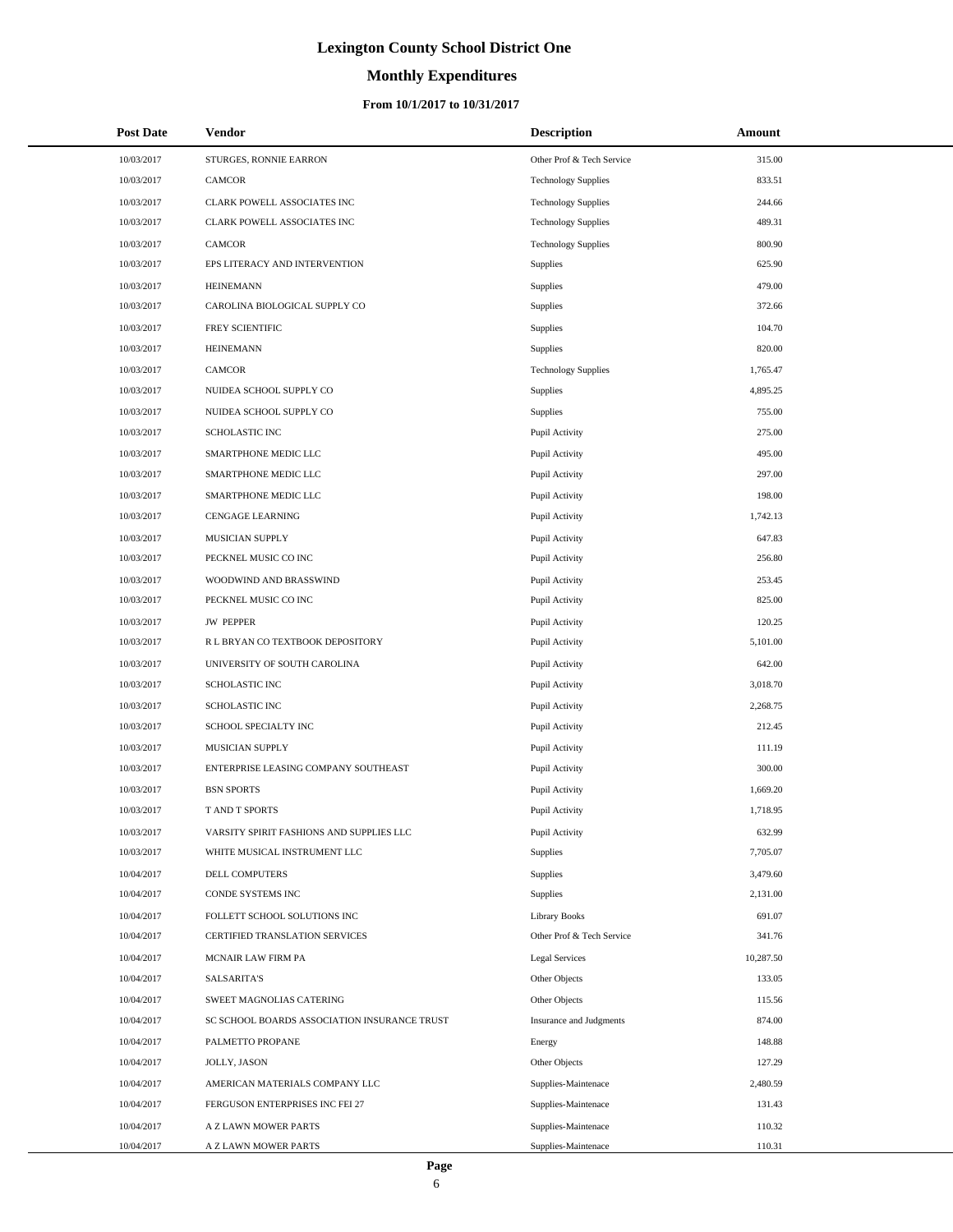# **Monthly Expenditures**

| <b>Post Date</b> | Vendor                                       | <b>Description</b>         | Amount    |
|------------------|----------------------------------------------|----------------------------|-----------|
| 10/03/2017       | STURGES, RONNIE EARRON                       | Other Prof & Tech Service  | 315.00    |
| 10/03/2017       | <b>CAMCOR</b>                                | <b>Technology Supplies</b> | 833.51    |
| 10/03/2017       | CLARK POWELL ASSOCIATES INC                  | <b>Technology Supplies</b> | 244.66    |
| 10/03/2017       | CLARK POWELL ASSOCIATES INC                  | <b>Technology Supplies</b> | 489.31    |
| 10/03/2017       | <b>CAMCOR</b>                                | <b>Technology Supplies</b> | 800.90    |
| 10/03/2017       | EPS LITERACY AND INTERVENTION                | Supplies                   | 625.90    |
| 10/03/2017       | <b>HEINEMANN</b>                             | Supplies                   | 479.00    |
| 10/03/2017       | CAROLINA BIOLOGICAL SUPPLY CO                | Supplies                   | 372.66    |
| 10/03/2017       | FREY SCIENTIFIC                              | Supplies                   | 104.70    |
| 10/03/2017       | <b>HEINEMANN</b>                             | Supplies                   | 820.00    |
| 10/03/2017       | <b>CAMCOR</b>                                | <b>Technology Supplies</b> | 1,765.47  |
| 10/03/2017       | NUIDEA SCHOOL SUPPLY CO                      | Supplies                   | 4,895.25  |
| 10/03/2017       | NUIDEA SCHOOL SUPPLY CO                      | Supplies                   | 755.00    |
| 10/03/2017       | <b>SCHOLASTIC INC</b>                        | Pupil Activity             | 275.00    |
| 10/03/2017       | SMARTPHONE MEDIC LLC                         | Pupil Activity             | 495.00    |
| 10/03/2017       | SMARTPHONE MEDIC LLC                         | Pupil Activity             | 297.00    |
| 10/03/2017       | SMARTPHONE MEDIC LLC                         | Pupil Activity             | 198.00    |
| 10/03/2017       | <b>CENGAGE LEARNING</b>                      | Pupil Activity             | 1,742.13  |
| 10/03/2017       | MUSICIAN SUPPLY                              | Pupil Activity             | 647.83    |
| 10/03/2017       | PECKNEL MUSIC CO INC                         | Pupil Activity             | 256.80    |
| 10/03/2017       | WOODWIND AND BRASSWIND                       | Pupil Activity             | 253.45    |
| 10/03/2017       | PECKNEL MUSIC CO INC                         | Pupil Activity             | 825.00    |
| 10/03/2017       | <b>JW PEPPER</b>                             | Pupil Activity             | 120.25    |
| 10/03/2017       | R L BRYAN CO TEXTBOOK DEPOSITORY             | Pupil Activity             | 5,101.00  |
| 10/03/2017       | UNIVERSITY OF SOUTH CAROLINA                 | Pupil Activity             | 642.00    |
| 10/03/2017       | SCHOLASTIC INC                               | Pupil Activity             | 3,018.70  |
| 10/03/2017       | SCHOLASTIC INC                               | Pupil Activity             | 2,268.75  |
| 10/03/2017       | SCHOOL SPECIALTY INC                         | Pupil Activity             | 212.45    |
| 10/03/2017       | <b>MUSICIAN SUPPLY</b>                       | Pupil Activity             | 111.19    |
| 10/03/2017       | ENTERPRISE LEASING COMPANY SOUTHEAST         | Pupil Activity             | 300.00    |
| 10/03/2017       | <b>BSN SPORTS</b>                            | Pupil Activity             | 1,669.20  |
| 10/03/2017       | T AND T SPORTS                               | Pupil Activity             | 1,718.95  |
| 10/03/2017       | VARSITY SPIRIT FASHIONS AND SUPPLIES LLC     | Pupil Activity             | 632.99    |
| 10/03/2017       | WHITE MUSICAL INSTRUMENT LLC                 | Supplies                   | 7,705.07  |
| 10/04/2017       | DELL COMPUTERS                               | Supplies                   | 3,479.60  |
| 10/04/2017       | CONDE SYSTEMS INC                            | Supplies                   | 2,131.00  |
| 10/04/2017       | FOLLETT SCHOOL SOLUTIONS INC                 | <b>Library Books</b>       | 691.07    |
| 10/04/2017       | CERTIFIED TRANSLATION SERVICES               | Other Prof & Tech Service  | 341.76    |
| 10/04/2017       | MCNAIR LAW FIRM PA                           | Legal Services             | 10,287.50 |
| 10/04/2017       | <b>SALSARITA'S</b>                           | Other Objects              | 133.05    |
| 10/04/2017       | SWEET MAGNOLIAS CATERING                     | Other Objects              | 115.56    |
| 10/04/2017       | SC SCHOOL BOARDS ASSOCIATION INSURANCE TRUST | Insurance and Judgments    | 874.00    |
| 10/04/2017       | PALMETTO PROPANE                             | Energy                     | 148.88    |
| 10/04/2017       | JOLLY, JASON                                 | Other Objects              | 127.29    |
| 10/04/2017       | AMERICAN MATERIALS COMPANY LLC               | Supplies-Maintenace        | 2,480.59  |
| 10/04/2017       | FERGUSON ENTERPRISES INC FEI 27              | Supplies-Maintenace        | 131.43    |
| 10/04/2017       | A Z LAWN MOWER PARTS                         | Supplies-Maintenace        | 110.32    |
| 10/04/2017       | A Z LAWN MOWER PARTS                         | Supplies-Maintenace        | 110.31    |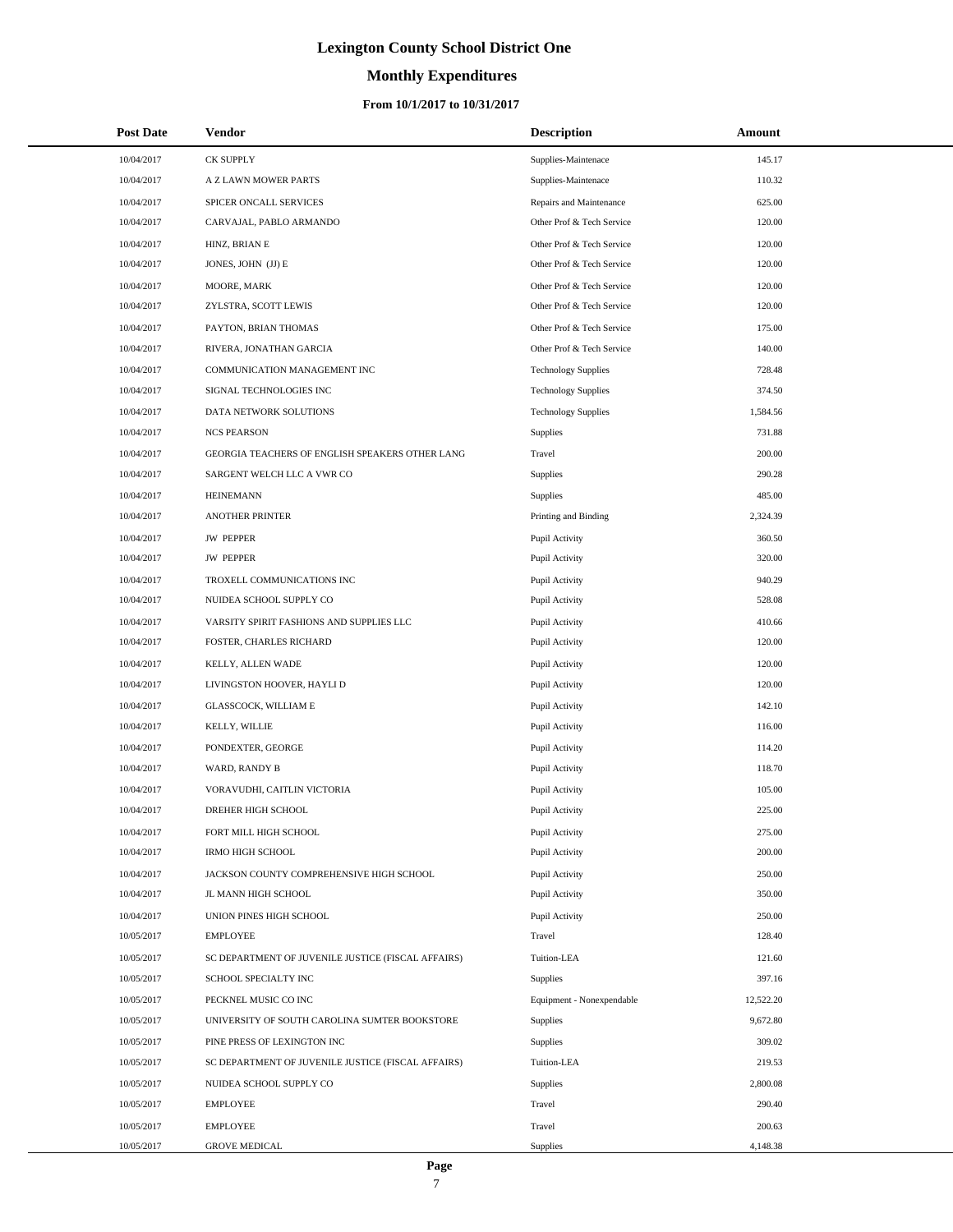# **Monthly Expenditures**

### **From 10/1/2017 to 10/31/2017**

| <b>Post Date</b> | <b>Vendor</b>                                      | <b>Description</b>         | Amount    |
|------------------|----------------------------------------------------|----------------------------|-----------|
| 10/04/2017       | <b>CK SUPPLY</b>                                   | Supplies-Maintenace        | 145.17    |
| 10/04/2017       | A Z LAWN MOWER PARTS                               | Supplies-Maintenace        | 110.32    |
| 10/04/2017       | SPICER ONCALL SERVICES                             | Repairs and Maintenance    | 625.00    |
| 10/04/2017       | CARVAJAL, PABLO ARMANDO                            | Other Prof & Tech Service  | 120.00    |
| 10/04/2017       | HINZ, BRIAN E                                      | Other Prof & Tech Service  | 120.00    |
| 10/04/2017       | JONES, JOHN (JJ) E                                 | Other Prof & Tech Service  | 120.00    |
| 10/04/2017       | MOORE, MARK                                        | Other Prof & Tech Service  | 120.00    |
| 10/04/2017       | ZYLSTRA, SCOTT LEWIS                               | Other Prof & Tech Service  | 120.00    |
| 10/04/2017       | PAYTON, BRIAN THOMAS                               | Other Prof & Tech Service  | 175.00    |
| 10/04/2017       | RIVERA, JONATHAN GARCIA                            | Other Prof & Tech Service  | 140.00    |
| 10/04/2017       | COMMUNICATION MANAGEMENT INC                       | <b>Technology Supplies</b> | 728.48    |
| 10/04/2017       | SIGNAL TECHNOLOGIES INC                            | <b>Technology Supplies</b> | 374.50    |
| 10/04/2017       | DATA NETWORK SOLUTIONS                             | <b>Technology Supplies</b> | 1,584.56  |
| 10/04/2017       | <b>NCS PEARSON</b>                                 | Supplies                   | 731.88    |
| 10/04/2017       | GEORGIA TEACHERS OF ENGLISH SPEAKERS OTHER LANG    | Travel                     | 200.00    |
| 10/04/2017       | SARGENT WELCH LLC A VWR CO                         | Supplies                   | 290.28    |
| 10/04/2017       | <b>HEINEMANN</b>                                   | Supplies                   | 485.00    |
| 10/04/2017       | <b>ANOTHER PRINTER</b>                             | Printing and Binding       | 2,324.39  |
| 10/04/2017       | <b>JW PEPPER</b>                                   | Pupil Activity             | 360.50    |
| 10/04/2017       | <b>JW PEPPER</b>                                   | Pupil Activity             | 320.00    |
| 10/04/2017       | TROXELL COMMUNICATIONS INC                         | Pupil Activity             | 940.29    |
| 10/04/2017       | NUIDEA SCHOOL SUPPLY CO                            | Pupil Activity             | 528.08    |
| 10/04/2017       | VARSITY SPIRIT FASHIONS AND SUPPLIES LLC           | Pupil Activity             | 410.66    |
| 10/04/2017       | FOSTER, CHARLES RICHARD                            | Pupil Activity             | 120.00    |
| 10/04/2017       | KELLY, ALLEN WADE                                  | Pupil Activity             | 120.00    |
| 10/04/2017       | LIVINGSTON HOOVER, HAYLI D                         | Pupil Activity             | 120.00    |
| 10/04/2017       | GLASSCOCK, WILLIAM E                               | Pupil Activity             | 142.10    |
| 10/04/2017       | KELLY, WILLIE                                      | Pupil Activity             | 116.00    |
| 10/04/2017       | PONDEXTER, GEORGE                                  | Pupil Activity             | 114.20    |
| 10/04/2017       | WARD, RANDY B                                      | Pupil Activity             | 118.70    |
| 10/04/2017       | VORAVUDHI, CAITLIN VICTORIA                        | Pupil Activity             | 105.00    |
| 10/04/2017       | DREHER HIGH SCHOOL                                 | Pupil Activity             | 225.00    |
| 10/04/2017       | FORT MILL HIGH SCHOOL                              | Pupil Activity             | 275.00    |
| 10/04/2017       | <b>IRMO HIGH SCHOOL</b>                            | Pupil Activity             | 200.00    |
| 10/04/2017       | JACKSON COUNTY COMPREHENSIVE HIGH SCHOOL           | Pupil Activity             | 250.00    |
| 10/04/2017       | JL MANN HIGH SCHOOL                                | Pupil Activity             | 350.00    |
| 10/04/2017       | UNION PINES HIGH SCHOOL                            | Pupil Activity             | 250.00    |
| 10/05/2017       | <b>EMPLOYEE</b>                                    | Travel                     | 128.40    |
| 10/05/2017       | SC DEPARTMENT OF JUVENILE JUSTICE (FISCAL AFFAIRS) | Tuition-LEA                | 121.60    |
| 10/05/2017       | SCHOOL SPECIALTY INC                               | Supplies                   | 397.16    |
| 10/05/2017       | PECKNEL MUSIC CO INC                               | Equipment - Nonexpendable  | 12,522.20 |
| 10/05/2017       | UNIVERSITY OF SOUTH CAROLINA SUMTER BOOKSTORE      | Supplies                   | 9,672.80  |
| 10/05/2017       | PINE PRESS OF LEXINGTON INC                        | Supplies                   | 309.02    |
| 10/05/2017       | SC DEPARTMENT OF JUVENILE JUSTICE (FISCAL AFFAIRS) | Tuition-LEA                | 219.53    |
| 10/05/2017       | NUIDEA SCHOOL SUPPLY CO                            | Supplies                   | 2,800.08  |
| 10/05/2017       | EMPLOYEE                                           | Travel                     | 290.40    |
| 10/05/2017       | <b>EMPLOYEE</b>                                    | Travel                     | 200.63    |
| 10/05/2017       | <b>GROVE MEDICAL</b>                               | Supplies                   | 4,148.38  |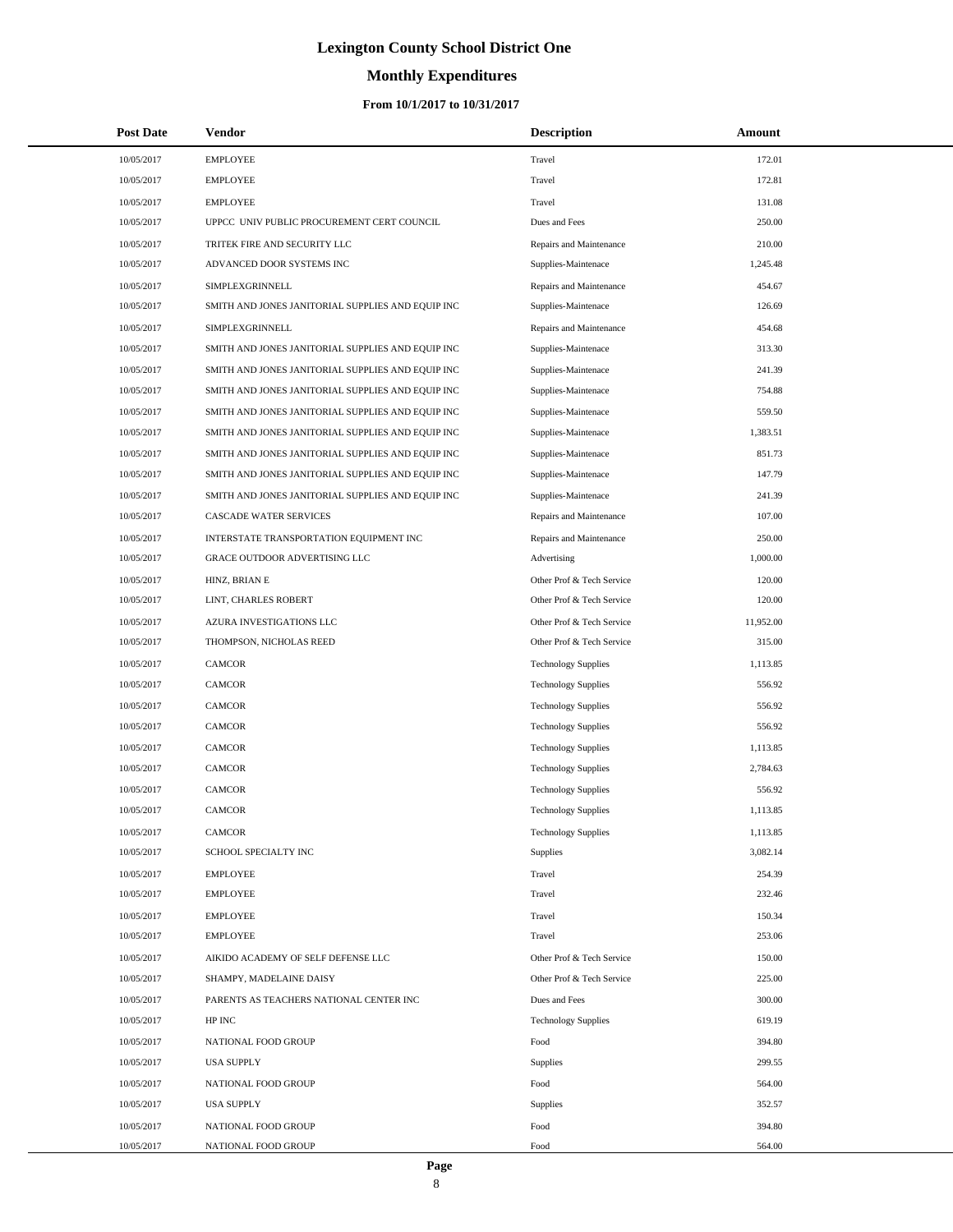# **Monthly Expenditures**

| <b>Post Date</b> | Vendor                                            | <b>Description</b>         | Amount    |
|------------------|---------------------------------------------------|----------------------------|-----------|
| 10/05/2017       | <b>EMPLOYEE</b>                                   | Travel                     | 172.01    |
| 10/05/2017       | <b>EMPLOYEE</b>                                   | Travel                     | 172.81    |
| 10/05/2017       | <b>EMPLOYEE</b>                                   | Travel                     | 131.08    |
| 10/05/2017       | UPPCC UNIV PUBLIC PROCUREMENT CERT COUNCIL        | Dues and Fees              | 250.00    |
| 10/05/2017       | TRITEK FIRE AND SECURITY LLC                      | Repairs and Maintenance    | 210.00    |
| 10/05/2017       | ADVANCED DOOR SYSTEMS INC                         | Supplies-Maintenace        | 1,245.48  |
| 10/05/2017       | SIMPLEXGRINNELL                                   | Repairs and Maintenance    | 454.67    |
| 10/05/2017       | SMITH AND JONES JANITORIAL SUPPLIES AND EQUIP INC | Supplies-Maintenace        | 126.69    |
| 10/05/2017       | SIMPLEXGRINNELL                                   | Repairs and Maintenance    | 454.68    |
| 10/05/2017       | SMITH AND JONES JANITORIAL SUPPLIES AND EQUIP INC | Supplies-Maintenace        | 313.30    |
| 10/05/2017       | SMITH AND JONES JANITORIAL SUPPLIES AND EQUIP INC | Supplies-Maintenace        | 241.39    |
| 10/05/2017       | SMITH AND JONES JANITORIAL SUPPLIES AND EQUIP INC | Supplies-Maintenace        | 754.88    |
| 10/05/2017       | SMITH AND JONES JANITORIAL SUPPLIES AND EQUIP INC | Supplies-Maintenace        | 559.50    |
| 10/05/2017       | SMITH AND JONES JANITORIAL SUPPLIES AND EQUIP INC | Supplies-Maintenace        | 1,383.51  |
| 10/05/2017       | SMITH AND JONES JANITORIAL SUPPLIES AND EQUIP INC | Supplies-Maintenace        | 851.73    |
| 10/05/2017       | SMITH AND JONES JANITORIAL SUPPLIES AND EQUIP INC | Supplies-Maintenace        | 147.79    |
| 10/05/2017       | SMITH AND JONES JANITORIAL SUPPLIES AND EQUIP INC | Supplies-Maintenace        | 241.39    |
| 10/05/2017       | CASCADE WATER SERVICES                            | Repairs and Maintenance    | 107.00    |
| 10/05/2017       | INTERSTATE TRANSPORTATION EQUIPMENT INC           | Repairs and Maintenance    | 250.00    |
| 10/05/2017       | GRACE OUTDOOR ADVERTISING LLC                     | Advertising                | 1,000.00  |
| 10/05/2017       | HINZ, BRIAN E                                     | Other Prof & Tech Service  | 120.00    |
| 10/05/2017       | LINT, CHARLES ROBERT                              | Other Prof & Tech Service  | 120.00    |
| 10/05/2017       | AZURA INVESTIGATIONS LLC                          | Other Prof & Tech Service  | 11,952.00 |
| 10/05/2017       | THOMPSON, NICHOLAS REED                           | Other Prof & Tech Service  | 315.00    |
| 10/05/2017       | <b>CAMCOR</b>                                     | <b>Technology Supplies</b> | 1,113.85  |
| 10/05/2017       | <b>CAMCOR</b>                                     | <b>Technology Supplies</b> | 556.92    |
| 10/05/2017       | <b>CAMCOR</b>                                     | <b>Technology Supplies</b> | 556.92    |
| 10/05/2017       | <b>CAMCOR</b>                                     | <b>Technology Supplies</b> | 556.92    |
| 10/05/2017       | <b>CAMCOR</b>                                     | <b>Technology Supplies</b> | 1,113.85  |
| 10/05/2017       | <b>CAMCOR</b>                                     | <b>Technology Supplies</b> | 2,784.63  |
| 10/05/2017       | <b>CAMCOR</b>                                     | <b>Technology Supplies</b> | 556.92    |
| 10/05/2017       | <b>CAMCOR</b>                                     | <b>Technology Supplies</b> | 1,113.85  |
| 10/05/2017       | <b>CAMCOR</b>                                     | <b>Technology Supplies</b> | 1,113.85  |
| 10/05/2017       | SCHOOL SPECIALTY INC                              | Supplies                   | 3,082.14  |
| 10/05/2017       | <b>EMPLOYEE</b>                                   | Travel                     | 254.39    |
| 10/05/2017       | <b>EMPLOYEE</b>                                   | Travel                     | 232.46    |
| 10/05/2017       | <b>EMPLOYEE</b>                                   | Travel                     | 150.34    |
| 10/05/2017       | <b>EMPLOYEE</b>                                   | Travel                     | 253.06    |
| 10/05/2017       | AIKIDO ACADEMY OF SELF DEFENSE LLC                | Other Prof & Tech Service  | 150.00    |
| 10/05/2017       | SHAMPY, MADELAINE DAISY                           | Other Prof & Tech Service  | 225.00    |
| 10/05/2017       | PARENTS AS TEACHERS NATIONAL CENTER INC           | Dues and Fees              | 300.00    |
| 10/05/2017       | HP INC                                            | <b>Technology Supplies</b> | 619.19    |
| 10/05/2017       | NATIONAL FOOD GROUP                               | Food                       | 394.80    |
| 10/05/2017       | <b>USA SUPPLY</b>                                 | Supplies                   | 299.55    |
| 10/05/2017       | NATIONAL FOOD GROUP                               | Food                       | 564.00    |
| 10/05/2017       | <b>USA SUPPLY</b>                                 | Supplies                   | 352.57    |
| 10/05/2017       | NATIONAL FOOD GROUP                               | Food                       | 394.80    |
| 10/05/2017       | NATIONAL FOOD GROUP                               | Food                       | 564.00    |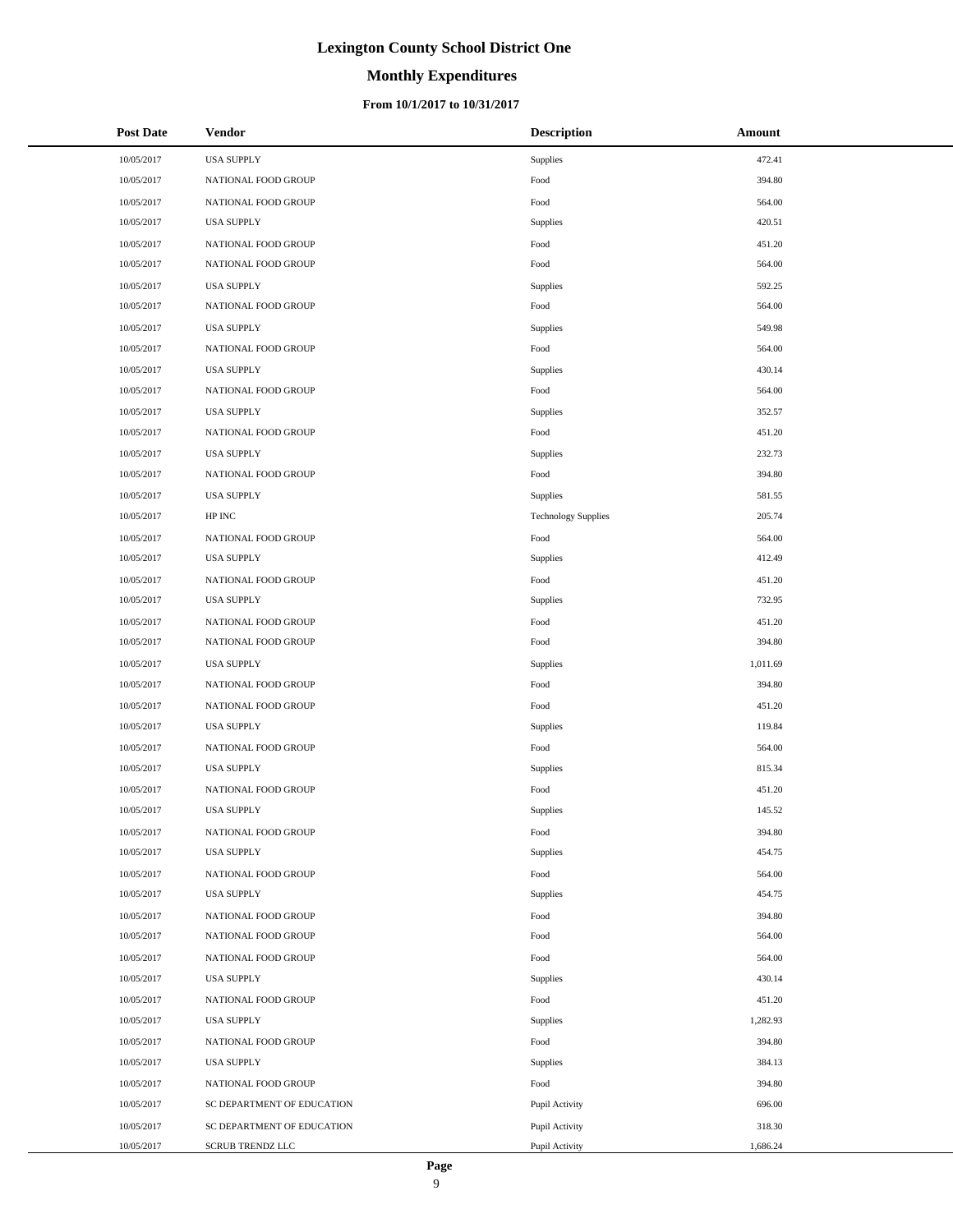### **Monthly Expenditures**

### **From 10/1/2017 to 10/31/2017**

| <b>Post Date</b> | Vendor                     | <b>Description</b>         | Amount   |
|------------------|----------------------------|----------------------------|----------|
| 10/05/2017       | <b>USA SUPPLY</b>          | Supplies                   | 472.41   |
| 10/05/2017       | NATIONAL FOOD GROUP        | Food                       | 394.80   |
| 10/05/2017       | NATIONAL FOOD GROUP        | Food                       | 564.00   |
| 10/05/2017       | <b>USA SUPPLY</b>          | Supplies                   | 420.51   |
| 10/05/2017       | NATIONAL FOOD GROUP        | Food                       | 451.20   |
| 10/05/2017       | NATIONAL FOOD GROUP        | Food                       | 564.00   |
| 10/05/2017       | <b>USA SUPPLY</b>          | Supplies                   | 592.25   |
| 10/05/2017       | NATIONAL FOOD GROUP        | Food                       | 564.00   |
| 10/05/2017       | <b>USA SUPPLY</b>          | Supplies                   | 549.98   |
| 10/05/2017       | NATIONAL FOOD GROUP        | Food                       | 564.00   |
| 10/05/2017       | <b>USA SUPPLY</b>          | Supplies                   | 430.14   |
| 10/05/2017       | NATIONAL FOOD GROUP        | Food                       | 564.00   |
| 10/05/2017       | <b>USA SUPPLY</b>          | Supplies                   | 352.57   |
| 10/05/2017       | NATIONAL FOOD GROUP        | Food                       | 451.20   |
| 10/05/2017       | <b>USA SUPPLY</b>          | Supplies                   | 232.73   |
| 10/05/2017       | NATIONAL FOOD GROUP        | Food                       | 394.80   |
| 10/05/2017       | <b>USA SUPPLY</b>          | Supplies                   | 581.55   |
| 10/05/2017       | HP INC                     | <b>Technology Supplies</b> | 205.74   |
| 10/05/2017       | NATIONAL FOOD GROUP        | Food                       | 564.00   |
| 10/05/2017       | <b>USA SUPPLY</b>          | Supplies                   | 412.49   |
| 10/05/2017       | NATIONAL FOOD GROUP        | Food                       | 451.20   |
| 10/05/2017       | <b>USA SUPPLY</b>          | Supplies                   | 732.95   |
| 10/05/2017       | NATIONAL FOOD GROUP        | Food                       | 451.20   |
| 10/05/2017       | NATIONAL FOOD GROUP        | Food                       | 394.80   |
| 10/05/2017       | <b>USA SUPPLY</b>          | Supplies                   | 1,011.69 |
| 10/05/2017       | NATIONAL FOOD GROUP        | Food                       | 394.80   |
| 10/05/2017       | NATIONAL FOOD GROUP        | Food                       | 451.20   |
| 10/05/2017       | <b>USA SUPPLY</b>          | Supplies                   | 119.84   |
| 10/05/2017       | NATIONAL FOOD GROUP        | Food                       | 564.00   |
| 10/05/2017       | <b>USA SUPPLY</b>          | Supplies                   | 815.34   |
| 10/05/2017       | NATIONAL FOOD GROUP        | Food                       | 451.20   |
| 10/05/2017       | <b>USA SUPPLY</b>          | Supplies                   | 145.52   |
| 10/05/2017       | NATIONAL FOOD GROUP        | Food                       | 394.80   |
| 10/05/2017       | <b>USA SUPPLY</b>          | Supplies                   | 454.75   |
| 10/05/2017       | NATIONAL FOOD GROUP        | Food                       | 564.00   |
| 10/05/2017       | <b>USA SUPPLY</b>          | Supplies                   | 454.75   |
| 10/05/2017       | NATIONAL FOOD GROUP        | Food                       | 394.80   |
| 10/05/2017       | NATIONAL FOOD GROUP        | Food                       | 564.00   |
| 10/05/2017       | NATIONAL FOOD GROUP        | Food                       | 564.00   |
| 10/05/2017       | <b>USA SUPPLY</b>          | Supplies                   | 430.14   |
| 10/05/2017       | NATIONAL FOOD GROUP        | Food                       | 451.20   |
| 10/05/2017       | <b>USA SUPPLY</b>          | Supplies                   | 1,282.93 |
| 10/05/2017       | NATIONAL FOOD GROUP        | Food                       | 394.80   |
| 10/05/2017       | <b>USA SUPPLY</b>          | Supplies                   | 384.13   |
| 10/05/2017       | NATIONAL FOOD GROUP        | Food                       | 394.80   |
| 10/05/2017       | SC DEPARTMENT OF EDUCATION | Pupil Activity             | 696.00   |
| 10/05/2017       | SC DEPARTMENT OF EDUCATION | Pupil Activity             | 318.30   |
| 10/05/2017       | <b>SCRUB TRENDZ LLC</b>    | Pupil Activity             | 1,686.24 |

L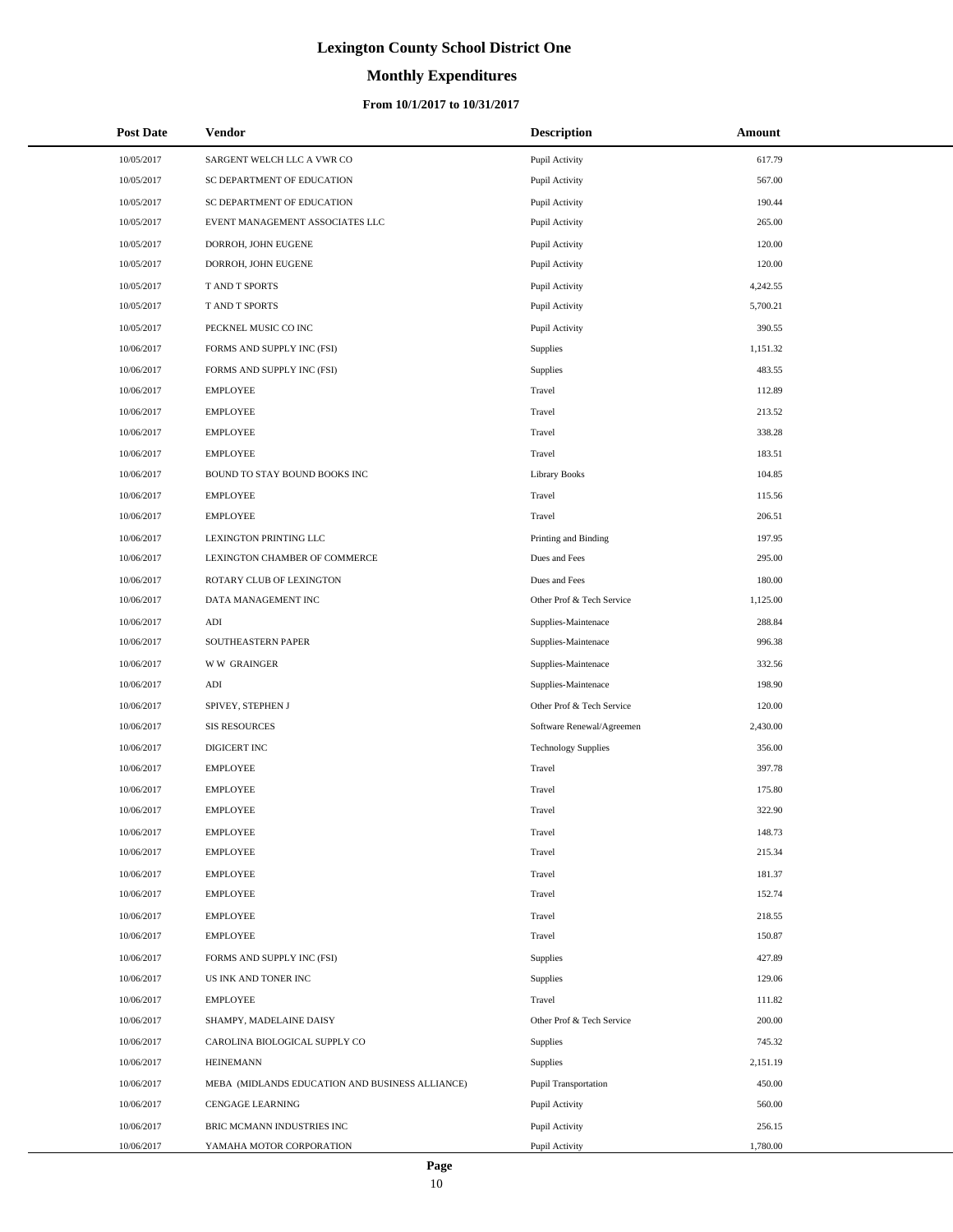# **Monthly Expenditures**

### **From 10/1/2017 to 10/31/2017**

| <b>Post Date</b> | Vendor                                          | <b>Description</b>          | Amount   |  |
|------------------|-------------------------------------------------|-----------------------------|----------|--|
| 10/05/2017       | SARGENT WELCH LLC A VWR CO                      | Pupil Activity              | 617.79   |  |
| 10/05/2017       | SC DEPARTMENT OF EDUCATION                      | Pupil Activity              | 567.00   |  |
| 10/05/2017       | SC DEPARTMENT OF EDUCATION                      | Pupil Activity              | 190.44   |  |
| 10/05/2017       | EVENT MANAGEMENT ASSOCIATES LLC                 | Pupil Activity              | 265.00   |  |
| 10/05/2017       | DORROH, JOHN EUGENE                             | Pupil Activity              | 120.00   |  |
| 10/05/2017       | DORROH, JOHN EUGENE                             | Pupil Activity              | 120.00   |  |
| 10/05/2017       | T AND T SPORTS                                  | Pupil Activity              | 4,242.55 |  |
| 10/05/2017       | T AND T SPORTS                                  | Pupil Activity              | 5,700.21 |  |
| 10/05/2017       | PECKNEL MUSIC CO INC                            | Pupil Activity              | 390.55   |  |
| 10/06/2017       | FORMS AND SUPPLY INC (FSI)                      | <b>Supplies</b>             | 1,151.32 |  |
| 10/06/2017       | FORMS AND SUPPLY INC (FSI)                      | Supplies                    | 483.55   |  |
| 10/06/2017       | <b>EMPLOYEE</b>                                 | Travel                      | 112.89   |  |
| 10/06/2017       | <b>EMPLOYEE</b>                                 | Travel                      | 213.52   |  |
| 10/06/2017       | <b>EMPLOYEE</b>                                 | Travel                      | 338.28   |  |
| 10/06/2017       | <b>EMPLOYEE</b>                                 | Travel                      | 183.51   |  |
| 10/06/2017       | BOUND TO STAY BOUND BOOKS INC                   | <b>Library Books</b>        | 104.85   |  |
| 10/06/2017       | <b>EMPLOYEE</b>                                 | Travel                      | 115.56   |  |
| 10/06/2017       | <b>EMPLOYEE</b>                                 | Travel                      | 206.51   |  |
| 10/06/2017       | <b>LEXINGTON PRINTING LLC</b>                   | Printing and Binding        | 197.95   |  |
| 10/06/2017       | LEXINGTON CHAMBER OF COMMERCE                   | Dues and Fees               | 295.00   |  |
| 10/06/2017       | ROTARY CLUB OF LEXINGTON                        | Dues and Fees               | 180.00   |  |
| 10/06/2017       | DATA MANAGEMENT INC                             | Other Prof & Tech Service   | 1,125.00 |  |
| 10/06/2017       | ADI                                             | Supplies-Maintenace         | 288.84   |  |
| 10/06/2017       | SOUTHEASTERN PAPER                              | Supplies-Maintenace         | 996.38   |  |
| 10/06/2017       | <b>WW GRAINGER</b>                              | Supplies-Maintenace         | 332.56   |  |
| 10/06/2017       | ADI                                             | Supplies-Maintenace         | 198.90   |  |
| 10/06/2017       | SPIVEY, STEPHEN J                               | Other Prof & Tech Service   | 120.00   |  |
| 10/06/2017       | <b>SIS RESOURCES</b>                            | Software Renewal/Agreemen   | 2,430.00 |  |
| 10/06/2017       | DIGICERT INC                                    | <b>Technology Supplies</b>  | 356.00   |  |
| 10/06/2017       | <b>EMPLOYEE</b>                                 | Travel                      | 397.78   |  |
| 10/06/2017       | <b>EMPLOYEE</b>                                 | Travel                      | 175.80   |  |
| 10/06/2017       | <b>EMPLOYEE</b>                                 | Travel                      | 322.90   |  |
| 10/06/2017       | <b>EMPLOYEE</b>                                 | Travel                      | 148.73   |  |
| 10/06/2017       | <b>EMPLOYEE</b>                                 | Travel                      | 215.34   |  |
| 10/06/2017       | <b>EMPLOYEE</b>                                 | Travel                      | 181.37   |  |
| 10/06/2017       | <b>EMPLOYEE</b>                                 | Travel                      | 152.74   |  |
| 10/06/2017       | <b>EMPLOYEE</b>                                 | Travel                      | 218.55   |  |
| 10/06/2017       | <b>EMPLOYEE</b>                                 | Travel                      | 150.87   |  |
| 10/06/2017       | FORMS AND SUPPLY INC (FSI)                      | Supplies                    | 427.89   |  |
| 10/06/2017       | US INK AND TONER INC                            | Supplies                    | 129.06   |  |
| 10/06/2017       | <b>EMPLOYEE</b>                                 | Travel                      | 111.82   |  |
| 10/06/2017       | SHAMPY, MADELAINE DAISY                         | Other Prof & Tech Service   | 200.00   |  |
| 10/06/2017       | CAROLINA BIOLOGICAL SUPPLY CO                   | Supplies                    | 745.32   |  |
| 10/06/2017       | <b>HEINEMANN</b>                                | Supplies                    | 2,151.19 |  |
| 10/06/2017       | MEBA (MIDLANDS EDUCATION AND BUSINESS ALLIANCE) | <b>Pupil Transportation</b> | 450.00   |  |
| 10/06/2017       | CENGAGE LEARNING                                | Pupil Activity              | 560.00   |  |
| 10/06/2017       | BRIC MCMANN INDUSTRIES INC                      | Pupil Activity              | 256.15   |  |
| 10/06/2017       | YAMAHA MOTOR CORPORATION                        | Pupil Activity              | 1,780.00 |  |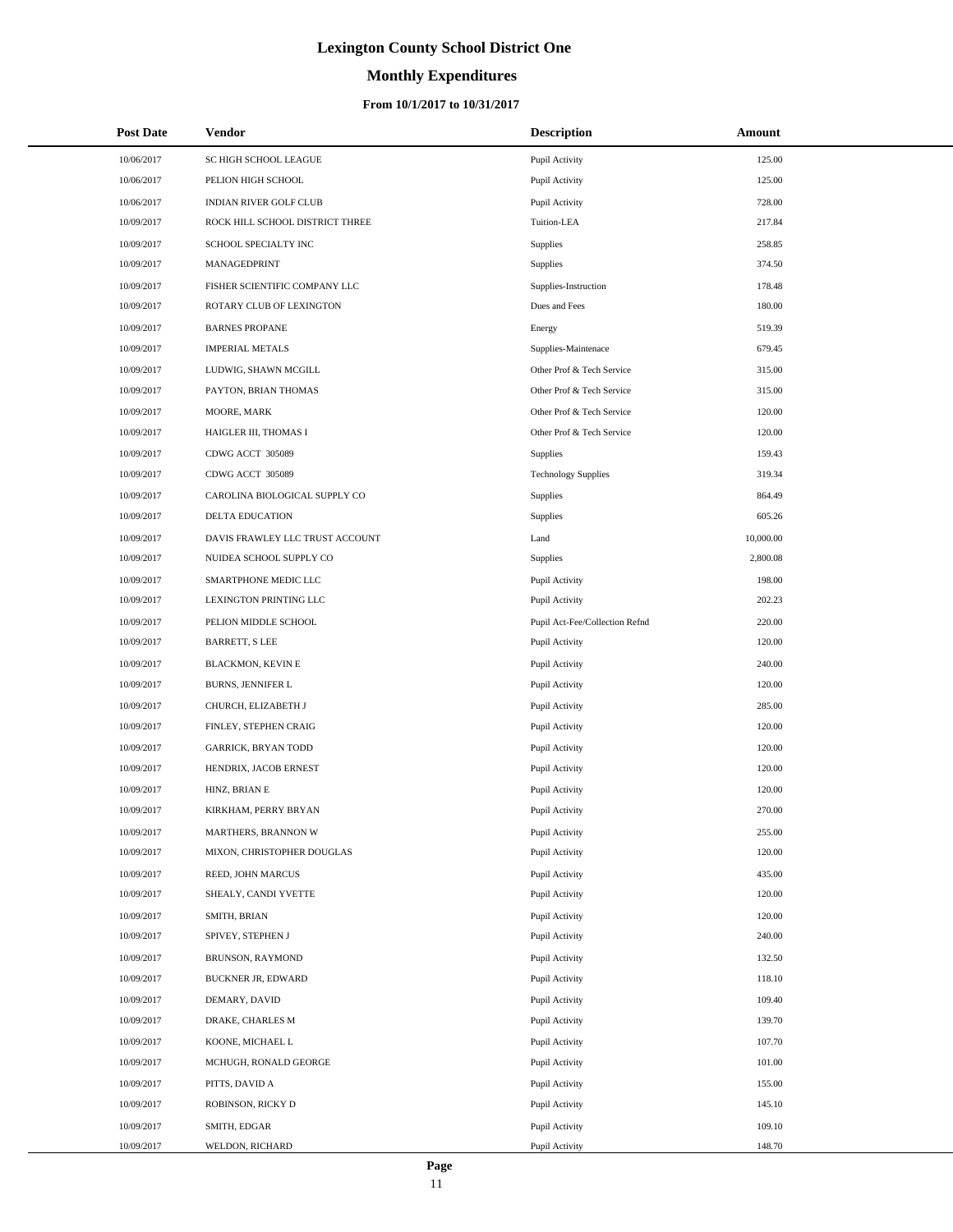# **Monthly Expenditures**

### **From 10/1/2017 to 10/31/2017**

| <b>Post Date</b> | Vendor                          | <b>Description</b>             | Amount    |
|------------------|---------------------------------|--------------------------------|-----------|
| 10/06/2017       | SC HIGH SCHOOL LEAGUE           | Pupil Activity                 | 125.00    |
| 10/06/2017       | PELION HIGH SCHOOL              | Pupil Activity                 | 125.00    |
| 10/06/2017       | INDIAN RIVER GOLF CLUB          | Pupil Activity                 | 728.00    |
| 10/09/2017       | ROCK HILL SCHOOL DISTRICT THREE | Tuition-LEA                    | 217.84    |
| 10/09/2017       | SCHOOL SPECIALTY INC            | Supplies                       | 258.85    |
| 10/09/2017       | MANAGEDPRINT                    | Supplies                       | 374.50    |
| 10/09/2017       | FISHER SCIENTIFIC COMPANY LLC   | Supplies-Instruction           | 178.48    |
| 10/09/2017       | ROTARY CLUB OF LEXINGTON        | Dues and Fees                  | 180.00    |
| 10/09/2017       | <b>BARNES PROPANE</b>           | Energy                         | 519.39    |
| 10/09/2017       | <b>IMPERIAL METALS</b>          | Supplies-Maintenace            | 679.45    |
| 10/09/2017       | LUDWIG, SHAWN MCGILL            | Other Prof & Tech Service      | 315.00    |
| 10/09/2017       | PAYTON, BRIAN THOMAS            | Other Prof & Tech Service      | 315.00    |
| 10/09/2017       | MOORE, MARK                     | Other Prof & Tech Service      | 120.00    |
| 10/09/2017       | HAIGLER III, THOMAS I           | Other Prof & Tech Service      | 120.00    |
| 10/09/2017       | CDWG ACCT 305089                | Supplies                       | 159.43    |
| 10/09/2017       | CDWG ACCT 305089                | <b>Technology Supplies</b>     | 319.34    |
| 10/09/2017       | CAROLINA BIOLOGICAL SUPPLY CO   | Supplies                       | 864.49    |
| 10/09/2017       | DELTA EDUCATION                 | Supplies                       | 605.26    |
| 10/09/2017       | DAVIS FRAWLEY LLC TRUST ACCOUNT | Land                           | 10,000.00 |
| 10/09/2017       | NUIDEA SCHOOL SUPPLY CO         | Supplies                       | 2,800.08  |
| 10/09/2017       | SMARTPHONE MEDIC LLC            | Pupil Activity                 | 198.00    |
| 10/09/2017       | LEXINGTON PRINTING LLC          | Pupil Activity                 | 202.23    |
| 10/09/2017       | PELION MIDDLE SCHOOL            | Pupil Act-Fee/Collection Refnd | 220.00    |
| 10/09/2017       | <b>BARRETT, S LEE</b>           | Pupil Activity                 | 120.00    |
| 10/09/2017       | <b>BLACKMON, KEVIN E</b>        | Pupil Activity                 | 240.00    |
| 10/09/2017       | <b>BURNS, JENNIFER L</b>        | Pupil Activity                 | 120.00    |
| 10/09/2017       | CHURCH, ELIZABETH J             | Pupil Activity                 | 285.00    |
| 10/09/2017       | FINLEY, STEPHEN CRAIG           | Pupil Activity                 | 120.00    |
| 10/09/2017       | <b>GARRICK, BRYAN TODD</b>      | Pupil Activity                 | 120.00    |
| 10/09/2017       | HENDRIX, JACOB ERNEST           | Pupil Activity                 | 120.00    |
| 10/09/2017       | HINZ, BRIAN E                   | Pupil Activity                 | 120.00    |
| 10/09/2017       | KIRKHAM, PERRY BRYAN            | Pupil Activity                 | 270.00    |
| 10/09/2017       | MARTHERS, BRANNON W             | Pupil Activity                 | 255.00    |
| 10/09/2017       | MIXON, CHRISTOPHER DOUGLAS      | Pupil Activity                 | 120.00    |
| 10/09/2017       | REED, JOHN MARCUS               | Pupil Activity                 | 435.00    |
| 10/09/2017       | SHEALY, CANDI YVETTE            | Pupil Activity                 | 120.00    |
| 10/09/2017       | SMITH, BRIAN                    | Pupil Activity                 | 120.00    |
| 10/09/2017       | SPIVEY, STEPHEN J               | Pupil Activity                 | 240.00    |
| 10/09/2017       | BRUNSON, RAYMOND                | Pupil Activity                 | 132.50    |
| 10/09/2017       | <b>BUCKNER JR, EDWARD</b>       | Pupil Activity                 | 118.10    |
| 10/09/2017       | DEMARY, DAVID                   | Pupil Activity                 | 109.40    |
| 10/09/2017       | DRAKE, CHARLES M                | Pupil Activity                 | 139.70    |
| 10/09/2017       | KOONE, MICHAEL L                | Pupil Activity                 | 107.70    |
| 10/09/2017       | MCHUGH, RONALD GEORGE           | Pupil Activity                 | 101.00    |
| 10/09/2017       | PITTS, DAVID A                  | Pupil Activity                 | 155.00    |
| 10/09/2017       | ROBINSON, RICKY D               | Pupil Activity                 | 145.10    |
| 10/09/2017       | SMITH, EDGAR                    | Pupil Activity                 | 109.10    |
| 10/09/2017       | WELDON, RICHARD                 | Pupil Activity                 | 148.70    |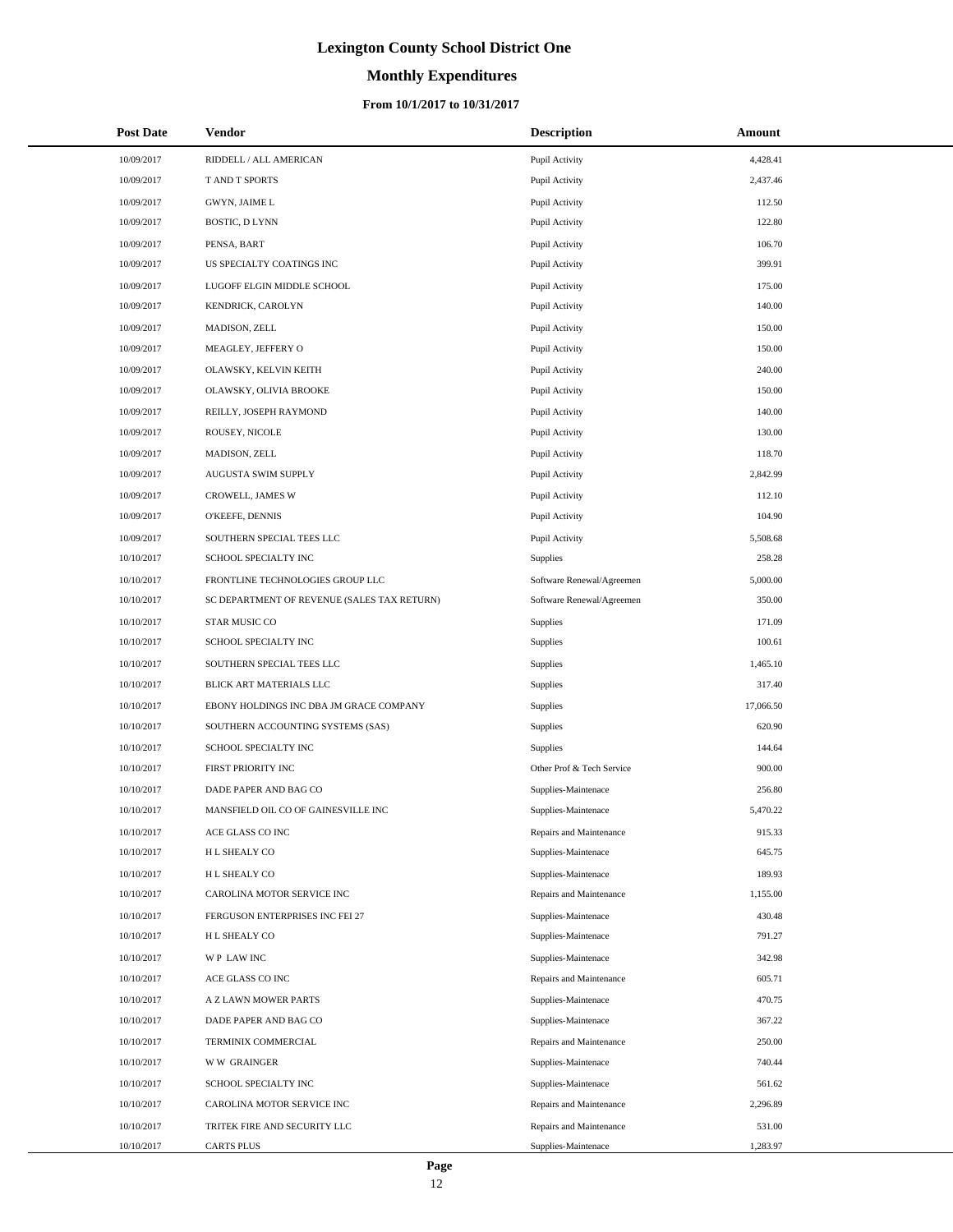# **Monthly Expenditures**

| <b>Post Date</b> | <b>Vendor</b>                               | <b>Description</b>        | <b>Amount</b> |
|------------------|---------------------------------------------|---------------------------|---------------|
| 10/09/2017       | RIDDELL / ALL AMERICAN                      | Pupil Activity            | 4,428.41      |
| 10/09/2017       | T AND T SPORTS                              | Pupil Activity            | 2,437.46      |
| 10/09/2017       | GWYN, JAIME L                               | Pupil Activity            | 112.50        |
| 10/09/2017       | <b>BOSTIC, D LYNN</b>                       | Pupil Activity            | 122.80        |
| 10/09/2017       | PENSA, BART                                 | Pupil Activity            | 106.70        |
| 10/09/2017       | US SPECIALTY COATINGS INC                   | Pupil Activity            | 399.91        |
| 10/09/2017       | LUGOFF ELGIN MIDDLE SCHOOL                  | Pupil Activity            | 175.00        |
| 10/09/2017       | KENDRICK, CAROLYN                           | Pupil Activity            | 140.00        |
| 10/09/2017       | MADISON, ZELL                               | Pupil Activity            | 150.00        |
| 10/09/2017       | MEAGLEY, JEFFERY O                          | Pupil Activity            | 150.00        |
| 10/09/2017       | OLAWSKY, KELVIN KEITH                       | Pupil Activity            | 240.00        |
| 10/09/2017       | OLAWSKY, OLIVIA BROOKE                      | Pupil Activity            | 150.00        |
| 10/09/2017       | REILLY, JOSEPH RAYMOND                      | Pupil Activity            | 140.00        |
| 10/09/2017       | ROUSEY, NICOLE                              | Pupil Activity            | 130.00        |
| 10/09/2017       | MADISON, ZELL                               | Pupil Activity            | 118.70        |
| 10/09/2017       | AUGUSTA SWIM SUPPLY                         | Pupil Activity            | 2,842.99      |
| 10/09/2017       | CROWELL, JAMES W                            | Pupil Activity            | 112.10        |
| 10/09/2017       | O'KEEFE, DENNIS                             | Pupil Activity            | 104.90        |
| 10/09/2017       | SOUTHERN SPECIAL TEES LLC                   | Pupil Activity            | 5,508.68      |
| 10/10/2017       | SCHOOL SPECIALTY INC                        | Supplies                  | 258.28        |
| 10/10/2017       | FRONTLINE TECHNOLOGIES GROUP LLC            | Software Renewal/Agreemen | 5,000.00      |
| 10/10/2017       | SC DEPARTMENT OF REVENUE (SALES TAX RETURN) | Software Renewal/Agreemen | 350.00        |
| 10/10/2017       | STAR MUSIC CO                               | Supplies                  | 171.09        |
| 10/10/2017       | SCHOOL SPECIALTY INC                        | Supplies                  | 100.61        |
| 10/10/2017       | SOUTHERN SPECIAL TEES LLC                   | Supplies                  | 1,465.10      |
| 10/10/2017       | BLICK ART MATERIALS LLC                     | Supplies                  | 317.40        |
| 10/10/2017       | EBONY HOLDINGS INC DBA JM GRACE COMPANY     | Supplies                  | 17,066.50     |
| 10/10/2017       | SOUTHERN ACCOUNTING SYSTEMS (SAS)           | Supplies                  | 620.90        |
| 10/10/2017       | SCHOOL SPECIALTY INC                        | Supplies                  | 144.64        |
| 10/10/2017       | FIRST PRIORITY INC                          | Other Prof & Tech Service | 900.00        |
| 10/10/2017       | DADE PAPER AND BAG CO                       | Supplies-Maintenace       | 256.80        |
| 10/10/2017       | MANSFIELD OIL CO OF GAINESVILLE INC         | Supplies-Maintenace       | 5,470.22      |
| 10/10/2017       | ACE GLASS CO INC                            | Repairs and Maintenance   | 915.33        |
| 10/10/2017       | H L SHEALY CO                               | Supplies-Maintenace       | 645.75        |
| 10/10/2017       | H L SHEALY CO                               | Supplies-Maintenace       | 189.93        |
| 10/10/2017       | CAROLINA MOTOR SERVICE INC                  | Repairs and Maintenance   | 1,155.00      |
| 10/10/2017       | FERGUSON ENTERPRISES INC FEI 27             | Supplies-Maintenace       | 430.48        |
| 10/10/2017       | H L SHEALY CO                               | Supplies-Maintenace       | 791.27        |
| 10/10/2017       | WP LAW INC                                  | Supplies-Maintenace       | 342.98        |
| 10/10/2017       | ACE GLASS CO INC                            | Repairs and Maintenance   | 605.71        |
| 10/10/2017       | A Z LAWN MOWER PARTS                        | Supplies-Maintenace       | 470.75        |
| 10/10/2017       | DADE PAPER AND BAG CO                       | Supplies-Maintenace       | 367.22        |
| 10/10/2017       | TERMINIX COMMERCIAL                         | Repairs and Maintenance   | 250.00        |
| 10/10/2017       | <b>WW GRAINGER</b>                          | Supplies-Maintenace       | 740.44        |
| 10/10/2017       | SCHOOL SPECIALTY INC                        | Supplies-Maintenace       | 561.62        |
| 10/10/2017       | CAROLINA MOTOR SERVICE INC                  | Repairs and Maintenance   | 2,296.89      |
| 10/10/2017       | TRITEK FIRE AND SECURITY LLC                | Repairs and Maintenance   | 531.00        |
| 10/10/2017       | CARTS PLUS                                  | Supplies-Maintenace       | 1,283.97      |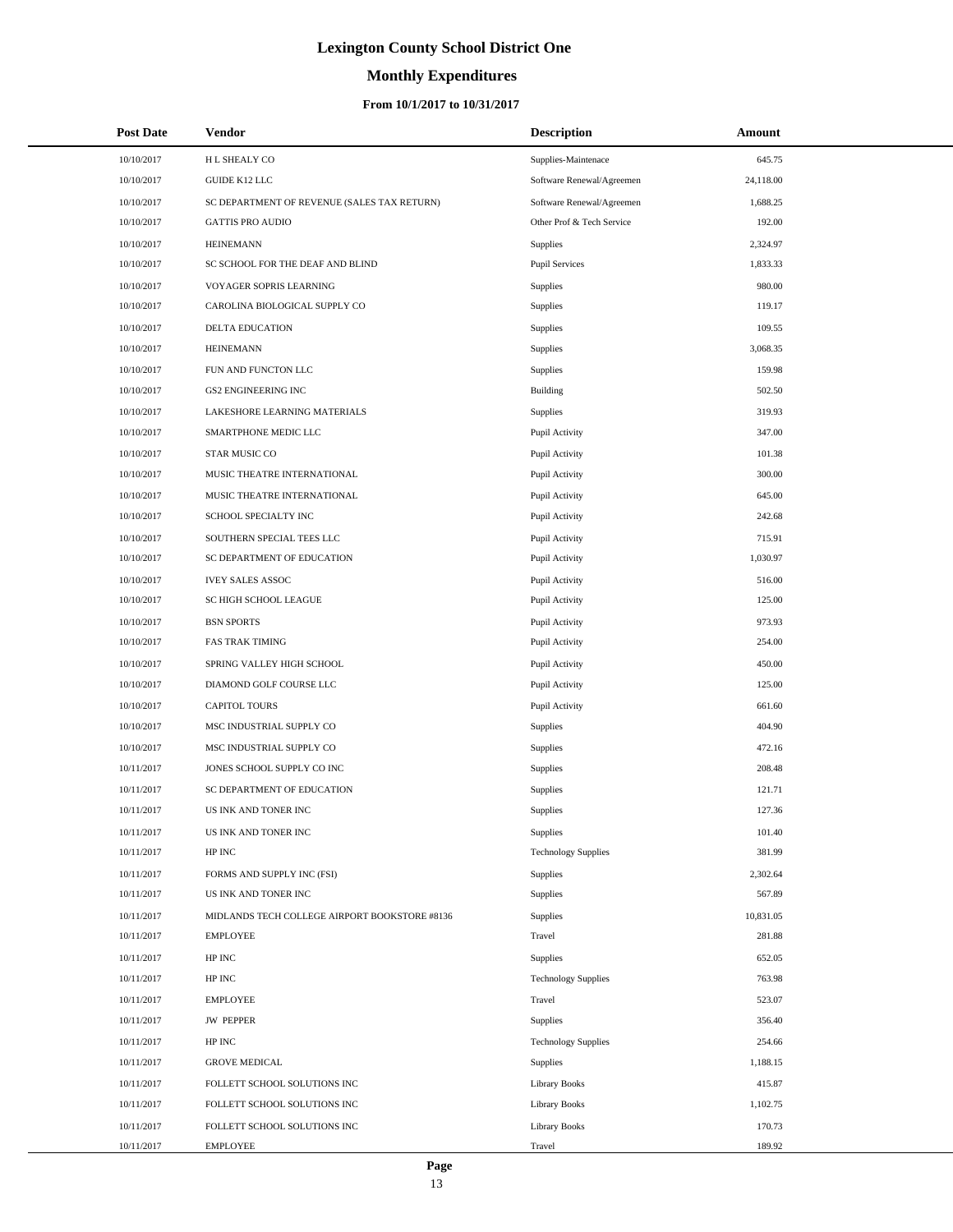# **Monthly Expenditures**

| <b>Post Date</b> | <b>Vendor</b>                                 | <b>Description</b>         | Amount    |  |
|------------------|-----------------------------------------------|----------------------------|-----------|--|
| 10/10/2017       | H L SHEALY CO                                 | Supplies-Maintenace        | 645.75    |  |
| 10/10/2017       | <b>GUIDE K12 LLC</b>                          | Software Renewal/Agreemen  | 24,118.00 |  |
| 10/10/2017       | SC DEPARTMENT OF REVENUE (SALES TAX RETURN)   | Software Renewal/Agreemen  | 1,688.25  |  |
| 10/10/2017       | <b>GATTIS PRO AUDIO</b>                       | Other Prof & Tech Service  | 192.00    |  |
| 10/10/2017       | <b>HEINEMANN</b>                              | Supplies                   | 2,324.97  |  |
| 10/10/2017       | SC SCHOOL FOR THE DEAF AND BLIND              | <b>Pupil Services</b>      | 1,833.33  |  |
| 10/10/2017       | VOYAGER SOPRIS LEARNING                       | <b>Supplies</b>            | 980.00    |  |
| 10/10/2017       | CAROLINA BIOLOGICAL SUPPLY CO                 | Supplies                   | 119.17    |  |
| 10/10/2017       | DELTA EDUCATION                               | <b>Supplies</b>            | 109.55    |  |
| 10/10/2017       | <b>HEINEMANN</b>                              | Supplies                   | 3,068.35  |  |
| 10/10/2017       | FUN AND FUNCTON LLC                           | <b>Supplies</b>            | 159.98    |  |
| 10/10/2017       | <b>GS2 ENGINEERING INC</b>                    | Building                   | 502.50    |  |
| 10/10/2017       | LAKESHORE LEARNING MATERIALS                  | <b>Supplies</b>            | 319.93    |  |
| 10/10/2017       | SMARTPHONE MEDIC LLC                          | Pupil Activity             | 347.00    |  |
| 10/10/2017       | STAR MUSIC CO                                 | Pupil Activity             | 101.38    |  |
| 10/10/2017       | MUSIC THEATRE INTERNATIONAL                   | Pupil Activity             | 300.00    |  |
| 10/10/2017       | MUSIC THEATRE INTERNATIONAL                   | Pupil Activity             | 645.00    |  |
| 10/10/2017       | SCHOOL SPECIALTY INC                          | Pupil Activity             | 242.68    |  |
| 10/10/2017       | SOUTHERN SPECIAL TEES LLC                     | Pupil Activity             | 715.91    |  |
| 10/10/2017       | SC DEPARTMENT OF EDUCATION                    | Pupil Activity             | 1,030.97  |  |
| 10/10/2017       | <b>IVEY SALES ASSOC</b>                       | Pupil Activity             | 516.00    |  |
| 10/10/2017       | SC HIGH SCHOOL LEAGUE                         | Pupil Activity             | 125.00    |  |
| 10/10/2017       | <b>BSN SPORTS</b>                             | Pupil Activity             | 973.93    |  |
| 10/10/2017       | <b>FAS TRAK TIMING</b>                        | Pupil Activity             | 254.00    |  |
| 10/10/2017       | SPRING VALLEY HIGH SCHOOL                     | Pupil Activity             | 450.00    |  |
| 10/10/2017       | DIAMOND GOLF COURSE LLC                       | Pupil Activity             | 125.00    |  |
| 10/10/2017       | <b>CAPITOL TOURS</b>                          | Pupil Activity             | 661.60    |  |
| 10/10/2017       | MSC INDUSTRIAL SUPPLY CO                      | Supplies                   | 404.90    |  |
| 10/10/2017       | MSC INDUSTRIAL SUPPLY CO                      | <b>Supplies</b>            | 472.16    |  |
| 10/11/2017       | JONES SCHOOL SUPPLY CO INC                    | <b>Supplies</b>            | 208.48    |  |
| 10/11/2017       | SC DEPARTMENT OF EDUCATION                    | <b>Supplies</b>            | 121.71    |  |
| 10/11/2017       | US INK AND TONER INC                          | <b>Supplies</b>            | 127.36    |  |
| 10/11/2017       | US INK AND TONER INC                          | <b>Supplies</b>            | 101.40    |  |
| 10/11/2017       | HP INC                                        | <b>Technology Supplies</b> | 381.99    |  |
| 10/11/2017       | FORMS AND SUPPLY INC (FSI)                    | Supplies                   | 2,302.64  |  |
| 10/11/2017       | US INK AND TONER INC                          | <b>Supplies</b>            | 567.89    |  |
| 10/11/2017       | MIDLANDS TECH COLLEGE AIRPORT BOOKSTORE #8136 | <b>Supplies</b>            | 10,831.05 |  |
| 10/11/2017       | <b>EMPLOYEE</b>                               | Travel                     | 281.88    |  |
| 10/11/2017       | HP INC                                        | <b>Supplies</b>            | 652.05    |  |
| 10/11/2017       | HP INC                                        | <b>Technology Supplies</b> | 763.98    |  |
| 10/11/2017       | <b>EMPLOYEE</b>                               | Travel                     | 523.07    |  |
| 10/11/2017       | <b>JW PEPPER</b>                              | Supplies                   | 356.40    |  |
| 10/11/2017       | HP INC                                        | <b>Technology Supplies</b> | 254.66    |  |
| 10/11/2017       | <b>GROVE MEDICAL</b>                          | <b>Supplies</b>            | 1,188.15  |  |
| 10/11/2017       | FOLLETT SCHOOL SOLUTIONS INC                  | <b>Library Books</b>       | 415.87    |  |
| 10/11/2017       | FOLLETT SCHOOL SOLUTIONS INC                  | <b>Library Books</b>       | 1,102.75  |  |
| 10/11/2017       | FOLLETT SCHOOL SOLUTIONS INC                  | <b>Library Books</b>       | 170.73    |  |
| 10/11/2017       | <b>EMPLOYEE</b>                               | Travel                     | 189.92    |  |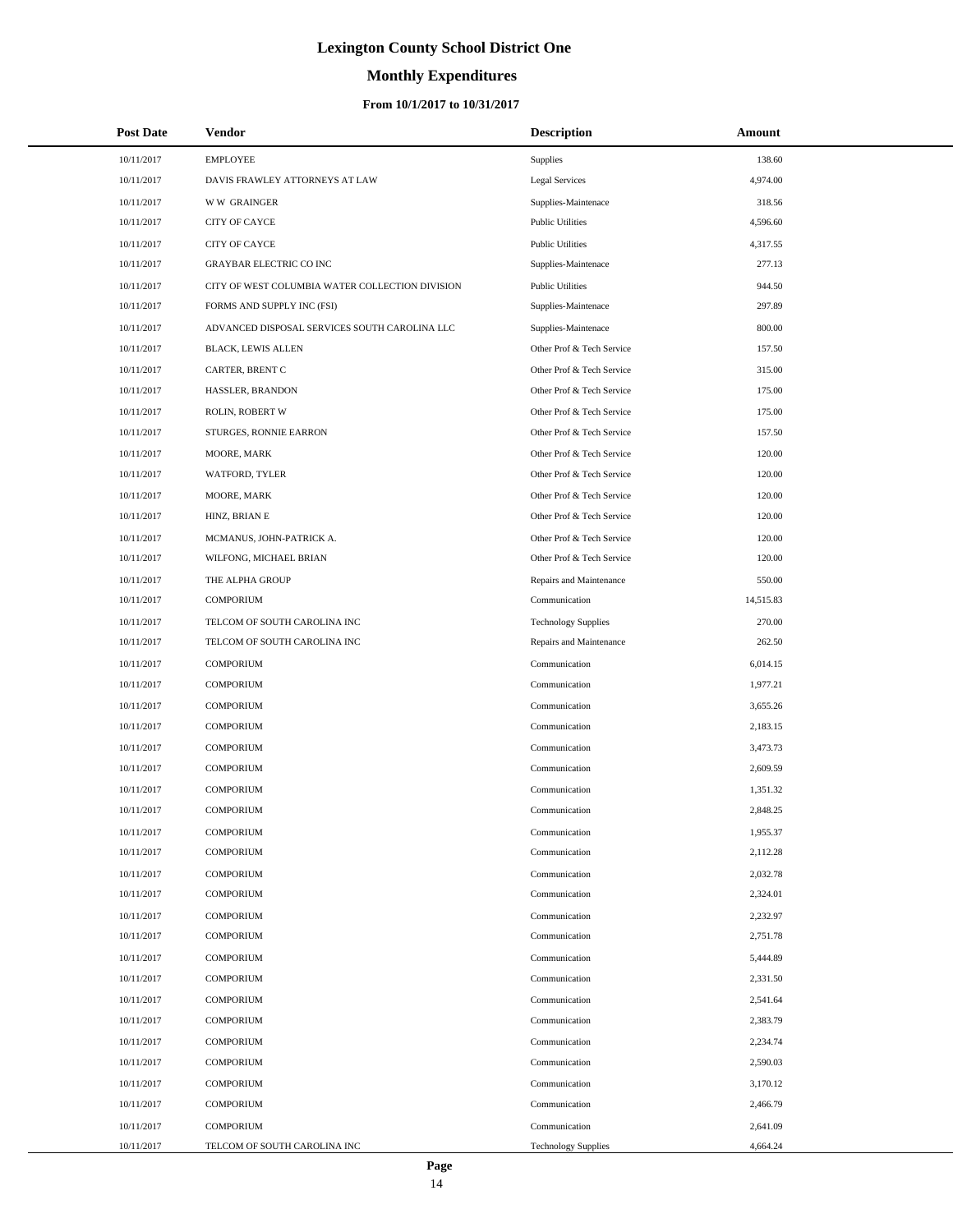# **Monthly Expenditures**

### **From 10/1/2017 to 10/31/2017**

| <b>Post Date</b> | <b>Vendor</b>                                   | <b>Description</b>         | Amount    |  |
|------------------|-------------------------------------------------|----------------------------|-----------|--|
| 10/11/2017       | <b>EMPLOYEE</b>                                 | Supplies                   | 138.60    |  |
| 10/11/2017       | DAVIS FRAWLEY ATTORNEYS AT LAW                  | <b>Legal Services</b>      | 4,974.00  |  |
| 10/11/2017       | <b>WW GRAINGER</b>                              | Supplies-Maintenace        | 318.56    |  |
| 10/11/2017       | <b>CITY OF CAYCE</b>                            | <b>Public Utilities</b>    | 4,596.60  |  |
| 10/11/2017       | CITY OF CAYCE                                   | <b>Public Utilities</b>    | 4,317.55  |  |
| 10/11/2017       | GRAYBAR ELECTRIC CO INC                         | Supplies-Maintenace        | 277.13    |  |
| 10/11/2017       | CITY OF WEST COLUMBIA WATER COLLECTION DIVISION | <b>Public Utilities</b>    | 944.50    |  |
| 10/11/2017       | FORMS AND SUPPLY INC (FSI)                      | Supplies-Maintenace        | 297.89    |  |
| 10/11/2017       | ADVANCED DISPOSAL SERVICES SOUTH CAROLINA LLC   | Supplies-Maintenace        | 800.00    |  |
| 10/11/2017       | <b>BLACK, LEWIS ALLEN</b>                       | Other Prof & Tech Service  | 157.50    |  |
| 10/11/2017       | CARTER, BRENT C                                 | Other Prof & Tech Service  | 315.00    |  |
| 10/11/2017       | HASSLER, BRANDON                                | Other Prof & Tech Service  | 175.00    |  |
| 10/11/2017       | ROLIN, ROBERT W                                 | Other Prof & Tech Service  | 175.00    |  |
| 10/11/2017       | STURGES, RONNIE EARRON                          | Other Prof & Tech Service  | 157.50    |  |
| 10/11/2017       | MOORE, MARK                                     | Other Prof & Tech Service  | 120.00    |  |
| 10/11/2017       | WATFORD, TYLER                                  | Other Prof & Tech Service  | 120.00    |  |
| 10/11/2017       | MOORE, MARK                                     | Other Prof & Tech Service  | 120.00    |  |
| 10/11/2017       | HINZ, BRIAN E                                   | Other Prof & Tech Service  | 120.00    |  |
| 10/11/2017       | MCMANUS, JOHN-PATRICK A.                        | Other Prof & Tech Service  | 120.00    |  |
| 10/11/2017       | WILFONG, MICHAEL BRIAN                          | Other Prof & Tech Service  | 120.00    |  |
| 10/11/2017       | THE ALPHA GROUP                                 | Repairs and Maintenance    | 550.00    |  |
| 10/11/2017       | <b>COMPORIUM</b>                                | Communication              | 14,515.83 |  |
| 10/11/2017       | TELCOM OF SOUTH CAROLINA INC                    | <b>Technology Supplies</b> | 270.00    |  |
| 10/11/2017       | TELCOM OF SOUTH CAROLINA INC                    | Repairs and Maintenance    | 262.50    |  |
| 10/11/2017       | <b>COMPORIUM</b>                                | Communication              | 6,014.15  |  |
| 10/11/2017       | <b>COMPORIUM</b>                                | Communication              | 1,977.21  |  |
| 10/11/2017       | <b>COMPORIUM</b>                                | Communication              | 3,655.26  |  |
| 10/11/2017       | <b>COMPORIUM</b>                                | Communication              | 2,183.15  |  |
| 10/11/2017       | <b>COMPORIUM</b>                                | Communication              | 3,473.73  |  |
| 10/11/2017       | <b>COMPORIUM</b>                                | Communication              | 2,609.59  |  |
| 10/11/2017       | <b>COMPORIUM</b>                                | Communication              | 1,351.32  |  |
| 10/11/2017       | <b>COMPORIUM</b>                                | Communication              | 2,848.25  |  |
| 10/11/2017       | COMPORIUM                                       | Communication              | 1,955.37  |  |
| 10/11/2017       | <b>COMPORIUM</b>                                | Communication              | 2,112.28  |  |
| 10/11/2017       | <b>COMPORIUM</b>                                | Communication              | 2,032.78  |  |
| 10/11/2017       | <b>COMPORIUM</b>                                | Communication              | 2,324.01  |  |
| 10/11/2017       | <b>COMPORIUM</b>                                | Communication              | 2,232.97  |  |
| 10/11/2017       | <b>COMPORIUM</b>                                | Communication              | 2,751.78  |  |
| 10/11/2017       | <b>COMPORIUM</b>                                | Communication              | 5,444.89  |  |
| 10/11/2017       | <b>COMPORIUM</b>                                | Communication              | 2,331.50  |  |
| 10/11/2017       | <b>COMPORIUM</b>                                | Communication              | 2,541.64  |  |
| 10/11/2017       | <b>COMPORIUM</b>                                | Communication              | 2,383.79  |  |
| 10/11/2017       | <b>COMPORIUM</b>                                | Communication              | 2,234.74  |  |
| 10/11/2017       | <b>COMPORIUM</b>                                | Communication              | 2,590.03  |  |
| 10/11/2017       | <b>COMPORIUM</b>                                | Communication              | 3,170.12  |  |
| 10/11/2017       | <b>COMPORIUM</b>                                | Communication              | 2,466.79  |  |
| 10/11/2017       | <b>COMPORIUM</b>                                | Communication              | 2,641.09  |  |
| 10/11/2017       | TELCOM OF SOUTH CAROLINA INC                    | <b>Technology Supplies</b> | 4,664.24  |  |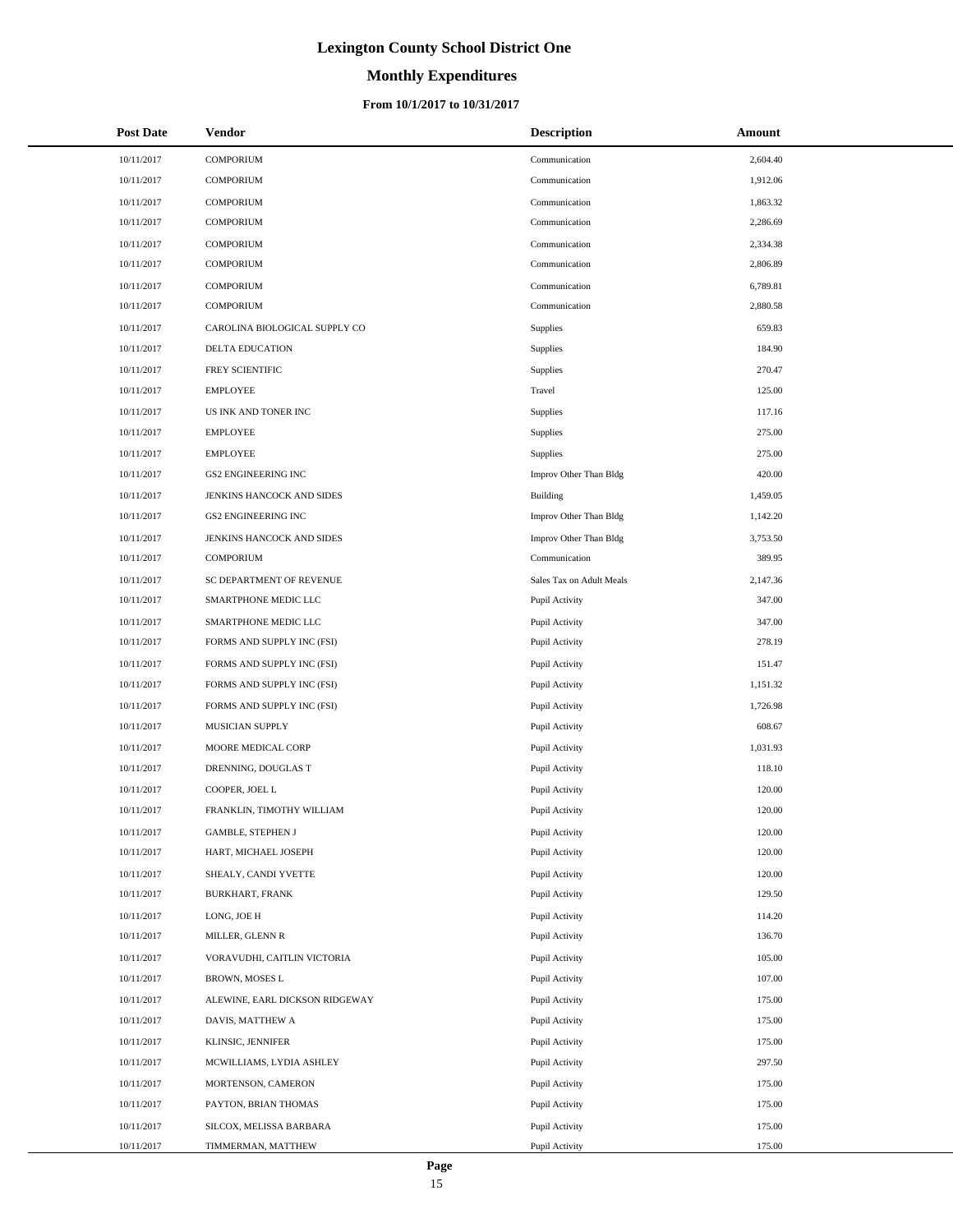# **Monthly Expenditures**

### **From 10/1/2017 to 10/31/2017**

| <b>Post Date</b> | Vendor                         | <b>Description</b>       | Amount   |
|------------------|--------------------------------|--------------------------|----------|
| 10/11/2017       | <b>COMPORIUM</b>               | Communication            | 2,604.40 |
| 10/11/2017       | COMPORIUM                      | Communication            | 1,912.06 |
| 10/11/2017       | <b>COMPORIUM</b>               | Communication            | 1,863.32 |
| 10/11/2017       | <b>COMPORIUM</b>               | Communication            | 2,286.69 |
| 10/11/2017       | <b>COMPORIUM</b>               | Communication            | 2,334.38 |
| 10/11/2017       | <b>COMPORIUM</b>               | Communication            | 2,806.89 |
| 10/11/2017       | <b>COMPORIUM</b>               | Communication            | 6,789.81 |
| 10/11/2017       | <b>COMPORIUM</b>               | Communication            | 2,880.58 |
| 10/11/2017       | CAROLINA BIOLOGICAL SUPPLY CO  | Supplies                 | 659.83   |
| 10/11/2017       | <b>DELTA EDUCATION</b>         | Supplies                 | 184.90   |
| 10/11/2017       | FREY SCIENTIFIC                | Supplies                 | 270.47   |
| 10/11/2017       | <b>EMPLOYEE</b>                | Travel                   | 125.00   |
| 10/11/2017       | US INK AND TONER INC           | Supplies                 | 117.16   |
| 10/11/2017       | <b>EMPLOYEE</b>                | Supplies                 | 275.00   |
| 10/11/2017       | <b>EMPLOYEE</b>                | Supplies                 | 275.00   |
| 10/11/2017       | <b>GS2 ENGINEERING INC</b>     | Improv Other Than Bldg   | 420.00   |
| 10/11/2017       | JENKINS HANCOCK AND SIDES      | Building                 | 1,459.05 |
| 10/11/2017       | <b>GS2 ENGINEERING INC</b>     | Improv Other Than Bldg   | 1,142.20 |
| 10/11/2017       | JENKINS HANCOCK AND SIDES      | Improv Other Than Bldg   | 3,753.50 |
| 10/11/2017       | COMPORIUM                      | Communication            | 389.95   |
| 10/11/2017       | SC DEPARTMENT OF REVENUE       | Sales Tax on Adult Meals | 2,147.36 |
| 10/11/2017       | SMARTPHONE MEDIC LLC           | Pupil Activity           | 347.00   |
| 10/11/2017       | SMARTPHONE MEDIC LLC           | Pupil Activity           | 347.00   |
| 10/11/2017       | FORMS AND SUPPLY INC (FSI)     | Pupil Activity           | 278.19   |
| 10/11/2017       | FORMS AND SUPPLY INC (FSI)     | Pupil Activity           | 151.47   |
| 10/11/2017       | FORMS AND SUPPLY INC (FSI)     | Pupil Activity           | 1,151.32 |
| 10/11/2017       | FORMS AND SUPPLY INC (FSI)     | Pupil Activity           | 1,726.98 |
| 10/11/2017       | MUSICIAN SUPPLY                | Pupil Activity           | 608.67   |
| 10/11/2017       | MOORE MEDICAL CORP             | Pupil Activity           | 1,031.93 |
| 10/11/2017       | DRENNING, DOUGLAS T            | Pupil Activity           | 118.10   |
| 10/11/2017       | COOPER, JOEL L                 | Pupil Activity           | 120.00   |
| 10/11/2017       | FRANKLIN, TIMOTHY WILLIAM      | Pupil Activity           | 120.00   |
| 10/11/2017       | GAMBLE, STEPHEN J              | Pupil Activity           | 120.00   |
| 10/11/2017       | HART, MICHAEL JOSEPH           | Pupil Activity           | 120.00   |
| 10/11/2017       | SHEALY, CANDI YVETTE           | Pupil Activity           | 120.00   |
| 10/11/2017       | <b>BURKHART, FRANK</b>         | Pupil Activity           | 129.50   |
| 10/11/2017       | LONG, JOE H                    | Pupil Activity           | 114.20   |
| 10/11/2017       | MILLER, GLENN R                | Pupil Activity           | 136.70   |
| 10/11/2017       | VORAVUDHI, CAITLIN VICTORIA    | Pupil Activity           | 105.00   |
| 10/11/2017       | BROWN, MOSES L                 | Pupil Activity           | 107.00   |
| 10/11/2017       | ALEWINE, EARL DICKSON RIDGEWAY | Pupil Activity           | 175.00   |
| 10/11/2017       | DAVIS, MATTHEW A               | Pupil Activity           | 175.00   |
| 10/11/2017       | KLINSIC, JENNIFER              | Pupil Activity           | 175.00   |
| 10/11/2017       | MCWILLIAMS, LYDIA ASHLEY       | Pupil Activity           | 297.50   |
| 10/11/2017       | MORTENSON, CAMERON             | Pupil Activity           | 175.00   |
| 10/11/2017       | PAYTON, BRIAN THOMAS           | Pupil Activity           | 175.00   |
| 10/11/2017       | SILCOX, MELISSA BARBARA        | Pupil Activity           | 175.00   |
| 10/11/2017       | TIMMERMAN, MATTHEW             | Pupil Activity           | 175.00   |

÷.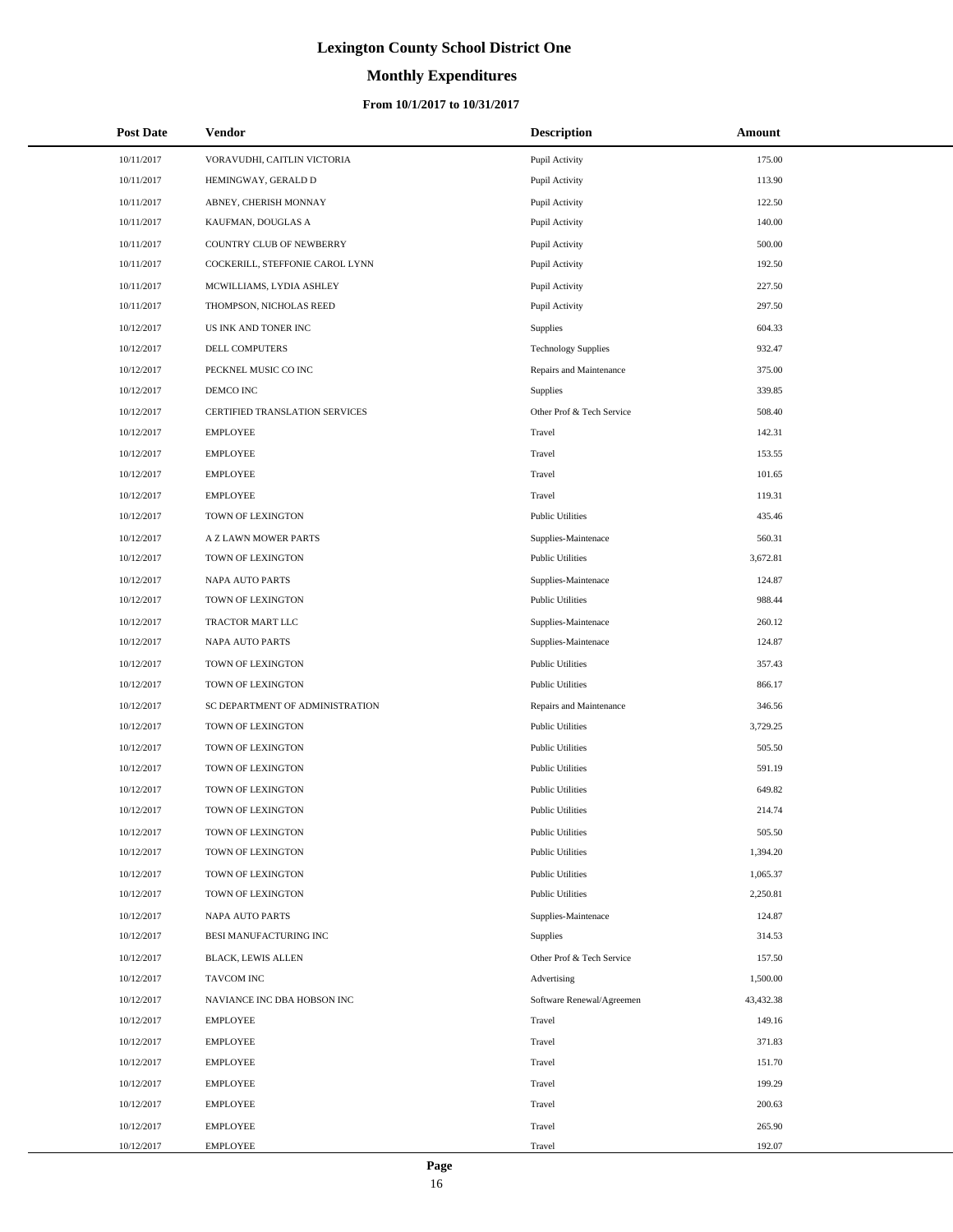# **Monthly Expenditures**

### **From 10/1/2017 to 10/31/2017**

| <b>Post Date</b> | Vendor                          | <b>Description</b>         | Amount    |
|------------------|---------------------------------|----------------------------|-----------|
| 10/11/2017       | VORAVUDHI, CAITLIN VICTORIA     | Pupil Activity             | 175.00    |
| 10/11/2017       | HEMINGWAY, GERALD D             | Pupil Activity             | 113.90    |
| 10/11/2017       | ABNEY, CHERISH MONNAY           | Pupil Activity             | 122.50    |
| 10/11/2017       | KAUFMAN, DOUGLAS A              | Pupil Activity             | 140.00    |
| 10/11/2017       | COUNTRY CLUB OF NEWBERRY        | Pupil Activity             | 500.00    |
| 10/11/2017       | COCKERILL, STEFFONIE CAROL LYNN | Pupil Activity             | 192.50    |
| 10/11/2017       | MCWILLIAMS, LYDIA ASHLEY        | Pupil Activity             | 227.50    |
| 10/11/2017       | THOMPSON, NICHOLAS REED         | Pupil Activity             | 297.50    |
| 10/12/2017       | US INK AND TONER INC            | Supplies                   | 604.33    |
| 10/12/2017       | DELL COMPUTERS                  | <b>Technology Supplies</b> | 932.47    |
| 10/12/2017       | PECKNEL MUSIC CO INC            | Repairs and Maintenance    | 375.00    |
| 10/12/2017       | DEMCO INC                       | Supplies                   | 339.85    |
| 10/12/2017       | CERTIFIED TRANSLATION SERVICES  | Other Prof & Tech Service  | 508.40    |
| 10/12/2017       | <b>EMPLOYEE</b>                 | Travel                     | 142.31    |
| 10/12/2017       | <b>EMPLOYEE</b>                 | Travel                     | 153.55    |
| 10/12/2017       | <b>EMPLOYEE</b>                 | Travel                     | 101.65    |
| 10/12/2017       | <b>EMPLOYEE</b>                 | Travel                     | 119.31    |
| 10/12/2017       | TOWN OF LEXINGTON               | <b>Public Utilities</b>    | 435.46    |
| 10/12/2017       | A Z LAWN MOWER PARTS            | Supplies-Maintenace        | 560.31    |
| 10/12/2017       | TOWN OF LEXINGTON               | <b>Public Utilities</b>    | 3,672.81  |
| 10/12/2017       | NAPA AUTO PARTS                 | Supplies-Maintenace        | 124.87    |
| 10/12/2017       | TOWN OF LEXINGTON               | <b>Public Utilities</b>    | 988.44    |
| 10/12/2017       | TRACTOR MART LLC                | Supplies-Maintenace        | 260.12    |
| 10/12/2017       | NAPA AUTO PARTS                 | Supplies-Maintenace        | 124.87    |
| 10/12/2017       | TOWN OF LEXINGTON               | <b>Public Utilities</b>    | 357.43    |
| 10/12/2017       | TOWN OF LEXINGTON               | <b>Public Utilities</b>    | 866.17    |
| 10/12/2017       | SC DEPARTMENT OF ADMINISTRATION | Repairs and Maintenance    | 346.56    |
| 10/12/2017       | TOWN OF LEXINGTON               | <b>Public Utilities</b>    | 3,729.25  |
| 10/12/2017       | TOWN OF LEXINGTON               | <b>Public Utilities</b>    | 505.50    |
| 10/12/2017       | TOWN OF LEXINGTON               | <b>Public Utilities</b>    | 591.19    |
| 10/12/2017       | TOWN OF LEXINGTON               | <b>Public Utilities</b>    | 649.82    |
| 10/12/2017       | TOWN OF LEXINGTON               | <b>Public Utilities</b>    | 214.74    |
| 10/12/2017       | TOWN OF LEXINGTON               | <b>Public Utilities</b>    | 505.50    |
| 10/12/2017       | TOWN OF LEXINGTON               | <b>Public Utilities</b>    | 1,394.20  |
| 10/12/2017       | TOWN OF LEXINGTON               | <b>Public Utilities</b>    | 1,065.37  |
| 10/12/2017       | TOWN OF LEXINGTON               | <b>Public Utilities</b>    | 2,250.81  |
| 10/12/2017       | <b>NAPA AUTO PARTS</b>          | Supplies-Maintenace        | 124.87    |
| 10/12/2017       | BESI MANUFACTURING INC          | <b>Supplies</b>            | 314.53    |
| 10/12/2017       | BLACK, LEWIS ALLEN              | Other Prof & Tech Service  | 157.50    |
| 10/12/2017       | <b>TAVCOM INC</b>               | Advertising                | 1,500.00  |
| 10/12/2017       | NAVIANCE INC DBA HOBSON INC     | Software Renewal/Agreemen  | 43,432.38 |
| 10/12/2017       | <b>EMPLOYEE</b>                 | Travel                     | 149.16    |
| 10/12/2017       | <b>EMPLOYEE</b>                 | Travel                     | 371.83    |
| 10/12/2017       | <b>EMPLOYEE</b>                 | Travel                     | 151.70    |
| 10/12/2017       | <b>EMPLOYEE</b>                 | Travel                     | 199.29    |
| 10/12/2017       | <b>EMPLOYEE</b>                 | Travel                     | 200.63    |
| 10/12/2017       | <b>EMPLOYEE</b>                 | Travel                     | 265.90    |
| 10/12/2017       | <b>EMPLOYEE</b>                 | Travel                     | 192.07    |

 $\overline{a}$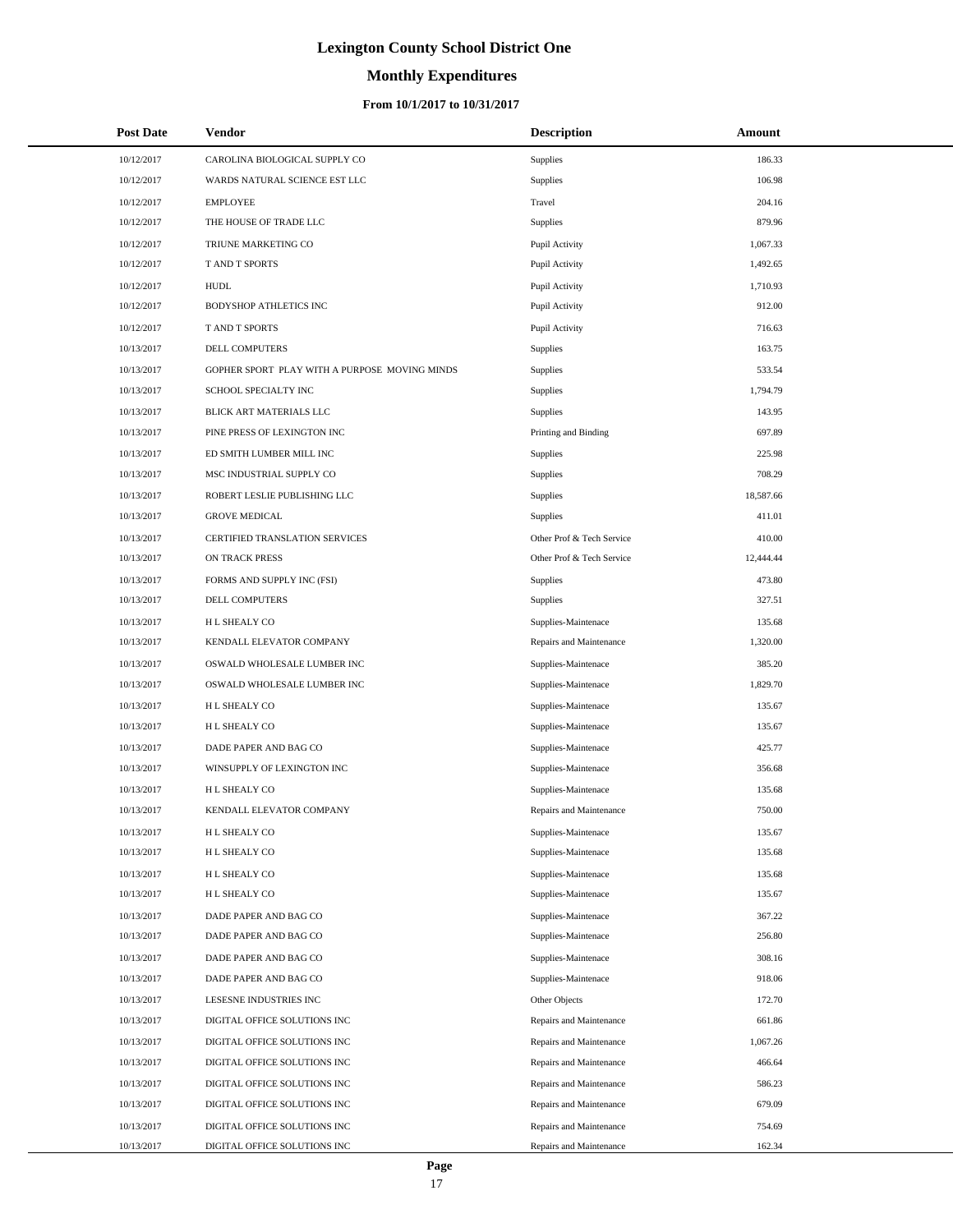# **Monthly Expenditures**

### **From 10/1/2017 to 10/31/2017**

| <b>Post Date</b> | Vendor                                        | <b>Description</b>        | Amount    |
|------------------|-----------------------------------------------|---------------------------|-----------|
| 10/12/2017       | CAROLINA BIOLOGICAL SUPPLY CO                 | <b>Supplies</b>           | 186.33    |
| 10/12/2017       | WARDS NATURAL SCIENCE EST LLC                 | <b>Supplies</b>           | 106.98    |
| 10/12/2017       | <b>EMPLOYEE</b>                               | Travel                    | 204.16    |
| 10/12/2017       | THE HOUSE OF TRADE LLC                        | <b>Supplies</b>           | 879.96    |
| 10/12/2017       | TRIUNE MARKETING CO                           | Pupil Activity            | 1,067.33  |
| 10/12/2017       | T AND T SPORTS                                | Pupil Activity            | 1,492.65  |
| 10/12/2017       | <b>HUDL</b>                                   | Pupil Activity            | 1,710.93  |
| 10/12/2017       | BODYSHOP ATHLETICS INC                        | Pupil Activity            | 912.00    |
| 10/12/2017       | T AND T SPORTS                                | Pupil Activity            | 716.63    |
| 10/13/2017       | DELL COMPUTERS                                | <b>Supplies</b>           | 163.75    |
| 10/13/2017       | GOPHER SPORT PLAY WITH A PURPOSE MOVING MINDS | <b>Supplies</b>           | 533.54    |
| 10/13/2017       | SCHOOL SPECIALTY INC                          | <b>Supplies</b>           | 1,794.79  |
| 10/13/2017       | BLICK ART MATERIALS LLC                       | <b>Supplies</b>           | 143.95    |
| 10/13/2017       | PINE PRESS OF LEXINGTON INC                   | Printing and Binding      | 697.89    |
| 10/13/2017       | ED SMITH LUMBER MILL INC                      | <b>Supplies</b>           | 225.98    |
| 10/13/2017       | MSC INDUSTRIAL SUPPLY CO                      | <b>Supplies</b>           | 708.29    |
| 10/13/2017       | ROBERT LESLIE PUBLISHING LLC                  | <b>Supplies</b>           | 18,587.66 |
| 10/13/2017       | <b>GROVE MEDICAL</b>                          | <b>Supplies</b>           | 411.01    |
| 10/13/2017       | CERTIFIED TRANSLATION SERVICES                | Other Prof & Tech Service | 410.00    |
| 10/13/2017       | <b>ON TRACK PRESS</b>                         | Other Prof & Tech Service | 12,444.44 |
| 10/13/2017       | FORMS AND SUPPLY INC (FSI)                    | <b>Supplies</b>           | 473.80    |
| 10/13/2017       | DELL COMPUTERS                                | <b>Supplies</b>           | 327.51    |
| 10/13/2017       | H L SHEALY CO                                 | Supplies-Maintenace       | 135.68    |
| 10/13/2017       | KENDALL ELEVATOR COMPANY                      | Repairs and Maintenance   | 1,320.00  |
| 10/13/2017       | OSWALD WHOLESALE LUMBER INC                   | Supplies-Maintenace       | 385.20    |
| 10/13/2017       | OSWALD WHOLESALE LUMBER INC                   | Supplies-Maintenace       | 1,829.70  |
| 10/13/2017       | H L SHEALY CO                                 | Supplies-Maintenace       | 135.67    |
| 10/13/2017       | H L SHEALY CO                                 | Supplies-Maintenace       | 135.67    |
| 10/13/2017       | DADE PAPER AND BAG CO                         | Supplies-Maintenace       | 425.77    |
| 10/13/2017       | WINSUPPLY OF LEXINGTON INC                    | Supplies-Maintenace       | 356.68    |
| 10/13/2017       | H L SHEALY CO                                 | Supplies-Maintenace       | 135.68    |
| 10/13/2017       | KENDALL ELEVATOR COMPANY                      | Repairs and Maintenance   | 750.00    |
| 10/13/2017       | H L SHEALY CO                                 | Supplies-Maintenace       | 135.67    |
| 10/13/2017       | H L SHEALY CO                                 | Supplies-Maintenace       | 135.68    |
| 10/13/2017       | H L SHEALY CO                                 | Supplies-Maintenace       | 135.68    |
| 10/13/2017       | H L SHEALY CO                                 | Supplies-Maintenace       | 135.67    |
| 10/13/2017       | DADE PAPER AND BAG CO                         | Supplies-Maintenace       | 367.22    |
| 10/13/2017       | DADE PAPER AND BAG CO                         | Supplies-Maintenace       | 256.80    |
| 10/13/2017       | DADE PAPER AND BAG CO                         | Supplies-Maintenace       | 308.16    |
| 10/13/2017       | DADE PAPER AND BAG CO                         | Supplies-Maintenace       | 918.06    |
| 10/13/2017       | LESESNE INDUSTRIES INC                        | Other Objects             | 172.70    |
| 10/13/2017       | DIGITAL OFFICE SOLUTIONS INC                  | Repairs and Maintenance   | 661.86    |
| 10/13/2017       | DIGITAL OFFICE SOLUTIONS INC                  | Repairs and Maintenance   | 1,067.26  |
| 10/13/2017       | DIGITAL OFFICE SOLUTIONS INC                  | Repairs and Maintenance   | 466.64    |
| 10/13/2017       | DIGITAL OFFICE SOLUTIONS INC                  | Repairs and Maintenance   | 586.23    |
| 10/13/2017       | DIGITAL OFFICE SOLUTIONS INC                  | Repairs and Maintenance   | 679.09    |
| 10/13/2017       | DIGITAL OFFICE SOLUTIONS INC                  | Repairs and Maintenance   | 754.69    |
| 10/13/2017       | DIGITAL OFFICE SOLUTIONS INC                  | Repairs and Maintenance   | 162.34    |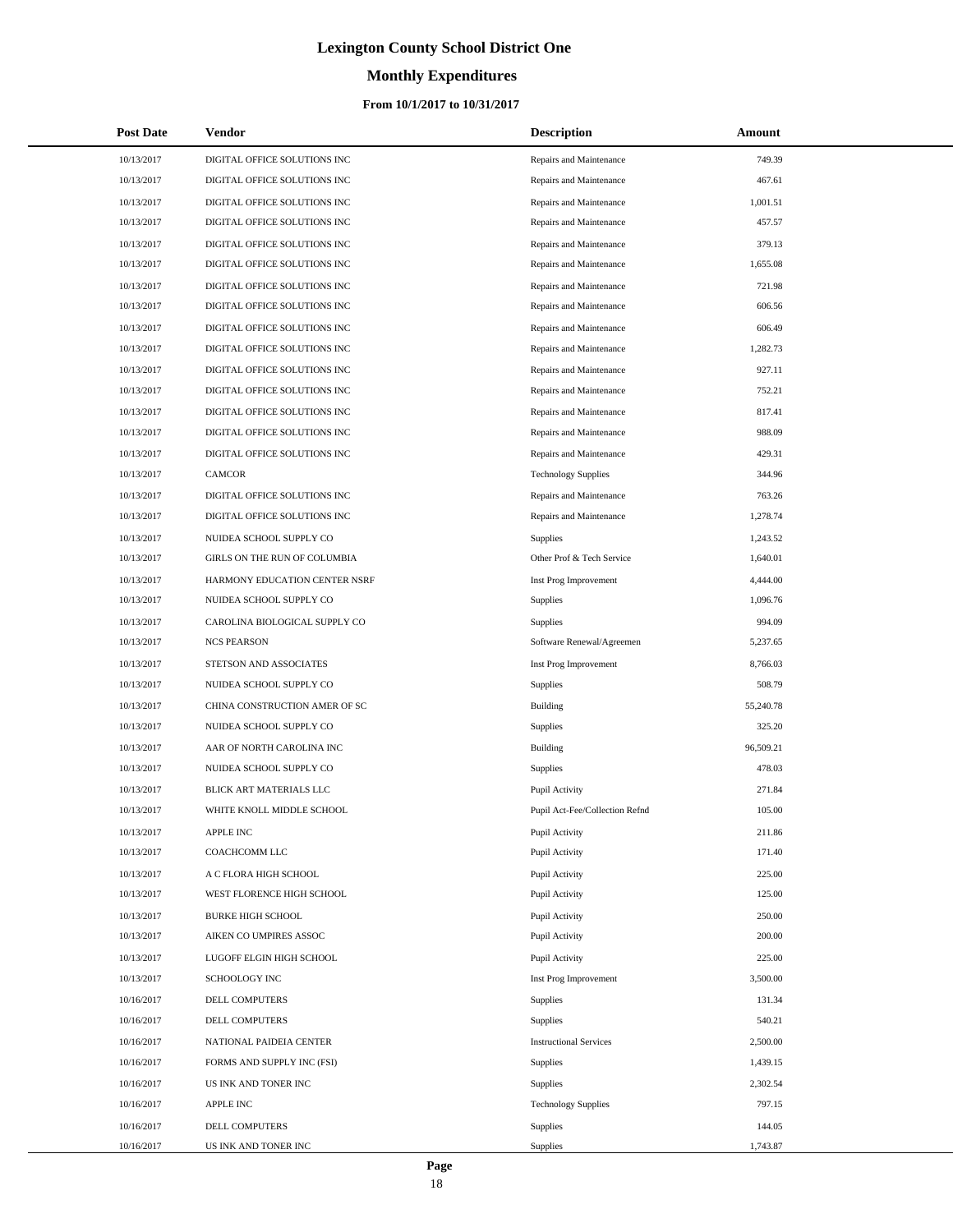# **Monthly Expenditures**

### **From 10/1/2017 to 10/31/2017**

| <b>Post Date</b> | Vendor                        | <b>Description</b>             | Amount    |
|------------------|-------------------------------|--------------------------------|-----------|
| 10/13/2017       | DIGITAL OFFICE SOLUTIONS INC  | Repairs and Maintenance        | 749.39    |
| 10/13/2017       | DIGITAL OFFICE SOLUTIONS INC  | Repairs and Maintenance        | 467.61    |
| 10/13/2017       | DIGITAL OFFICE SOLUTIONS INC  | Repairs and Maintenance        | 1,001.51  |
| 10/13/2017       | DIGITAL OFFICE SOLUTIONS INC  | Repairs and Maintenance        | 457.57    |
| 10/13/2017       | DIGITAL OFFICE SOLUTIONS INC  | Repairs and Maintenance        | 379.13    |
| 10/13/2017       | DIGITAL OFFICE SOLUTIONS INC  | Repairs and Maintenance        | 1,655.08  |
| 10/13/2017       | DIGITAL OFFICE SOLUTIONS INC  | Repairs and Maintenance        | 721.98    |
| 10/13/2017       | DIGITAL OFFICE SOLUTIONS INC  | Repairs and Maintenance        | 606.56    |
| 10/13/2017       | DIGITAL OFFICE SOLUTIONS INC  | Repairs and Maintenance        | 606.49    |
| 10/13/2017       | DIGITAL OFFICE SOLUTIONS INC  | Repairs and Maintenance        | 1,282.73  |
| 10/13/2017       | DIGITAL OFFICE SOLUTIONS INC  | Repairs and Maintenance        | 927.11    |
| 10/13/2017       | DIGITAL OFFICE SOLUTIONS INC  | Repairs and Maintenance        | 752.21    |
| 10/13/2017       | DIGITAL OFFICE SOLUTIONS INC  | Repairs and Maintenance        | 817.41    |
| 10/13/2017       | DIGITAL OFFICE SOLUTIONS INC  | Repairs and Maintenance        | 988.09    |
| 10/13/2017       | DIGITAL OFFICE SOLUTIONS INC  | Repairs and Maintenance        | 429.31    |
| 10/13/2017       | <b>CAMCOR</b>                 | <b>Technology Supplies</b>     | 344.96    |
| 10/13/2017       | DIGITAL OFFICE SOLUTIONS INC  | Repairs and Maintenance        | 763.26    |
| 10/13/2017       | DIGITAL OFFICE SOLUTIONS INC  | Repairs and Maintenance        | 1,278.74  |
| 10/13/2017       | NUIDEA SCHOOL SUPPLY CO       | Supplies                       | 1,243.52  |
| 10/13/2017       | GIRLS ON THE RUN OF COLUMBIA  | Other Prof & Tech Service      | 1,640.01  |
| 10/13/2017       | HARMONY EDUCATION CENTER NSRF | Inst Prog Improvement          | 4,444.00  |
| 10/13/2017       | NUIDEA SCHOOL SUPPLY CO       | <b>Supplies</b>                | 1,096.76  |
| 10/13/2017       | CAROLINA BIOLOGICAL SUPPLY CO | Supplies                       | 994.09    |
| 10/13/2017       | <b>NCS PEARSON</b>            | Software Renewal/Agreemen      | 5,237.65  |
| 10/13/2017       | STETSON AND ASSOCIATES        | Inst Prog Improvement          | 8,766.03  |
| 10/13/2017       | NUIDEA SCHOOL SUPPLY CO       | <b>Supplies</b>                | 508.79    |
| 10/13/2017       | CHINA CONSTRUCTION AMER OF SC | <b>Building</b>                | 55,240.78 |
| 10/13/2017       | NUIDEA SCHOOL SUPPLY CO       | Supplies                       | 325.20    |
| 10/13/2017       | AAR OF NORTH CAROLINA INC     | <b>Building</b>                | 96,509.21 |
| 10/13/2017       | NUIDEA SCHOOL SUPPLY CO       | Supplies                       | 478.03    |
| 10/13/2017       | BLICK ART MATERIALS LLC       | Pupil Activity                 | 271.84    |
| 10/13/2017       | WHITE KNOLL MIDDLE SCHOOL     | Pupil Act-Fee/Collection Refnd | 105.00    |
| 10/13/2017       | APPLE INC                     | Pupil Activity                 | 211.86    |
| 10/13/2017       | COACHCOMM LLC                 | Pupil Activity                 | 171.40    |
| 10/13/2017       | A C FLORA HIGH SCHOOL         | Pupil Activity                 | 225.00    |
| 10/13/2017       | WEST FLORENCE HIGH SCHOOL     | Pupil Activity                 | 125.00    |
| 10/13/2017       | <b>BURKE HIGH SCHOOL</b>      | Pupil Activity                 | 250.00    |
| 10/13/2017       | AIKEN CO UMPIRES ASSOC        | Pupil Activity                 | 200.00    |
| 10/13/2017       | LUGOFF ELGIN HIGH SCHOOL      | Pupil Activity                 | 225.00    |
| 10/13/2017       | <b>SCHOOLOGY INC</b>          | Inst Prog Improvement          | 3,500.00  |
| 10/16/2017       | DELL COMPUTERS                | Supplies                       | 131.34    |
| 10/16/2017       | DELL COMPUTERS                | Supplies                       | 540.21    |
| 10/16/2017       | NATIONAL PAIDEIA CENTER       | <b>Instructional Services</b>  | 2,500.00  |
| 10/16/2017       | FORMS AND SUPPLY INC (FSI)    | Supplies                       | 1,439.15  |
| 10/16/2017       | US INK AND TONER INC          | Supplies                       | 2,302.54  |
| 10/16/2017       | APPLE INC                     | <b>Technology Supplies</b>     | 797.15    |
| 10/16/2017       | DELL COMPUTERS                | Supplies                       | 144.05    |
| 10/16/2017       | US INK AND TONER INC          | Supplies                       | 1,743.87  |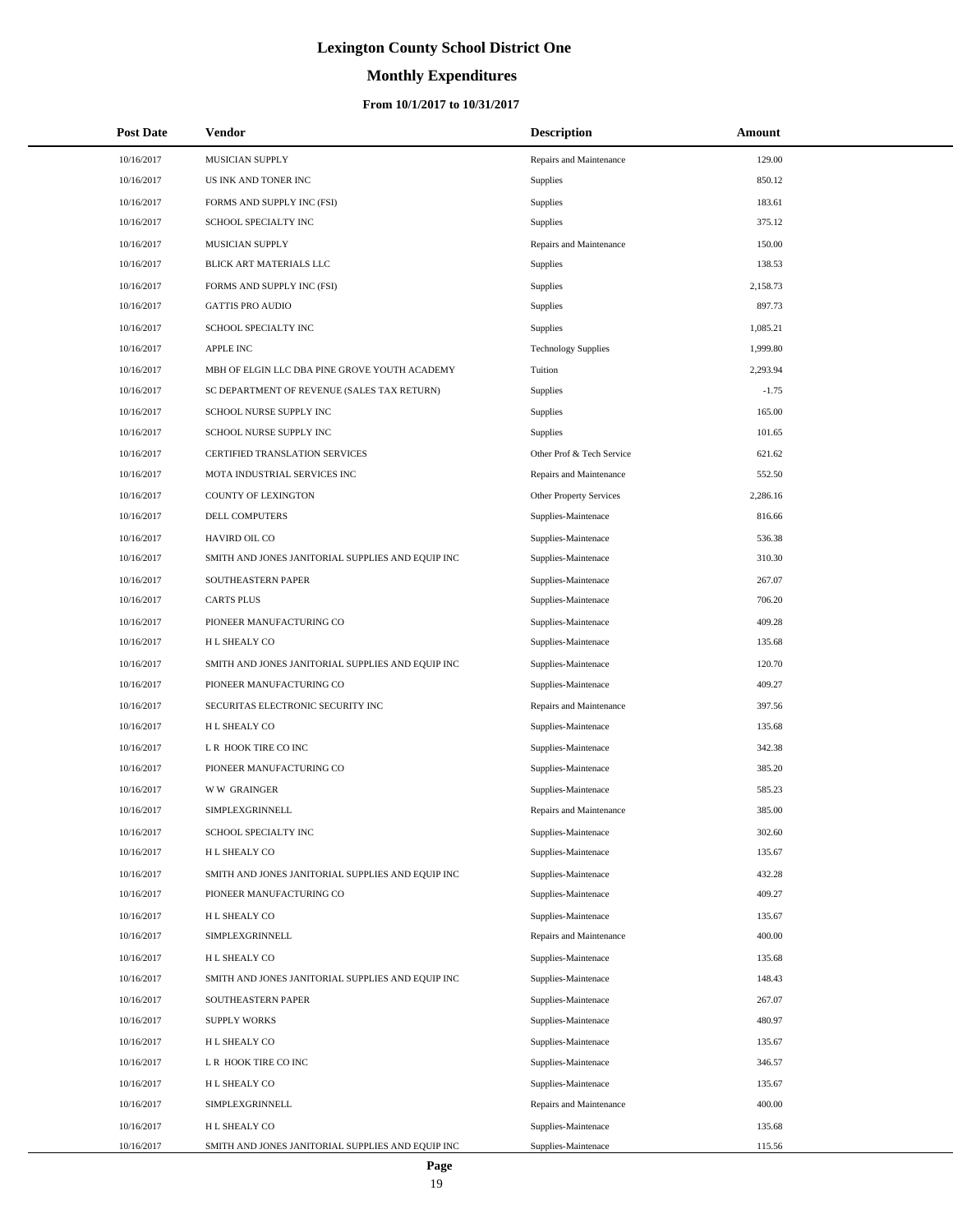# **Monthly Expenditures**

### **From 10/1/2017 to 10/31/2017**

| <b>Post Date</b> | Vendor                                            | <b>Description</b>         | Amount   |  |
|------------------|---------------------------------------------------|----------------------------|----------|--|
| 10/16/2017       | MUSICIAN SUPPLY                                   | Repairs and Maintenance    | 129.00   |  |
| 10/16/2017       | US INK AND TONER INC                              | Supplies                   | 850.12   |  |
| 10/16/2017       | FORMS AND SUPPLY INC (FSI)                        | Supplies                   | 183.61   |  |
| 10/16/2017       | SCHOOL SPECIALTY INC                              | Supplies                   | 375.12   |  |
| 10/16/2017       | MUSICIAN SUPPLY                                   | Repairs and Maintenance    | 150.00   |  |
| 10/16/2017       | BLICK ART MATERIALS LLC                           | <b>Supplies</b>            | 138.53   |  |
| 10/16/2017       | FORMS AND SUPPLY INC (FSI)                        | Supplies                   | 2,158.73 |  |
| 10/16/2017       | <b>GATTIS PRO AUDIO</b>                           | Supplies                   | 897.73   |  |
| 10/16/2017       | SCHOOL SPECIALTY INC                              | <b>Supplies</b>            | 1,085.21 |  |
| 10/16/2017       | <b>APPLE INC</b>                                  | <b>Technology Supplies</b> | 1,999.80 |  |
| 10/16/2017       | MBH OF ELGIN LLC DBA PINE GROVE YOUTH ACADEMY     | Tuition                    | 2,293.94 |  |
| 10/16/2017       | SC DEPARTMENT OF REVENUE (SALES TAX RETURN)       | Supplies                   | $-1.75$  |  |
| 10/16/2017       | SCHOOL NURSE SUPPLY INC                           | Supplies                   | 165.00   |  |
| 10/16/2017       | SCHOOL NURSE SUPPLY INC                           | Supplies                   | 101.65   |  |
| 10/16/2017       | <b>CERTIFIED TRANSLATION SERVICES</b>             | Other Prof & Tech Service  | 621.62   |  |
| 10/16/2017       | MOTA INDUSTRIAL SERVICES INC                      | Repairs and Maintenance    | 552.50   |  |
| 10/16/2017       | COUNTY OF LEXINGTON                               | Other Property Services    | 2,286.16 |  |
| 10/16/2017       | DELL COMPUTERS                                    | Supplies-Maintenace        | 816.66   |  |
| 10/16/2017       | HAVIRD OIL CO                                     | Supplies-Maintenace        | 536.38   |  |
| 10/16/2017       | SMITH AND JONES JANITORIAL SUPPLIES AND EQUIP INC | Supplies-Maintenace        | 310.30   |  |
| 10/16/2017       | SOUTHEASTERN PAPER                                | Supplies-Maintenace        | 267.07   |  |
| 10/16/2017       | <b>CARTS PLUS</b>                                 | Supplies-Maintenace        | 706.20   |  |
| 10/16/2017       | PIONEER MANUFACTURING CO                          | Supplies-Maintenace        | 409.28   |  |
| 10/16/2017       | H L SHEALY CO                                     | Supplies-Maintenace        | 135.68   |  |
| 10/16/2017       | SMITH AND JONES JANITORIAL SUPPLIES AND EQUIP INC | Supplies-Maintenace        | 120.70   |  |
| 10/16/2017       | PIONEER MANUFACTURING CO                          | Supplies-Maintenace        | 409.27   |  |
| 10/16/2017       | SECURITAS ELECTRONIC SECURITY INC                 | Repairs and Maintenance    | 397.56   |  |
| 10/16/2017       | H L SHEALY CO                                     | Supplies-Maintenace        | 135.68   |  |
| 10/16/2017       | L R HOOK TIRE CO INC                              | Supplies-Maintenace        | 342.38   |  |
| 10/16/2017       | PIONEER MANUFACTURING CO                          | Supplies-Maintenace        | 385.20   |  |
| 10/16/2017       | <b>WW GRAINGER</b>                                | Supplies-Maintenace        | 585.23   |  |
| 10/16/2017       | SIMPLEXGRINNELL                                   | Repairs and Maintenance    | 385.00   |  |
| 10/16/2017       | SCHOOL SPECIALTY INC                              | Supplies-Maintenace        | 302.60   |  |
| 10/16/2017       | H L SHEALY CO                                     | Supplies-Maintenace        | 135.67   |  |
| 10/16/2017       | SMITH AND JONES JANITORIAL SUPPLIES AND EQUIP INC | Supplies-Maintenace        | 432.28   |  |
| 10/16/2017       | PIONEER MANUFACTURING CO                          | Supplies-Maintenace        | 409.27   |  |
| 10/16/2017       | H L SHEALY CO                                     | Supplies-Maintenace        | 135.67   |  |
| 10/16/2017       | SIMPLEXGRINNELL                                   | Repairs and Maintenance    | 400.00   |  |
| 10/16/2017       | H L SHEALY CO                                     | Supplies-Maintenace        | 135.68   |  |
| 10/16/2017       | SMITH AND JONES JANITORIAL SUPPLIES AND EQUIP INC | Supplies-Maintenace        | 148.43   |  |
| 10/16/2017       | SOUTHEASTERN PAPER                                | Supplies-Maintenace        | 267.07   |  |
| 10/16/2017       | <b>SUPPLY WORKS</b>                               | Supplies-Maintenace        | 480.97   |  |
| 10/16/2017       | H L SHEALY CO                                     | Supplies-Maintenace        | 135.67   |  |
| 10/16/2017       | L R HOOK TIRE CO INC                              | Supplies-Maintenace        | 346.57   |  |
| 10/16/2017       | H L SHEALY CO                                     | Supplies-Maintenace        | 135.67   |  |
| 10/16/2017       | SIMPLEXGRINNELL                                   | Repairs and Maintenance    | 400.00   |  |
| 10/16/2017       | H L SHEALY CO                                     | Supplies-Maintenace        | 135.68   |  |
| 10/16/2017       | SMITH AND JONES JANITORIAL SUPPLIES AND EQUIP INC | Supplies-Maintenace        | 115.56   |  |

 $\overline{a}$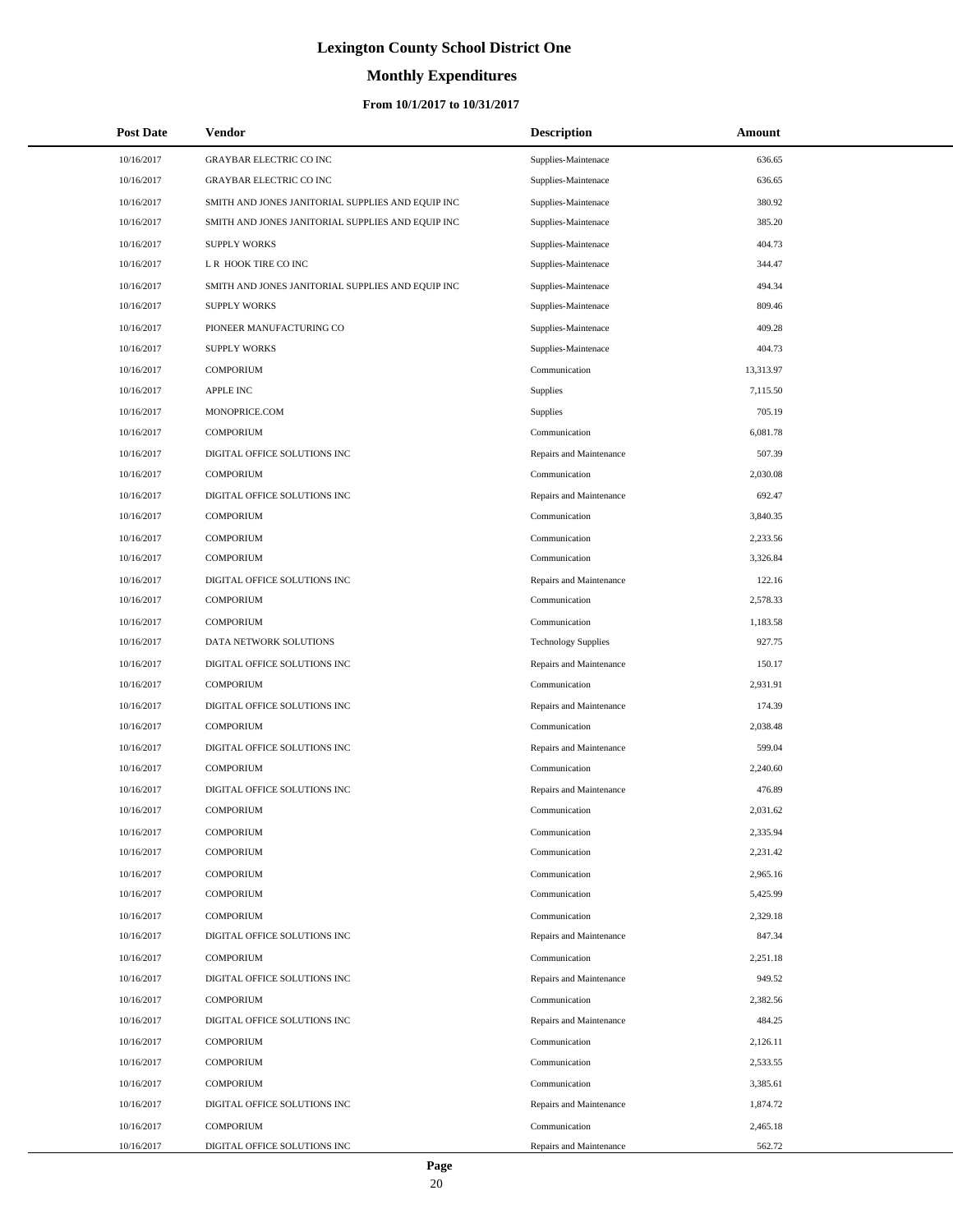# **Monthly Expenditures**

| <b>Post Date</b> | Vendor                                            | <b>Description</b>         | Amount    |
|------------------|---------------------------------------------------|----------------------------|-----------|
| 10/16/2017       | <b>GRAYBAR ELECTRIC CO INC</b>                    | Supplies-Maintenace        | 636.65    |
| 10/16/2017       | <b>GRAYBAR ELECTRIC CO INC</b>                    | Supplies-Maintenace        | 636.65    |
| 10/16/2017       | SMITH AND JONES JANITORIAL SUPPLIES AND EQUIP INC | Supplies-Maintenace        | 380.92    |
| 10/16/2017       | SMITH AND JONES JANITORIAL SUPPLIES AND EQUIP INC | Supplies-Maintenace        | 385.20    |
| 10/16/2017       | <b>SUPPLY WORKS</b>                               | Supplies-Maintenace        | 404.73    |
| 10/16/2017       | L R HOOK TIRE CO INC                              | Supplies-Maintenace        | 344.47    |
| 10/16/2017       | SMITH AND JONES JANITORIAL SUPPLIES AND EQUIP INC | Supplies-Maintenace        | 494.34    |
| 10/16/2017       | <b>SUPPLY WORKS</b>                               | Supplies-Maintenace        | 809.46    |
| 10/16/2017       | PIONEER MANUFACTURING CO                          | Supplies-Maintenace        | 409.28    |
| 10/16/2017       | <b>SUPPLY WORKS</b>                               | Supplies-Maintenace        | 404.73    |
| 10/16/2017       | <b>COMPORIUM</b>                                  | Communication              | 13,313.97 |
| 10/16/2017       | <b>APPLE INC</b>                                  | Supplies                   | 7,115.50  |
| 10/16/2017       | MONOPRICE.COM                                     | Supplies                   | 705.19    |
| 10/16/2017       | <b>COMPORIUM</b>                                  | Communication              | 6,081.78  |
| 10/16/2017       | DIGITAL OFFICE SOLUTIONS INC                      | Repairs and Maintenance    | 507.39    |
| 10/16/2017       | <b>COMPORIUM</b>                                  | Communication              | 2,030.08  |
| 10/16/2017       | DIGITAL OFFICE SOLUTIONS INC                      | Repairs and Maintenance    | 692.47    |
| 10/16/2017       | <b>COMPORIUM</b>                                  | Communication              | 3,840.35  |
| 10/16/2017       | <b>COMPORIUM</b>                                  | Communication              | 2,233.56  |
| 10/16/2017       | <b>COMPORIUM</b>                                  | Communication              | 3.326.84  |
| 10/16/2017       | DIGITAL OFFICE SOLUTIONS INC                      | Repairs and Maintenance    | 122.16    |
| 10/16/2017       | <b>COMPORIUM</b>                                  | Communication              | 2,578.33  |
| 10/16/2017       | <b>COMPORIUM</b>                                  | Communication              | 1,183.58  |
| 10/16/2017       | DATA NETWORK SOLUTIONS                            | <b>Technology Supplies</b> | 927.75    |
| 10/16/2017       | DIGITAL OFFICE SOLUTIONS INC                      | Repairs and Maintenance    | 150.17    |
| 10/16/2017       | <b>COMPORIUM</b>                                  | Communication              | 2,931.91  |
| 10/16/2017       | DIGITAL OFFICE SOLUTIONS INC                      | Repairs and Maintenance    | 174.39    |
| 10/16/2017       | <b>COMPORIUM</b>                                  | Communication              | 2,038.48  |
| 10/16/2017       | DIGITAL OFFICE SOLUTIONS INC                      | Repairs and Maintenance    | 599.04    |
| 10/16/2017       | <b>COMPORIUM</b>                                  | Communication              | 2,240.60  |
| 10/16/2017       | DIGITAL OFFICE SOLUTIONS INC                      | Repairs and Maintenance    | 476.89    |
| 10/16/2017       | <b>COMPORIUM</b>                                  | Communication              | 2,031.62  |
| 10/16/2017       | <b>COMPORIUM</b>                                  | Communication              | 2,335.94  |
| 10/16/2017       | <b>COMPORIUM</b>                                  | Communication              | 2,231.42  |
| 10/16/2017       | <b>COMPORIUM</b>                                  | Communication              | 2,965.16  |
| 10/16/2017       | <b>COMPORIUM</b>                                  | Communication              | 5,425.99  |
| 10/16/2017       | <b>COMPORIUM</b>                                  | Communication              | 2,329.18  |
| 10/16/2017       | DIGITAL OFFICE SOLUTIONS INC                      | Repairs and Maintenance    | 847.34    |
| 10/16/2017       | <b>COMPORIUM</b>                                  | Communication              | 2,251.18  |
| 10/16/2017       | DIGITAL OFFICE SOLUTIONS INC                      | Repairs and Maintenance    | 949.52    |
| 10/16/2017       | <b>COMPORIUM</b>                                  | Communication              | 2,382.56  |
| 10/16/2017       | DIGITAL OFFICE SOLUTIONS INC                      | Repairs and Maintenance    | 484.25    |
| 10/16/2017       | <b>COMPORIUM</b>                                  | Communication              | 2,126.11  |
| 10/16/2017       | <b>COMPORIUM</b>                                  | Communication              | 2,533.55  |
| 10/16/2017       | <b>COMPORIUM</b>                                  | Communication              | 3,385.61  |
| 10/16/2017       | DIGITAL OFFICE SOLUTIONS INC                      | Repairs and Maintenance    | 1,874.72  |
| 10/16/2017       | <b>COMPORIUM</b>                                  | Communication              | 2,465.18  |
| 10/16/2017       | DIGITAL OFFICE SOLUTIONS INC                      | Repairs and Maintenance    | 562.72    |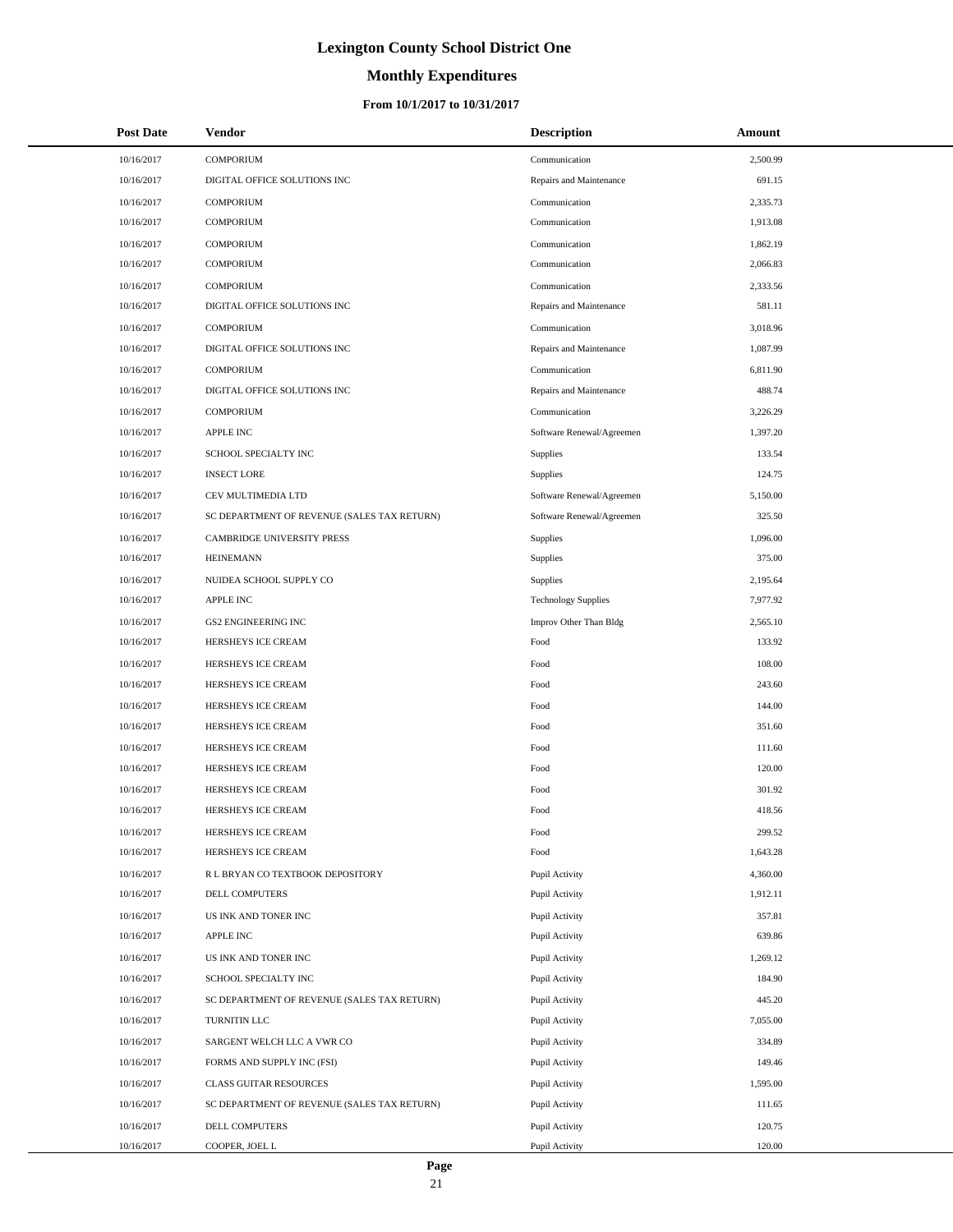# **Monthly Expenditures**

| <b>Post Date</b> | Vendor                                      | <b>Description</b>         | Amount   |
|------------------|---------------------------------------------|----------------------------|----------|
| 10/16/2017       | <b>COMPORIUM</b>                            | Communication              | 2,500.99 |
| 10/16/2017       | DIGITAL OFFICE SOLUTIONS INC                | Repairs and Maintenance    | 691.15   |
| 10/16/2017       | <b>COMPORIUM</b>                            | Communication              | 2,335.73 |
| 10/16/2017       | <b>COMPORIUM</b>                            | Communication              | 1,913.08 |
| 10/16/2017       | <b>COMPORIUM</b>                            | Communication              | 1,862.19 |
| 10/16/2017       | <b>COMPORIUM</b>                            | Communication              | 2,066.83 |
| 10/16/2017       | <b>COMPORIUM</b>                            | Communication              | 2,333.56 |
| 10/16/2017       | DIGITAL OFFICE SOLUTIONS INC                | Repairs and Maintenance    | 581.11   |
| 10/16/2017       | <b>COMPORIUM</b>                            | Communication              | 3,018.96 |
| 10/16/2017       | DIGITAL OFFICE SOLUTIONS INC                | Repairs and Maintenance    | 1,087.99 |
| 10/16/2017       | <b>COMPORIUM</b>                            | Communication              | 6,811.90 |
| 10/16/2017       | DIGITAL OFFICE SOLUTIONS INC                | Repairs and Maintenance    | 488.74   |
| 10/16/2017       | <b>COMPORIUM</b>                            | Communication              | 3,226.29 |
| 10/16/2017       | <b>APPLE INC</b>                            | Software Renewal/Agreemen  | 1,397.20 |
| 10/16/2017       | SCHOOL SPECIALTY INC                        | Supplies                   | 133.54   |
| 10/16/2017       | <b>INSECT LORE</b>                          | Supplies                   | 124.75   |
| 10/16/2017       | CEV MULTIMEDIA LTD                          | Software Renewal/Agreemen  | 5,150.00 |
| 10/16/2017       | SC DEPARTMENT OF REVENUE (SALES TAX RETURN) | Software Renewal/Agreemen  | 325.50   |
| 10/16/2017       | CAMBRIDGE UNIVERSITY PRESS                  | Supplies                   | 1,096.00 |
| 10/16/2017       | <b>HEINEMANN</b>                            | Supplies                   | 375.00   |
| 10/16/2017       | NUIDEA SCHOOL SUPPLY CO                     | Supplies                   | 2,195.64 |
| 10/16/2017       | <b>APPLE INC</b>                            | <b>Technology Supplies</b> | 7,977.92 |
| 10/16/2017       | <b>GS2 ENGINEERING INC</b>                  | Improv Other Than Bldg     | 2,565.10 |
| 10/16/2017       | HERSHEYS ICE CREAM                          | Food                       | 133.92   |
| 10/16/2017       | HERSHEYS ICE CREAM                          | Food                       | 108.00   |
| 10/16/2017       | HERSHEYS ICE CREAM                          | Food                       | 243.60   |
| 10/16/2017       | HERSHEYS ICE CREAM                          | Food                       | 144.00   |
| 10/16/2017       | HERSHEYS ICE CREAM                          | Food                       | 351.60   |
| 10/16/2017       | HERSHEYS ICE CREAM                          | Food                       | 111.60   |
| 10/16/2017       | HERSHEYS ICE CREAM                          | Food                       | 120.00   |
| 10/16/2017       | HERSHEYS ICE CREAM                          | Food                       | 301.92   |
| 10/16/2017       | HERSHEYS ICE CREAM                          | Food                       | 418.56   |
| 10/16/2017       | HERSHEYS ICE CREAM                          | Food                       | 299.52   |
| 10/16/2017       | HERSHEYS ICE CREAM                          | Food                       | 1,643.28 |
| 10/16/2017       | R L BRYAN CO TEXTBOOK DEPOSITORY            | Pupil Activity             | 4,360.00 |
| 10/16/2017       | DELL COMPUTERS                              | Pupil Activity             | 1,912.11 |
| 10/16/2017       | US INK AND TONER INC                        | Pupil Activity             | 357.81   |
| 10/16/2017       | APPLE INC                                   | Pupil Activity             | 639.86   |
| 10/16/2017       | US INK AND TONER INC                        | Pupil Activity             | 1,269.12 |
| 10/16/2017       | SCHOOL SPECIALTY INC                        | Pupil Activity             | 184.90   |
| 10/16/2017       | SC DEPARTMENT OF REVENUE (SALES TAX RETURN) | Pupil Activity             | 445.20   |
| 10/16/2017       | TURNITIN LLC                                | Pupil Activity             | 7,055.00 |
| 10/16/2017       | SARGENT WELCH LLC A VWR CO                  | Pupil Activity             | 334.89   |
| 10/16/2017       | FORMS AND SUPPLY INC (FSI)                  | Pupil Activity             | 149.46   |
| 10/16/2017       | <b>CLASS GUITAR RESOURCES</b>               | Pupil Activity             | 1,595.00 |
| 10/16/2017       | SC DEPARTMENT OF REVENUE (SALES TAX RETURN) | Pupil Activity             | 111.65   |
| 10/16/2017       | DELL COMPUTERS                              | Pupil Activity             | 120.75   |
| 10/16/2017       | COOPER, JOEL L                              | Pupil Activity             | 120.00   |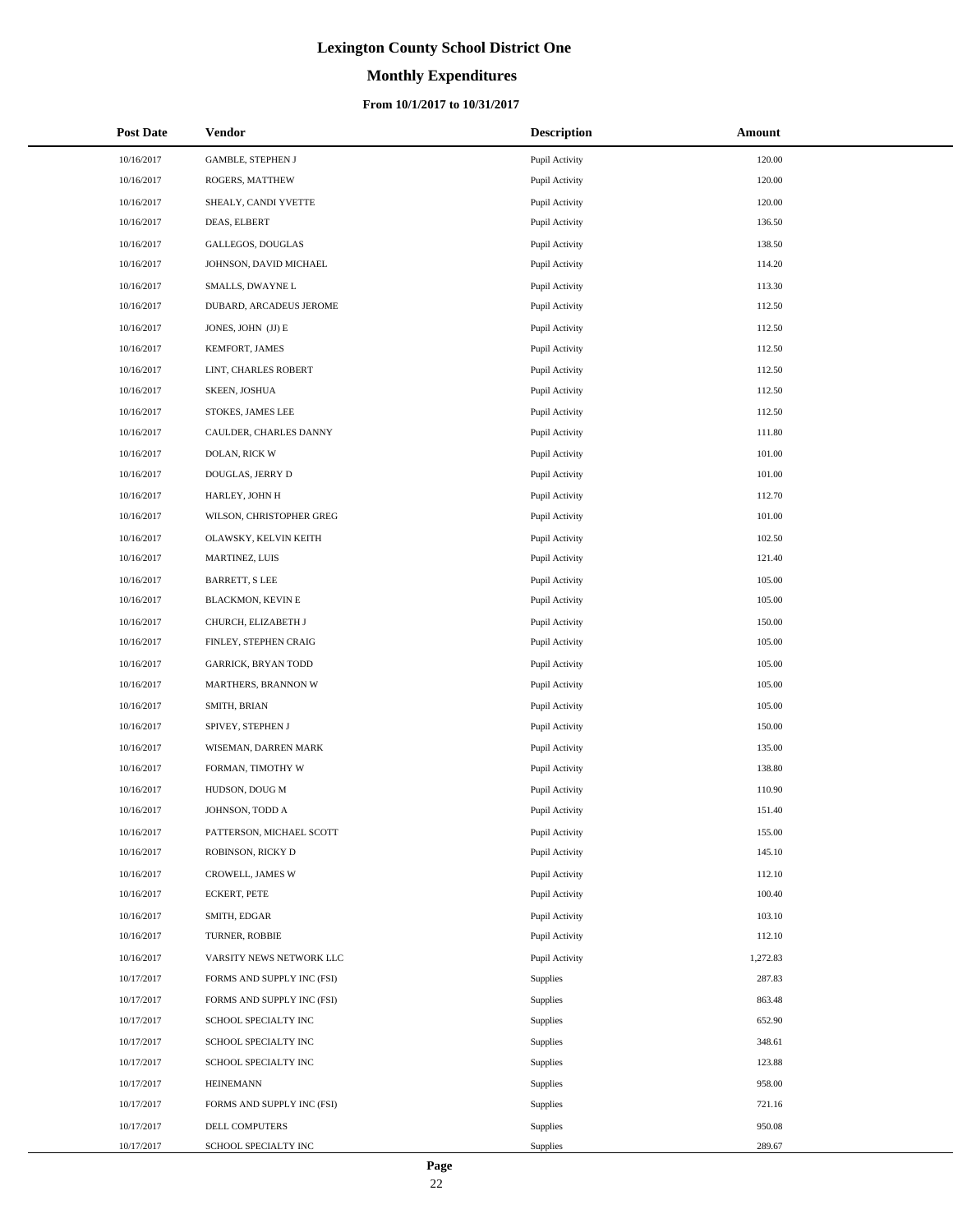# **Monthly Expenditures**

| <b>Post Date</b> | Vendor                     | <b>Description</b> | <b>Amount</b> |
|------------------|----------------------------|--------------------|---------------|
| 10/16/2017       | <b>GAMBLE, STEPHEN J</b>   | Pupil Activity     | 120.00        |
| 10/16/2017       | ROGERS, MATTHEW            | Pupil Activity     | 120.00        |
| 10/16/2017       | SHEALY, CANDI YVETTE       | Pupil Activity     | 120.00        |
| 10/16/2017       | DEAS, ELBERT               | Pupil Activity     | 136.50        |
| 10/16/2017       | GALLEGOS, DOUGLAS          | Pupil Activity     | 138.50        |
| 10/16/2017       | JOHNSON, DAVID MICHAEL     | Pupil Activity     | 114.20        |
| 10/16/2017       | SMALLS, DWAYNE L           | Pupil Activity     | 113.30        |
| 10/16/2017       | DUBARD, ARCADEUS JEROME    | Pupil Activity     | 112.50        |
| 10/16/2017       | JONES, JOHN (JJ) E         | Pupil Activity     | 112.50        |
| 10/16/2017       | KEMFORT, JAMES             | Pupil Activity     | 112.50        |
| 10/16/2017       | LINT, CHARLES ROBERT       | Pupil Activity     | 112.50        |
| 10/16/2017       | SKEEN, JOSHUA              | Pupil Activity     | 112.50        |
| 10/16/2017       | STOKES, JAMES LEE          | Pupil Activity     | 112.50        |
| 10/16/2017       | CAULDER, CHARLES DANNY     | Pupil Activity     | 111.80        |
| 10/16/2017       | DOLAN, RICK W              | Pupil Activity     | 101.00        |
| 10/16/2017       | DOUGLAS, JERRY D           | Pupil Activity     | 101.00        |
| 10/16/2017       | HARLEY, JOHN H             | Pupil Activity     | 112.70        |
| 10/16/2017       | WILSON, CHRISTOPHER GREG   | Pupil Activity     | 101.00        |
| 10/16/2017       | OLAWSKY, KELVIN KEITH      | Pupil Activity     | 102.50        |
| 10/16/2017       | MARTINEZ, LUIS             | Pupil Activity     | 121.40        |
| 10/16/2017       | <b>BARRETT, S LEE</b>      | Pupil Activity     | 105.00        |
| 10/16/2017       | BLACKMON, KEVIN E          | Pupil Activity     | 105.00        |
| 10/16/2017       | CHURCH, ELIZABETH J        | Pupil Activity     | 150.00        |
| 10/16/2017       | FINLEY, STEPHEN CRAIG      | Pupil Activity     | 105.00        |
| 10/16/2017       | <b>GARRICK, BRYAN TODD</b> | Pupil Activity     | 105.00        |
| 10/16/2017       | MARTHERS, BRANNON W        | Pupil Activity     | 105.00        |
| 10/16/2017       | SMITH, BRIAN               | Pupil Activity     | 105.00        |
| 10/16/2017       | SPIVEY, STEPHEN J          | Pupil Activity     | 150.00        |
| 10/16/2017       | WISEMAN, DARREN MARK       | Pupil Activity     | 135.00        |
| 10/16/2017       | FORMAN, TIMOTHY W          | Pupil Activity     | 138.80        |
| 10/16/2017       | HUDSON, DOUG M             | Pupil Activity     | 110.90        |
| 10/16/2017       | JOHNSON, TODD A            | Pupil Activity     | 151.40        |
| 10/16/2017       | PATTERSON, MICHAEL SCOTT   | Pupil Activity     | 155.00        |
| 10/16/2017       | ROBINSON, RICKY D          | Pupil Activity     | 145.10        |
| 10/16/2017       | CROWELL, JAMES W           | Pupil Activity     | 112.10        |
| 10/16/2017       | <b>ECKERT, PETE</b>        | Pupil Activity     | 100.40        |
| 10/16/2017       | SMITH, EDGAR               | Pupil Activity     | 103.10        |
| 10/16/2017       | TURNER, ROBBIE             | Pupil Activity     | 112.10        |
| 10/16/2017       | VARSITY NEWS NETWORK LLC   | Pupil Activity     | 1,272.83      |
| 10/17/2017       | FORMS AND SUPPLY INC (FSI) | Supplies           | 287.83        |
| 10/17/2017       | FORMS AND SUPPLY INC (FSI) | Supplies           | 863.48        |
| 10/17/2017       | SCHOOL SPECIALTY INC       | Supplies           | 652.90        |
| 10/17/2017       | SCHOOL SPECIALTY INC       | Supplies           | 348.61        |
| 10/17/2017       | SCHOOL SPECIALTY INC       | Supplies           | 123.88        |
| 10/17/2017       | <b>HEINEMANN</b>           | Supplies           | 958.00        |
| 10/17/2017       | FORMS AND SUPPLY INC (FSI) | Supplies           | 721.16        |
| 10/17/2017       | DELL COMPUTERS             | Supplies           | 950.08        |
| 10/17/2017       | SCHOOL SPECIALTY INC       | Supplies           | 289.67        |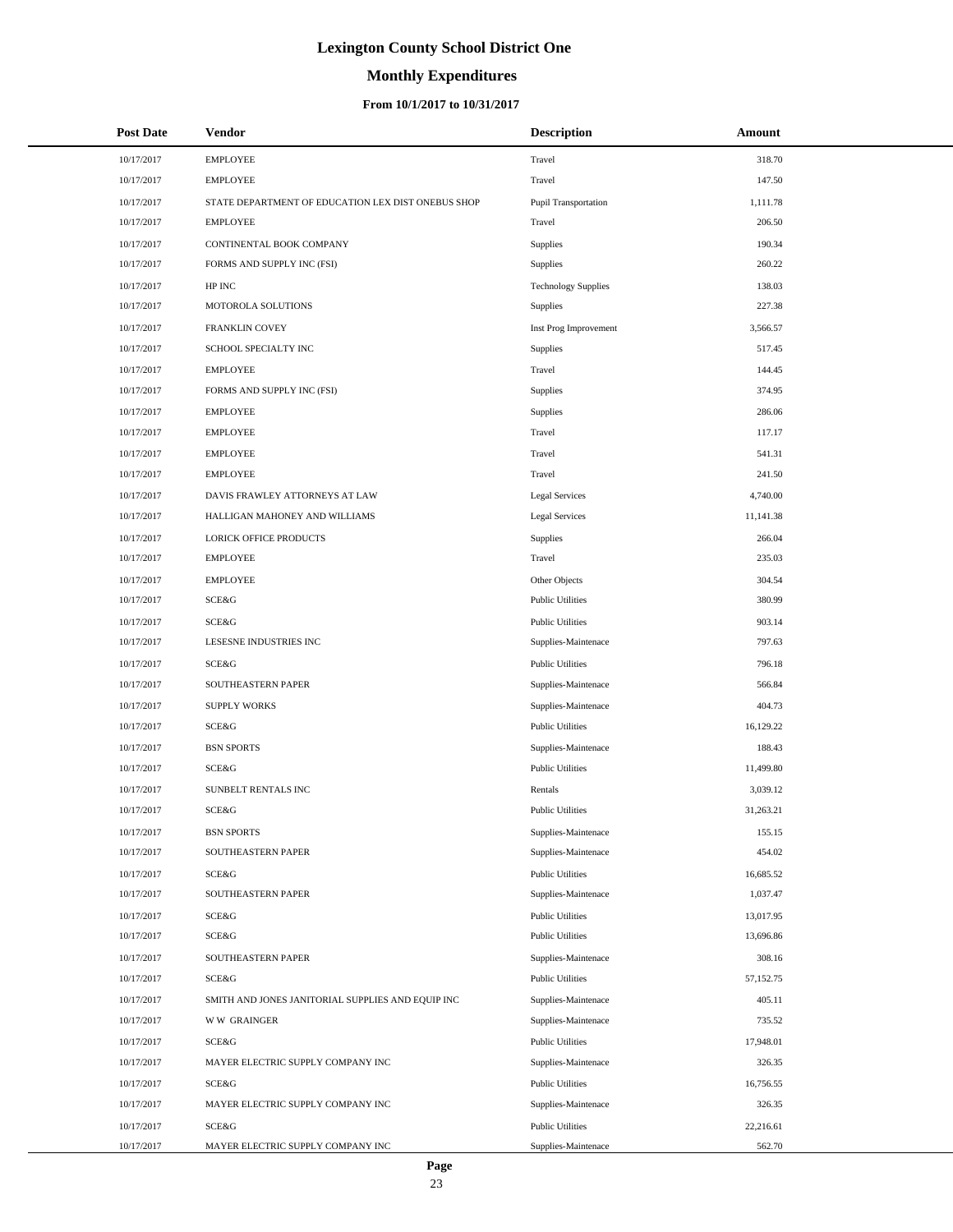# **Monthly Expenditures**

### **From 10/1/2017 to 10/31/2017**

| <b>Post Date</b> | Vendor                                             | <b>Description</b>         | Amount    |
|------------------|----------------------------------------------------|----------------------------|-----------|
| 10/17/2017       | <b>EMPLOYEE</b>                                    | Travel                     | 318.70    |
| 10/17/2017       | <b>EMPLOYEE</b>                                    | Travel                     | 147.50    |
| 10/17/2017       | STATE DEPARTMENT OF EDUCATION LEX DIST ONEBUS SHOP | Pupil Transportation       | 1,111.78  |
| 10/17/2017       | <b>EMPLOYEE</b>                                    | Travel                     | 206.50    |
| 10/17/2017       | CONTINENTAL BOOK COMPANY                           | Supplies                   | 190.34    |
| 10/17/2017       | FORMS AND SUPPLY INC (FSI)                         | Supplies                   | 260.22    |
| 10/17/2017       | HP INC                                             | <b>Technology Supplies</b> | 138.03    |
| 10/17/2017       | MOTOROLA SOLUTIONS                                 | Supplies                   | 227.38    |
| 10/17/2017       | FRANKLIN COVEY                                     | Inst Prog Improvement      | 3,566.57  |
| 10/17/2017       | SCHOOL SPECIALTY INC                               | Supplies                   | 517.45    |
| 10/17/2017       | <b>EMPLOYEE</b>                                    | Travel                     | 144.45    |
| 10/17/2017       | FORMS AND SUPPLY INC (FSI)                         | Supplies                   | 374.95    |
| 10/17/2017       | <b>EMPLOYEE</b>                                    | Supplies                   | 286.06    |
| 10/17/2017       | <b>EMPLOYEE</b>                                    | Travel                     | 117.17    |
| 10/17/2017       | <b>EMPLOYEE</b>                                    | Travel                     | 541.31    |
| 10/17/2017       | <b>EMPLOYEE</b>                                    | Travel                     | 241.50    |
| 10/17/2017       | DAVIS FRAWLEY ATTORNEYS AT LAW                     | Legal Services             | 4,740.00  |
| 10/17/2017       | HALLIGAN MAHONEY AND WILLIAMS                      | <b>Legal Services</b>      | 11,141.38 |
| 10/17/2017       | <b>LORICK OFFICE PRODUCTS</b>                      | Supplies                   | 266.04    |
| 10/17/2017       | <b>EMPLOYEE</b>                                    | Travel                     | 235.03    |
| 10/17/2017       | <b>EMPLOYEE</b>                                    | Other Objects              | 304.54    |
| 10/17/2017       | SCE&G                                              | <b>Public Utilities</b>    | 380.99    |
| 10/17/2017       | SCE&G                                              | <b>Public Utilities</b>    | 903.14    |
| 10/17/2017       | LESESNE INDUSTRIES INC                             | Supplies-Maintenace        | 797.63    |
| 10/17/2017       | SCE&G                                              | <b>Public Utilities</b>    | 796.18    |
| 10/17/2017       | SOUTHEASTERN PAPER                                 | Supplies-Maintenace        | 566.84    |
| 10/17/2017       | <b>SUPPLY WORKS</b>                                | Supplies-Maintenace        | 404.73    |
| 10/17/2017       | SCE&G                                              | <b>Public Utilities</b>    | 16,129.22 |
| 10/17/2017       | <b>BSN SPORTS</b>                                  | Supplies-Maintenace        | 188.43    |
| 10/17/2017       | SCE&G                                              | <b>Public Utilities</b>    | 11,499.80 |
| 10/17/2017       | SUNBELT RENTALS INC                                | Rentals                    | 3,039.12  |
| 10/17/2017       | <b>SCE&amp;G</b>                                   | <b>Public Utilities</b>    | 31,263.21 |
| 10/17/2017       | <b>BSN SPORTS</b>                                  | Supplies-Maintenace        | 155.15    |
| 10/17/2017       | SOUTHEASTERN PAPER                                 | Supplies-Maintenace        | 454.02    |
| 10/17/2017       | SCE&G                                              | <b>Public Utilities</b>    | 16,685.52 |
| 10/17/2017       | SOUTHEASTERN PAPER                                 | Supplies-Maintenace        | 1,037.47  |
| 10/17/2017       | SCE&G                                              | <b>Public Utilities</b>    | 13,017.95 |
| 10/17/2017       | SCE&G                                              | <b>Public Utilities</b>    | 13,696.86 |
| 10/17/2017       | SOUTHEASTERN PAPER                                 | Supplies-Maintenace        | 308.16    |
| 10/17/2017       | SCE&G                                              | <b>Public Utilities</b>    | 57,152.75 |
| 10/17/2017       | SMITH AND JONES JANITORIAL SUPPLIES AND EQUIP INC  | Supplies-Maintenace        | 405.11    |
| 10/17/2017       | <b>WW GRAINGER</b>                                 | Supplies-Maintenace        | 735.52    |
| 10/17/2017       | SCE&G                                              | <b>Public Utilities</b>    | 17,948.01 |
| 10/17/2017       | MAYER ELECTRIC SUPPLY COMPANY INC                  | Supplies-Maintenace        | 326.35    |
| 10/17/2017       | SCE&G                                              | <b>Public Utilities</b>    | 16,756.55 |
| 10/17/2017       | MAYER ELECTRIC SUPPLY COMPANY INC                  | Supplies-Maintenace        | 326.35    |
| 10/17/2017       | SCE&G                                              | <b>Public Utilities</b>    | 22,216.61 |
| 10/17/2017       | MAYER ELECTRIC SUPPLY COMPANY INC                  | Supplies-Maintenace        | 562.70    |

÷.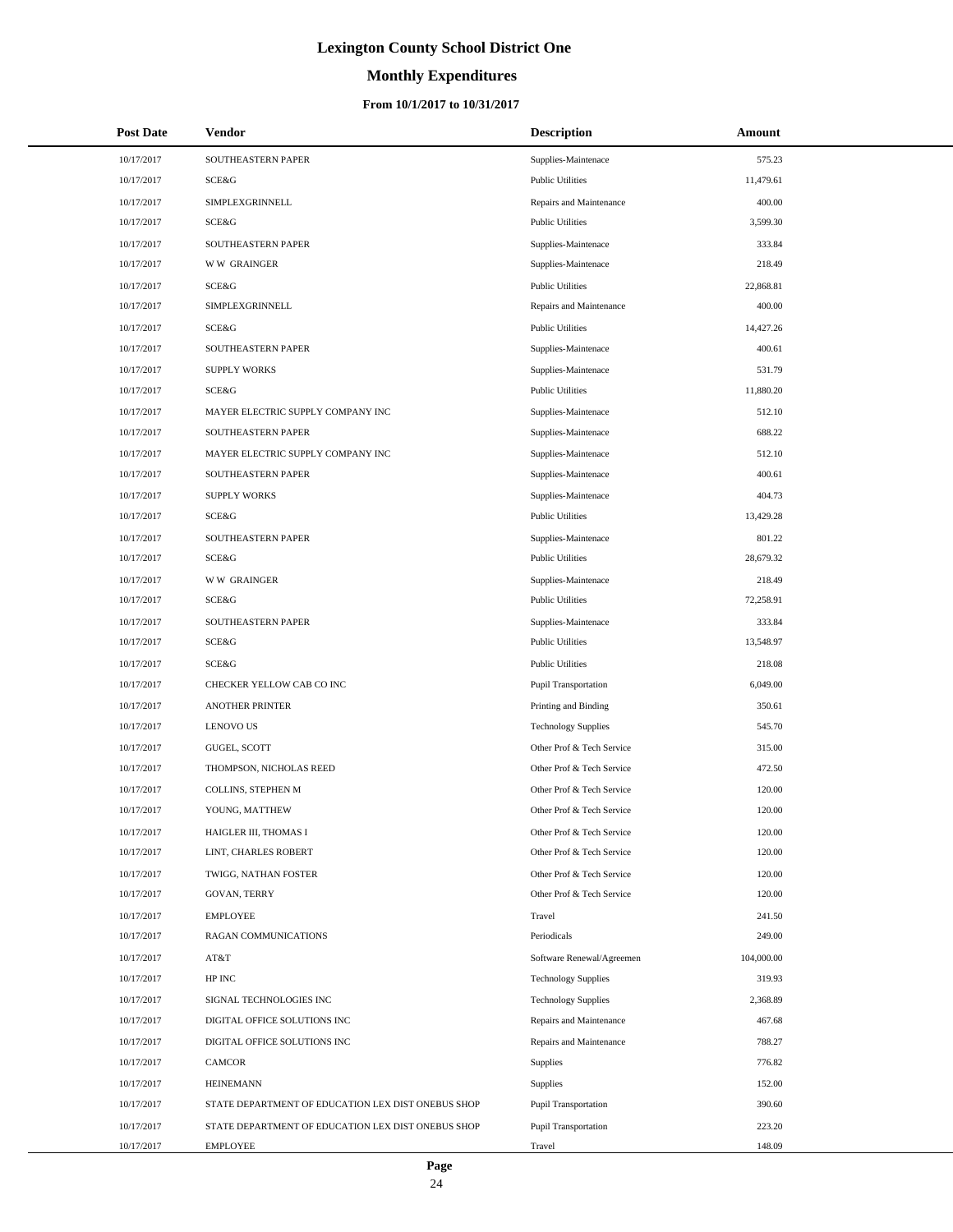# **Monthly Expenditures**

| <b>Post Date</b> | <b>Vendor</b>                                      | <b>Description</b>          | Amount     |
|------------------|----------------------------------------------------|-----------------------------|------------|
| 10/17/2017       | SOUTHEASTERN PAPER                                 | Supplies-Maintenace         | 575.23     |
| 10/17/2017       | SCE&G                                              | <b>Public Utilities</b>     | 11,479.61  |
| 10/17/2017       | SIMPLEXGRINNELL                                    | Repairs and Maintenance     | 400.00     |
| 10/17/2017       | SCE&G                                              | <b>Public Utilities</b>     | 3,599.30   |
| 10/17/2017       | SOUTHEASTERN PAPER                                 | Supplies-Maintenace         | 333.84     |
| 10/17/2017       | <b>WW GRAINGER</b>                                 | Supplies-Maintenace         | 218.49     |
| 10/17/2017       | SCE&G                                              | <b>Public Utilities</b>     | 22,868.81  |
| 10/17/2017       | SIMPLEXGRINNELL                                    | Repairs and Maintenance     | 400.00     |
| 10/17/2017       | SCE&G                                              | <b>Public Utilities</b>     | 14,427.26  |
| 10/17/2017       | SOUTHEASTERN PAPER                                 | Supplies-Maintenace         | 400.61     |
| 10/17/2017       | <b>SUPPLY WORKS</b>                                | Supplies-Maintenace         | 531.79     |
| 10/17/2017       | SCE&G                                              | <b>Public Utilities</b>     | 11,880.20  |
| 10/17/2017       | MAYER ELECTRIC SUPPLY COMPANY INC                  | Supplies-Maintenace         | 512.10     |
| 10/17/2017       | SOUTHEASTERN PAPER                                 | Supplies-Maintenace         | 688.22     |
| 10/17/2017       | MAYER ELECTRIC SUPPLY COMPANY INC                  | Supplies-Maintenace         | 512.10     |
| 10/17/2017       | SOUTHEASTERN PAPER                                 | Supplies-Maintenace         | 400.61     |
| 10/17/2017       | <b>SUPPLY WORKS</b>                                | Supplies-Maintenace         | 404.73     |
| 10/17/2017       | SCE&G                                              | <b>Public Utilities</b>     | 13,429.28  |
| 10/17/2017       | SOUTHEASTERN PAPER                                 | Supplies-Maintenace         | 801.22     |
| 10/17/2017       | SCE&G                                              | <b>Public Utilities</b>     | 28,679.32  |
| 10/17/2017       | <b>WW GRAINGER</b>                                 | Supplies-Maintenace         | 218.49     |
| 10/17/2017       | SCE&G                                              | <b>Public Utilities</b>     | 72,258.91  |
| 10/17/2017       | SOUTHEASTERN PAPER                                 | Supplies-Maintenace         | 333.84     |
| 10/17/2017       | SCE&G                                              | <b>Public Utilities</b>     | 13,548.97  |
| 10/17/2017       | SCE&G                                              | <b>Public Utilities</b>     | 218.08     |
| 10/17/2017       | CHECKER YELLOW CAB CO INC                          | Pupil Transportation        | 6,049.00   |
| 10/17/2017       | <b>ANOTHER PRINTER</b>                             | Printing and Binding        | 350.61     |
| 10/17/2017       | <b>LENOVO US</b>                                   | <b>Technology Supplies</b>  | 545.70     |
| 10/17/2017       | GUGEL, SCOTT                                       | Other Prof & Tech Service   | 315.00     |
| 10/17/2017       | THOMPSON, NICHOLAS REED                            | Other Prof & Tech Service   | 472.50     |
| 10/17/2017       | COLLINS, STEPHEN M                                 | Other Prof & Tech Service   | 120.00     |
| 10/17/2017       | YOUNG, MATTHEW                                     | Other Prof & Tech Service   | 120.00     |
| 10/17/2017       | HAIGLER III, THOMAS I                              | Other Prof & Tech Service   | 120.00     |
| 10/17/2017       | LINT, CHARLES ROBERT                               | Other Prof & Tech Service   | 120.00     |
| 10/17/2017       | TWIGG, NATHAN FOSTER                               | Other Prof & Tech Service   | 120.00     |
| 10/17/2017       | <b>GOVAN, TERRY</b>                                | Other Prof & Tech Service   | 120.00     |
| 10/17/2017       | <b>EMPLOYEE</b>                                    | Travel                      | 241.50     |
| 10/17/2017       | RAGAN COMMUNICATIONS                               | Periodicals                 | 249.00     |
| 10/17/2017       | AT&T                                               | Software Renewal/Agreemen   | 104,000.00 |
| 10/17/2017       | HP INC                                             | <b>Technology Supplies</b>  | 319.93     |
| 10/17/2017       | SIGNAL TECHNOLOGIES INC                            | <b>Technology Supplies</b>  | 2,368.89   |
| 10/17/2017       | DIGITAL OFFICE SOLUTIONS INC                       | Repairs and Maintenance     | 467.68     |
| 10/17/2017       | DIGITAL OFFICE SOLUTIONS INC                       | Repairs and Maintenance     | 788.27     |
| 10/17/2017       | CAMCOR                                             | Supplies                    | 776.82     |
| 10/17/2017       | <b>HEINEMANN</b>                                   | <b>Supplies</b>             | 152.00     |
| 10/17/2017       | STATE DEPARTMENT OF EDUCATION LEX DIST ONEBUS SHOP | Pupil Transportation        | 390.60     |
| 10/17/2017       | STATE DEPARTMENT OF EDUCATION LEX DIST ONEBUS SHOP | <b>Pupil Transportation</b> | 223.20     |
| 10/17/2017       | <b>EMPLOYEE</b>                                    | Travel                      | 148.09     |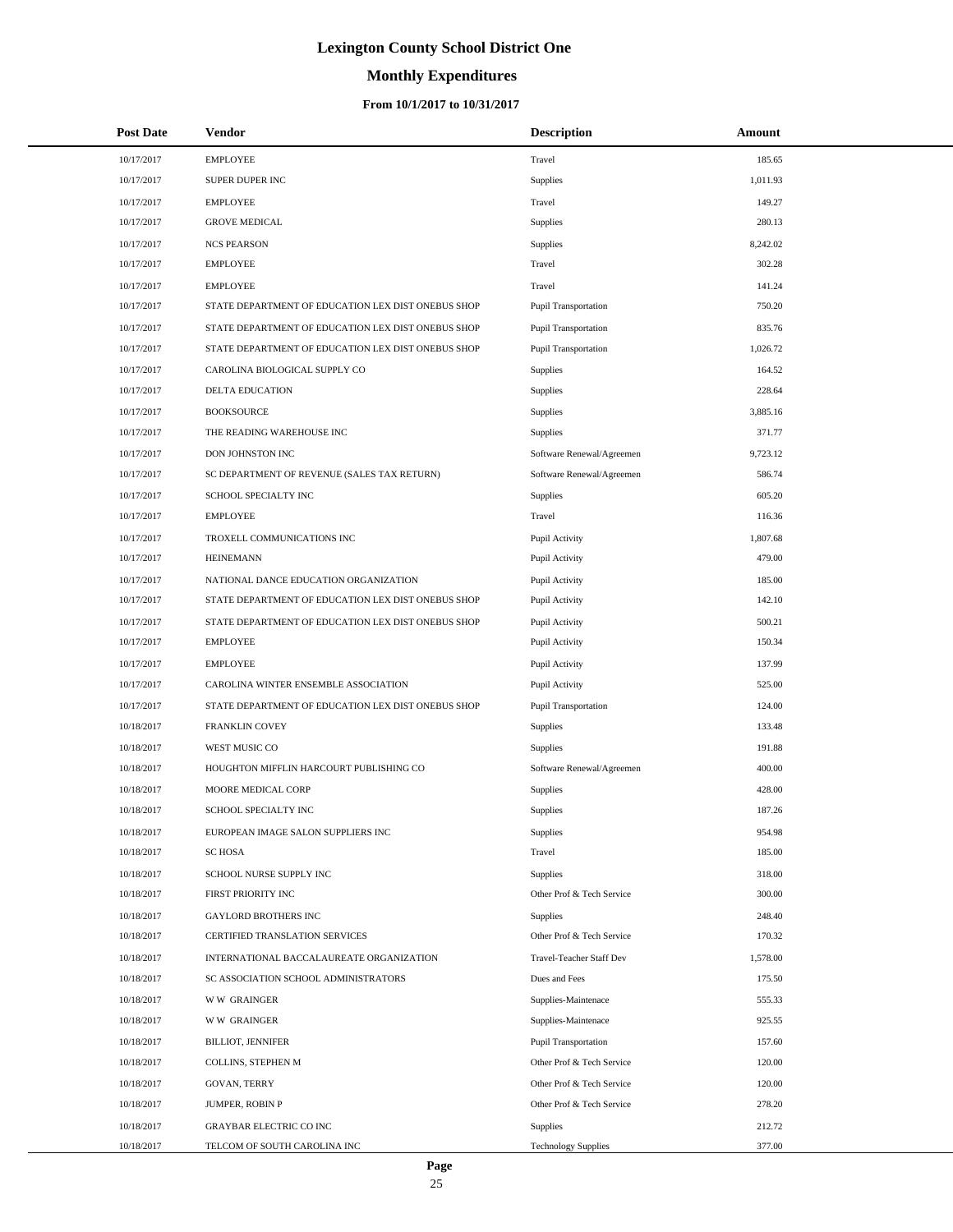# **Monthly Expenditures**

### **From 10/1/2017 to 10/31/2017**

| <b>Post Date</b> | <b>Vendor</b>                                      | <b>Description</b>          | Amount   |
|------------------|----------------------------------------------------|-----------------------------|----------|
| 10/17/2017       | <b>EMPLOYEE</b>                                    | Travel                      | 185.65   |
| 10/17/2017       | SUPER DUPER INC                                    | Supplies                    | 1,011.93 |
| 10/17/2017       | <b>EMPLOYEE</b>                                    | Travel                      | 149.27   |
| 10/17/2017       | <b>GROVE MEDICAL</b>                               | Supplies                    | 280.13   |
| 10/17/2017       | <b>NCS PEARSON</b>                                 | Supplies                    | 8,242.02 |
| 10/17/2017       | <b>EMPLOYEE</b>                                    | Travel                      | 302.28   |
| 10/17/2017       | <b>EMPLOYEE</b>                                    | Travel                      | 141.24   |
| 10/17/2017       | STATE DEPARTMENT OF EDUCATION LEX DIST ONEBUS SHOP | <b>Pupil Transportation</b> | 750.20   |
| 10/17/2017       | STATE DEPARTMENT OF EDUCATION LEX DIST ONEBUS SHOP | <b>Pupil Transportation</b> | 835.76   |
| 10/17/2017       | STATE DEPARTMENT OF EDUCATION LEX DIST ONEBUS SHOP | <b>Pupil Transportation</b> | 1,026.72 |
| 10/17/2017       | CAROLINA BIOLOGICAL SUPPLY CO                      | Supplies                    | 164.52   |
| 10/17/2017       | DELTA EDUCATION                                    | Supplies                    | 228.64   |
| 10/17/2017       | <b>BOOKSOURCE</b>                                  | Supplies                    | 3,885.16 |
| 10/17/2017       | THE READING WAREHOUSE INC                          | Supplies                    | 371.77   |
| 10/17/2017       | DON JOHNSTON INC                                   | Software Renewal/Agreemen   | 9,723.12 |
| 10/17/2017       | SC DEPARTMENT OF REVENUE (SALES TAX RETURN)        | Software Renewal/Agreemen   | 586.74   |
| 10/17/2017       | SCHOOL SPECIALTY INC                               | Supplies                    | 605.20   |
| 10/17/2017       | <b>EMPLOYEE</b>                                    | Travel                      | 116.36   |
| 10/17/2017       | TROXELL COMMUNICATIONS INC                         | Pupil Activity              | 1,807.68 |
| 10/17/2017       | <b>HEINEMANN</b>                                   | Pupil Activity              | 479.00   |
| 10/17/2017       | NATIONAL DANCE EDUCATION ORGANIZATION              | Pupil Activity              | 185.00   |
| 10/17/2017       | STATE DEPARTMENT OF EDUCATION LEX DIST ONEBUS SHOP | Pupil Activity              | 142.10   |
| 10/17/2017       | STATE DEPARTMENT OF EDUCATION LEX DIST ONEBUS SHOP | Pupil Activity              | 500.21   |
| 10/17/2017       | <b>EMPLOYEE</b>                                    | Pupil Activity              | 150.34   |
| 10/17/2017       | <b>EMPLOYEE</b>                                    | Pupil Activity              | 137.99   |
| 10/17/2017       | CAROLINA WINTER ENSEMBLE ASSOCIATION               | Pupil Activity              | 525.00   |
| 10/17/2017       | STATE DEPARTMENT OF EDUCATION LEX DIST ONEBUS SHOP | <b>Pupil Transportation</b> | 124.00   |
| 10/18/2017       | FRANKLIN COVEY                                     | Supplies                    | 133.48   |
| 10/18/2017       | WEST MUSIC CO                                      | Supplies                    | 191.88   |
| 10/18/2017       | HOUGHTON MIFFLIN HARCOURT PUBLISHING CO            | Software Renewal/Agreemen   | 400.00   |
| 10/18/2017       | MOORE MEDICAL CORP                                 | Supplies                    | 428.00   |
| 10/18/2017       | SCHOOL SPECIALTY INC                               | Supplies                    | 187.26   |
| 10/18/2017       | EUROPEAN IMAGE SALON SUPPLIERS INC                 | Supplies                    | 954.98   |
| 10/18/2017       | <b>SCHOSA</b>                                      | Travel                      | 185.00   |
| 10/18/2017       | SCHOOL NURSE SUPPLY INC                            | Supplies                    | 318.00   |
| 10/18/2017       | FIRST PRIORITY INC                                 | Other Prof & Tech Service   | 300.00   |
| 10/18/2017       | <b>GAYLORD BROTHERS INC</b>                        | <b>Supplies</b>             | 248.40   |
| 10/18/2017       | CERTIFIED TRANSLATION SERVICES                     | Other Prof & Tech Service   | 170.32   |
| 10/18/2017       | INTERNATIONAL BACCALAUREATE ORGANIZATION           | Travel-Teacher Staff Dev    | 1,578.00 |
| 10/18/2017       | SC ASSOCIATION SCHOOL ADMINISTRATORS               | Dues and Fees               | 175.50   |
| 10/18/2017       | <b>WW GRAINGER</b>                                 | Supplies-Maintenace         | 555.33   |
| 10/18/2017       | <b>WW GRAINGER</b>                                 | Supplies-Maintenace         | 925.55   |
| 10/18/2017       | <b>BILLIOT, JENNIFER</b>                           | <b>Pupil Transportation</b> | 157.60   |
| 10/18/2017       | COLLINS, STEPHEN M                                 | Other Prof & Tech Service   | 120.00   |
| 10/18/2017       | GOVAN, TERRY                                       | Other Prof & Tech Service   | 120.00   |
| 10/18/2017       | JUMPER, ROBIN P                                    | Other Prof & Tech Service   | 278.20   |
| 10/18/2017       | <b>GRAYBAR ELECTRIC CO INC</b>                     | Supplies                    | 212.72   |
| 10/18/2017       | TELCOM OF SOUTH CAROLINA INC                       | <b>Technology Supplies</b>  | 377.00   |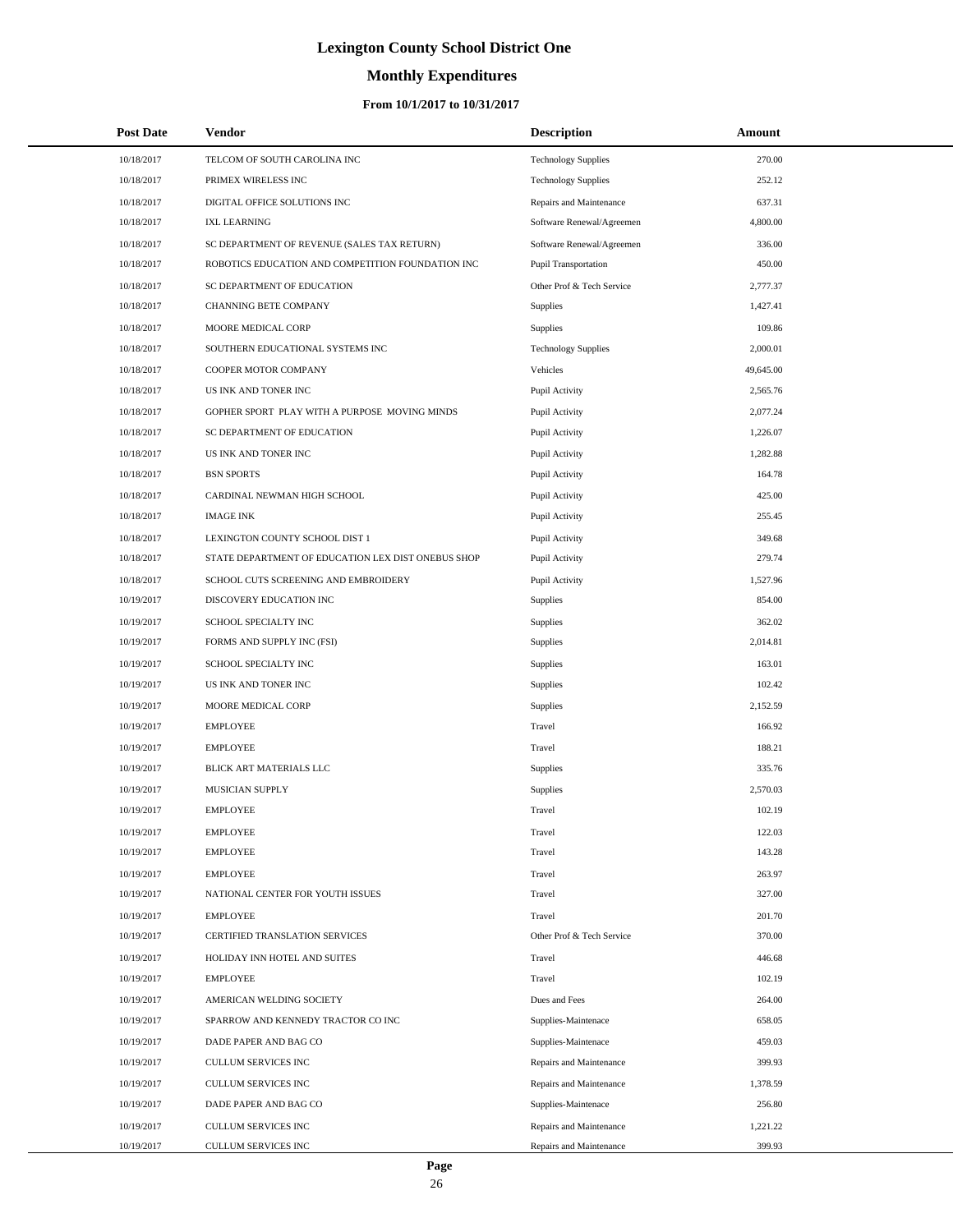# **Monthly Expenditures**

| <b>Post Date</b> | Vendor                                             | <b>Description</b>          | Amount    |  |
|------------------|----------------------------------------------------|-----------------------------|-----------|--|
| 10/18/2017       | TELCOM OF SOUTH CAROLINA INC                       | <b>Technology Supplies</b>  | 270.00    |  |
| 10/18/2017       | PRIMEX WIRELESS INC                                | <b>Technology Supplies</b>  | 252.12    |  |
| 10/18/2017       | DIGITAL OFFICE SOLUTIONS INC                       | Repairs and Maintenance     | 637.31    |  |
| 10/18/2017       | <b>IXL LEARNING</b>                                | Software Renewal/Agreemen   | 4,800.00  |  |
| 10/18/2017       | SC DEPARTMENT OF REVENUE (SALES TAX RETURN)        | Software Renewal/Agreemen   | 336.00    |  |
| 10/18/2017       | ROBOTICS EDUCATION AND COMPETITION FOUNDATION INC  | <b>Pupil Transportation</b> | 450.00    |  |
| 10/18/2017       | SC DEPARTMENT OF EDUCATION                         | Other Prof & Tech Service   | 2,777.37  |  |
| 10/18/2017       | CHANNING BETE COMPANY                              | Supplies                    | 1,427.41  |  |
| 10/18/2017       | MOORE MEDICAL CORP                                 | <b>Supplies</b>             | 109.86    |  |
| 10/18/2017       | SOUTHERN EDUCATIONAL SYSTEMS INC                   | <b>Technology Supplies</b>  | 2,000.01  |  |
| 10/18/2017       | COOPER MOTOR COMPANY                               | Vehicles                    | 49,645.00 |  |
| 10/18/2017       | US INK AND TONER INC                               | Pupil Activity              | 2,565.76  |  |
| 10/18/2017       | GOPHER SPORT PLAY WITH A PURPOSE MOVING MINDS      | Pupil Activity              | 2,077.24  |  |
| 10/18/2017       | SC DEPARTMENT OF EDUCATION                         | Pupil Activity              | 1,226.07  |  |
| 10/18/2017       | US INK AND TONER INC                               | Pupil Activity              | 1,282.88  |  |
| 10/18/2017       | <b>BSN SPORTS</b>                                  | Pupil Activity              | 164.78    |  |
| 10/18/2017       | CARDINAL NEWMAN HIGH SCHOOL                        | Pupil Activity              | 425.00    |  |
| 10/18/2017       | <b>IMAGE INK</b>                                   | Pupil Activity              | 255.45    |  |
| 10/18/2017       | LEXINGTON COUNTY SCHOOL DIST 1                     | Pupil Activity              | 349.68    |  |
| 10/18/2017       | STATE DEPARTMENT OF EDUCATION LEX DIST ONEBUS SHOP | Pupil Activity              | 279.74    |  |
| 10/18/2017       | SCHOOL CUTS SCREENING AND EMBROIDERY               | Pupil Activity              | 1,527.96  |  |
| 10/19/2017       | DISCOVERY EDUCATION INC                            | Supplies                    | 854.00    |  |
| 10/19/2017       | SCHOOL SPECIALTY INC                               | Supplies                    | 362.02    |  |
| 10/19/2017       | FORMS AND SUPPLY INC (FSI)                         | Supplies                    | 2,014.81  |  |
| 10/19/2017       | SCHOOL SPECIALTY INC                               | Supplies                    | 163.01    |  |
| 10/19/2017       | US INK AND TONER INC                               | Supplies                    | 102.42    |  |
| 10/19/2017       | MOORE MEDICAL CORP                                 | Supplies                    | 2,152.59  |  |
| 10/19/2017       | <b>EMPLOYEE</b>                                    | Travel                      | 166.92    |  |
| 10/19/2017       | <b>EMPLOYEE</b>                                    | Travel                      | 188.21    |  |
| 10/19/2017       | BLICK ART MATERIALS LLC                            | Supplies                    | 335.76    |  |
| 10/19/2017       | MUSICIAN SUPPLY                                    | Supplies                    | 2,570.03  |  |
| 10/19/2017       | <b>EMPLOYEE</b>                                    | Travel                      | 102.19    |  |
| 10/19/2017       | <b>EMPLOYEE</b>                                    | Travel                      | 122.03    |  |
| 10/19/2017       | <b>EMPLOYEE</b>                                    | Travel                      | 143.28    |  |
| 10/19/2017       | <b>EMPLOYEE</b>                                    | Travel                      | 263.97    |  |
| 10/19/2017       | NATIONAL CENTER FOR YOUTH ISSUES                   | Travel                      | 327.00    |  |
| 10/19/2017       | <b>EMPLOYEE</b>                                    | Travel                      | 201.70    |  |
| 10/19/2017       | CERTIFIED TRANSLATION SERVICES                     | Other Prof & Tech Service   | 370.00    |  |
| 10/19/2017       | HOLIDAY INN HOTEL AND SUITES                       | Travel                      | 446.68    |  |
| 10/19/2017       | <b>EMPLOYEE</b>                                    | Travel                      | 102.19    |  |
| 10/19/2017       | AMERICAN WELDING SOCIETY                           | Dues and Fees               | 264.00    |  |
| 10/19/2017       | SPARROW AND KENNEDY TRACTOR CO INC                 | Supplies-Maintenace         | 658.05    |  |
| 10/19/2017       | DADE PAPER AND BAG CO                              | Supplies-Maintenace         | 459.03    |  |
| 10/19/2017       | CULLUM SERVICES INC                                | Repairs and Maintenance     | 399.93    |  |
| 10/19/2017       | CULLUM SERVICES INC                                | Repairs and Maintenance     | 1,378.59  |  |
| 10/19/2017       | DADE PAPER AND BAG CO                              | Supplies-Maintenace         | 256.80    |  |
| 10/19/2017       | CULLUM SERVICES INC                                | Repairs and Maintenance     | 1,221.22  |  |
| 10/19/2017       | CULLUM SERVICES INC                                | Repairs and Maintenance     | 399.93    |  |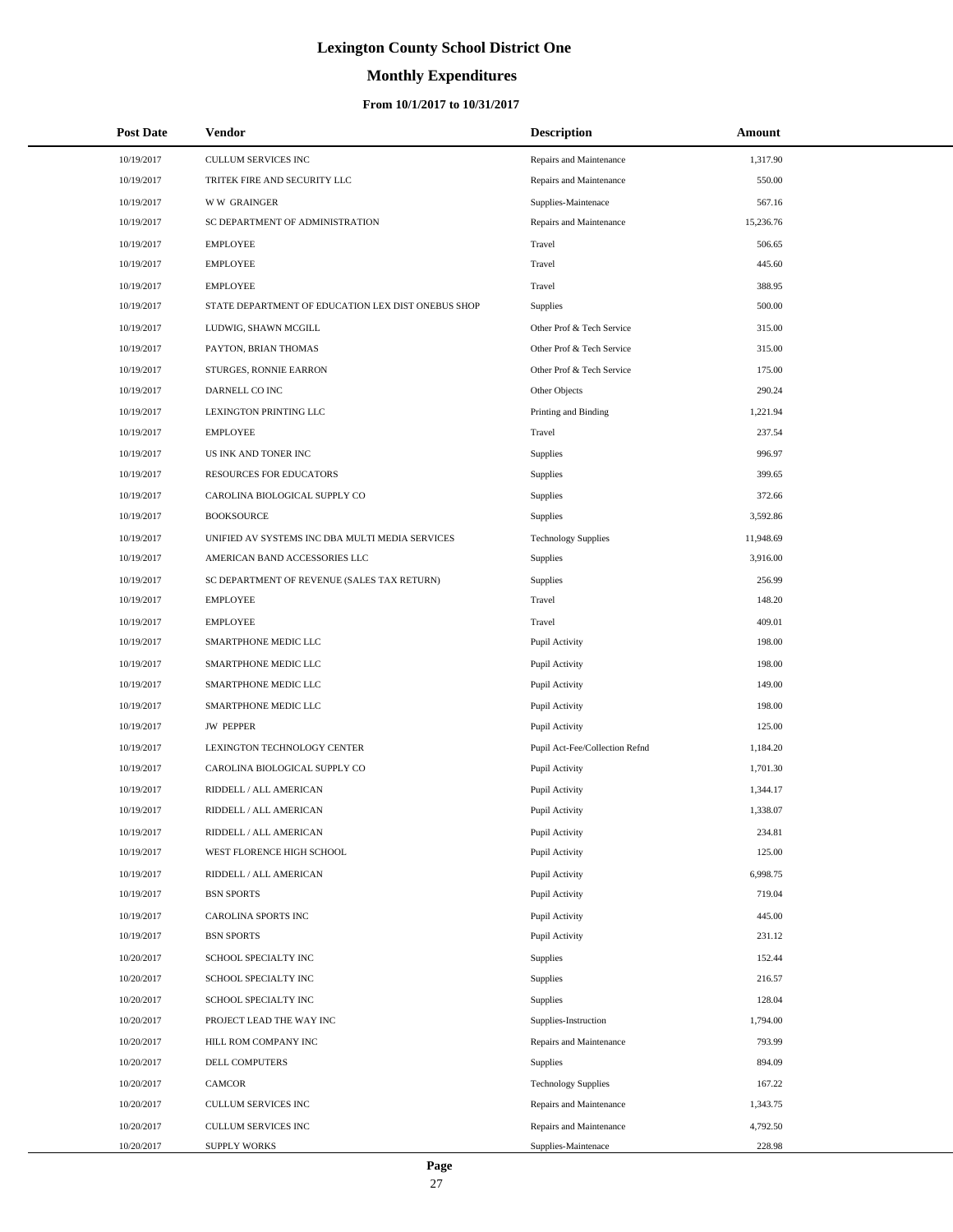# **Monthly Expenditures**

### **From 10/1/2017 to 10/31/2017**

| <b>Post Date</b> | Vendor                                             | <b>Description</b>             | Amount    |
|------------------|----------------------------------------------------|--------------------------------|-----------|
| 10/19/2017       | CULLUM SERVICES INC                                | Repairs and Maintenance        | 1,317.90  |
| 10/19/2017       | TRITEK FIRE AND SECURITY LLC                       | Repairs and Maintenance        | 550.00    |
| 10/19/2017       | <b>WW GRAINGER</b>                                 | Supplies-Maintenace            | 567.16    |
| 10/19/2017       | SC DEPARTMENT OF ADMINISTRATION                    | Repairs and Maintenance        | 15,236.76 |
| 10/19/2017       | <b>EMPLOYEE</b>                                    | Travel                         | 506.65    |
| 10/19/2017       | <b>EMPLOYEE</b>                                    | Travel                         | 445.60    |
| 10/19/2017       | <b>EMPLOYEE</b>                                    | Travel                         | 388.95    |
| 10/19/2017       | STATE DEPARTMENT OF EDUCATION LEX DIST ONEBUS SHOP | <b>Supplies</b>                | 500.00    |
| 10/19/2017       | LUDWIG, SHAWN MCGILL                               | Other Prof & Tech Service      | 315.00    |
| 10/19/2017       | PAYTON, BRIAN THOMAS                               | Other Prof & Tech Service      | 315.00    |
| 10/19/2017       | STURGES, RONNIE EARRON                             | Other Prof & Tech Service      | 175.00    |
| 10/19/2017       | DARNELL CO INC                                     | Other Objects                  | 290.24    |
| 10/19/2017       | LEXINGTON PRINTING LLC                             | Printing and Binding           | 1,221.94  |
| 10/19/2017       | <b>EMPLOYEE</b>                                    | Travel                         | 237.54    |
| 10/19/2017       | US INK AND TONER INC                               | Supplies                       | 996.97    |
| 10/19/2017       | <b>RESOURCES FOR EDUCATORS</b>                     | Supplies                       | 399.65    |
| 10/19/2017       | CAROLINA BIOLOGICAL SUPPLY CO                      | Supplies                       | 372.66    |
| 10/19/2017       | <b>BOOKSOURCE</b>                                  | Supplies                       | 3,592.86  |
| 10/19/2017       | UNIFIED AV SYSTEMS INC DBA MULTI MEDIA SERVICES    | <b>Technology Supplies</b>     | 11,948.69 |
| 10/19/2017       | AMERICAN BAND ACCESSORIES LLC                      | <b>Supplies</b>                | 3,916.00  |
| 10/19/2017       | SC DEPARTMENT OF REVENUE (SALES TAX RETURN)        | Supplies                       | 256.99    |
| 10/19/2017       | <b>EMPLOYEE</b>                                    | Travel                         | 148.20    |
| 10/19/2017       | <b>EMPLOYEE</b>                                    | Travel                         | 409.01    |
| 10/19/2017       | SMARTPHONE MEDIC LLC                               | Pupil Activity                 | 198.00    |
| 10/19/2017       | SMARTPHONE MEDIC LLC                               | Pupil Activity                 | 198.00    |
| 10/19/2017       | SMARTPHONE MEDIC LLC                               | Pupil Activity                 | 149.00    |
| 10/19/2017       | SMARTPHONE MEDIC LLC                               | Pupil Activity                 | 198.00    |
| 10/19/2017       | <b>JW PEPPER</b>                                   | Pupil Activity                 | 125.00    |
| 10/19/2017       | LEXINGTON TECHNOLOGY CENTER                        | Pupil Act-Fee/Collection Refnd | 1,184.20  |
| 10/19/2017       | CAROLINA BIOLOGICAL SUPPLY CO                      | Pupil Activity                 | 1,701.30  |
| 10/19/2017       | RIDDELL / ALL AMERICAN                             | Pupil Activity                 | 1,344.17  |
| 10/19/2017       | RIDDELL / ALL AMERICAN                             | Pupil Activity                 | 1,338.07  |
| 10/19/2017       | RIDDELL / ALL AMERICAN                             | Pupil Activity                 | 234.81    |
| 10/19/2017       | WEST FLORENCE HIGH SCHOOL                          | Pupil Activity                 | 125.00    |
| 10/19/2017       | RIDDELL / ALL AMERICAN                             | Pupil Activity                 | 6,998.75  |
| 10/19/2017       | <b>BSN SPORTS</b>                                  | Pupil Activity                 | 719.04    |
| 10/19/2017       | CAROLINA SPORTS INC                                | Pupil Activity                 | 445.00    |
| 10/19/2017       | <b>BSN SPORTS</b>                                  | Pupil Activity                 | 231.12    |
| 10/20/2017       | SCHOOL SPECIALTY INC                               | <b>Supplies</b>                | 152.44    |
| 10/20/2017       | SCHOOL SPECIALTY INC                               | <b>Supplies</b>                | 216.57    |
| 10/20/2017       | SCHOOL SPECIALTY INC                               | Supplies                       | 128.04    |
| 10/20/2017       | PROJECT LEAD THE WAY INC                           | Supplies-Instruction           | 1,794.00  |
| 10/20/2017       | HILL ROM COMPANY INC                               | Repairs and Maintenance        | 793.99    |
| 10/20/2017       | DELL COMPUTERS                                     | <b>Supplies</b>                | 894.09    |
| 10/20/2017       | <b>CAMCOR</b>                                      | <b>Technology Supplies</b>     | 167.22    |
| 10/20/2017       | CULLUM SERVICES INC                                | Repairs and Maintenance        | 1,343.75  |
| 10/20/2017       | CULLUM SERVICES INC                                | Repairs and Maintenance        | 4,792.50  |
| 10/20/2017       | <b>SUPPLY WORKS</b>                                | Supplies-Maintenace            | 228.98    |

L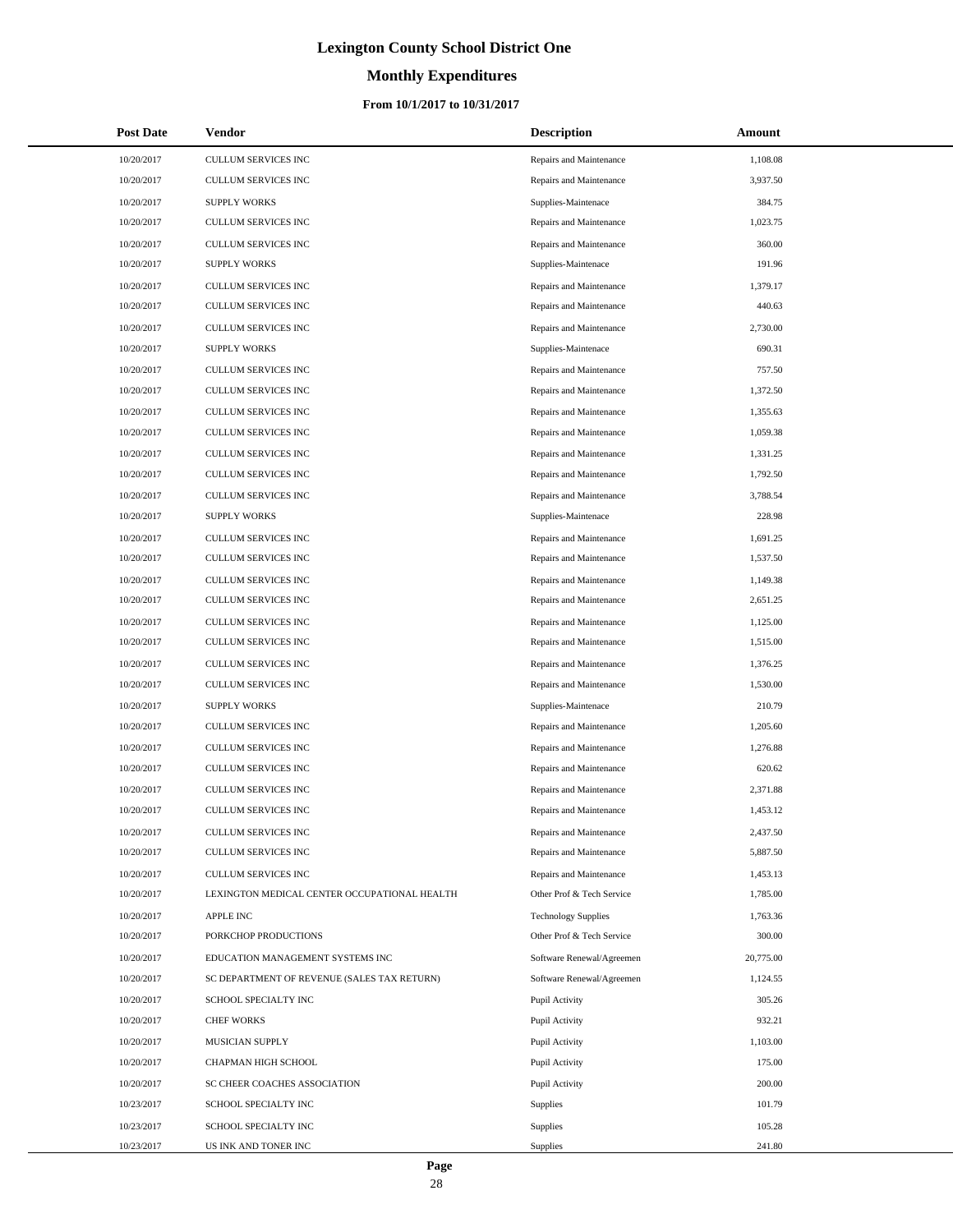# **Monthly Expenditures**

### **From 10/1/2017 to 10/31/2017**

| <b>Post Date</b> | <b>Vendor</b>                                | <b>Description</b>         | <b>Amount</b> |
|------------------|----------------------------------------------|----------------------------|---------------|
| 10/20/2017       | CULLUM SERVICES INC                          | Repairs and Maintenance    | 1,108.08      |
| 10/20/2017       | <b>CULLUM SERVICES INC</b>                   | Repairs and Maintenance    | 3,937.50      |
| 10/20/2017       | <b>SUPPLY WORKS</b>                          | Supplies-Maintenace        | 384.75        |
| 10/20/2017       | <b>CULLUM SERVICES INC</b>                   | Repairs and Maintenance    | 1,023.75      |
| 10/20/2017       | CULLUM SERVICES INC                          | Repairs and Maintenance    | 360.00        |
| 10/20/2017       | <b>SUPPLY WORKS</b>                          | Supplies-Maintenace        | 191.96        |
| 10/20/2017       | <b>CULLUM SERVICES INC</b>                   | Repairs and Maintenance    | 1,379.17      |
| 10/20/2017       | CULLUM SERVICES INC                          | Repairs and Maintenance    | 440.63        |
| 10/20/2017       | CULLUM SERVICES INC                          | Repairs and Maintenance    | 2,730.00      |
| 10/20/2017       | <b>SUPPLY WORKS</b>                          | Supplies-Maintenace        | 690.31        |
| 10/20/2017       | CULLUM SERVICES INC                          | Repairs and Maintenance    | 757.50        |
| 10/20/2017       | CULLUM SERVICES INC                          | Repairs and Maintenance    | 1,372.50      |
| 10/20/2017       | CULLUM SERVICES INC                          | Repairs and Maintenance    | 1,355.63      |
| 10/20/2017       | CULLUM SERVICES INC                          | Repairs and Maintenance    | 1,059.38      |
| 10/20/2017       | <b>CULLUM SERVICES INC</b>                   | Repairs and Maintenance    | 1,331.25      |
| 10/20/2017       | CULLUM SERVICES INC                          | Repairs and Maintenance    | 1,792.50      |
| 10/20/2017       | CULLUM SERVICES INC                          | Repairs and Maintenance    | 3,788.54      |
| 10/20/2017       | <b>SUPPLY WORKS</b>                          | Supplies-Maintenace        | 228.98        |
| 10/20/2017       | <b>CULLUM SERVICES INC</b>                   | Repairs and Maintenance    | 1,691.25      |
| 10/20/2017       | <b>CULLUM SERVICES INC</b>                   | Repairs and Maintenance    | 1,537.50      |
| 10/20/2017       | CULLUM SERVICES INC                          | Repairs and Maintenance    | 1,149.38      |
| 10/20/2017       | CULLUM SERVICES INC                          | Repairs and Maintenance    | 2,651.25      |
| 10/20/2017       | CULLUM SERVICES INC                          | Repairs and Maintenance    | 1,125.00      |
| 10/20/2017       | CULLUM SERVICES INC                          | Repairs and Maintenance    | 1,515.00      |
| 10/20/2017       | CULLUM SERVICES INC                          | Repairs and Maintenance    | 1,376.25      |
| 10/20/2017       | <b>CULLUM SERVICES INC</b>                   | Repairs and Maintenance    | 1,530.00      |
| 10/20/2017       | <b>SUPPLY WORKS</b>                          | Supplies-Maintenace        | 210.79        |
| 10/20/2017       | CULLUM SERVICES INC                          | Repairs and Maintenance    | 1,205.60      |
| 10/20/2017       | CULLUM SERVICES INC                          | Repairs and Maintenance    | 1,276.88      |
| 10/20/2017       | CULLUM SERVICES INC                          | Repairs and Maintenance    | 620.62        |
| 10/20/2017       | CULLUM SERVICES INC                          | Repairs and Maintenance    | 2,371.88      |
| 10/20/2017       | <b>CULLUM SERVICES INC</b>                   | Repairs and Maintenance    | 1,453.12      |
| 10/20/2017       | CULLUM SERVICES INC                          | Repairs and Maintenance    | 2,437.50      |
| 10/20/2017       | CULLUM SERVICES INC                          | Repairs and Maintenance    | 5,887.50      |
| 10/20/2017       | CULLUM SERVICES INC                          | Repairs and Maintenance    | 1,453.13      |
| 10/20/2017       | LEXINGTON MEDICAL CENTER OCCUPATIONAL HEALTH | Other Prof & Tech Service  | 1,785.00      |
| 10/20/2017       | <b>APPLE INC</b>                             | <b>Technology Supplies</b> | 1,763.36      |
| 10/20/2017       | PORKCHOP PRODUCTIONS                         | Other Prof & Tech Service  | 300.00        |
| 10/20/2017       | EDUCATION MANAGEMENT SYSTEMS INC             | Software Renewal/Agreemen  | 20,775.00     |
| 10/20/2017       | SC DEPARTMENT OF REVENUE (SALES TAX RETURN)  | Software Renewal/Agreemen  | 1,124.55      |
| 10/20/2017       | SCHOOL SPECIALTY INC                         | Pupil Activity             | 305.26        |
| 10/20/2017       | <b>CHEF WORKS</b>                            | Pupil Activity             | 932.21        |
| 10/20/2017       | MUSICIAN SUPPLY                              | Pupil Activity             | 1,103.00      |
| 10/20/2017       | CHAPMAN HIGH SCHOOL                          | Pupil Activity             | 175.00        |
| 10/20/2017       | SC CHEER COACHES ASSOCIATION                 | Pupil Activity             | 200.00        |
| 10/23/2017       | SCHOOL SPECIALTY INC                         | <b>Supplies</b>            | 101.79        |
| 10/23/2017       | SCHOOL SPECIALTY INC                         | Supplies                   | 105.28        |
| 10/23/2017       | US INK AND TONER INC                         | Supplies                   | 241.80        |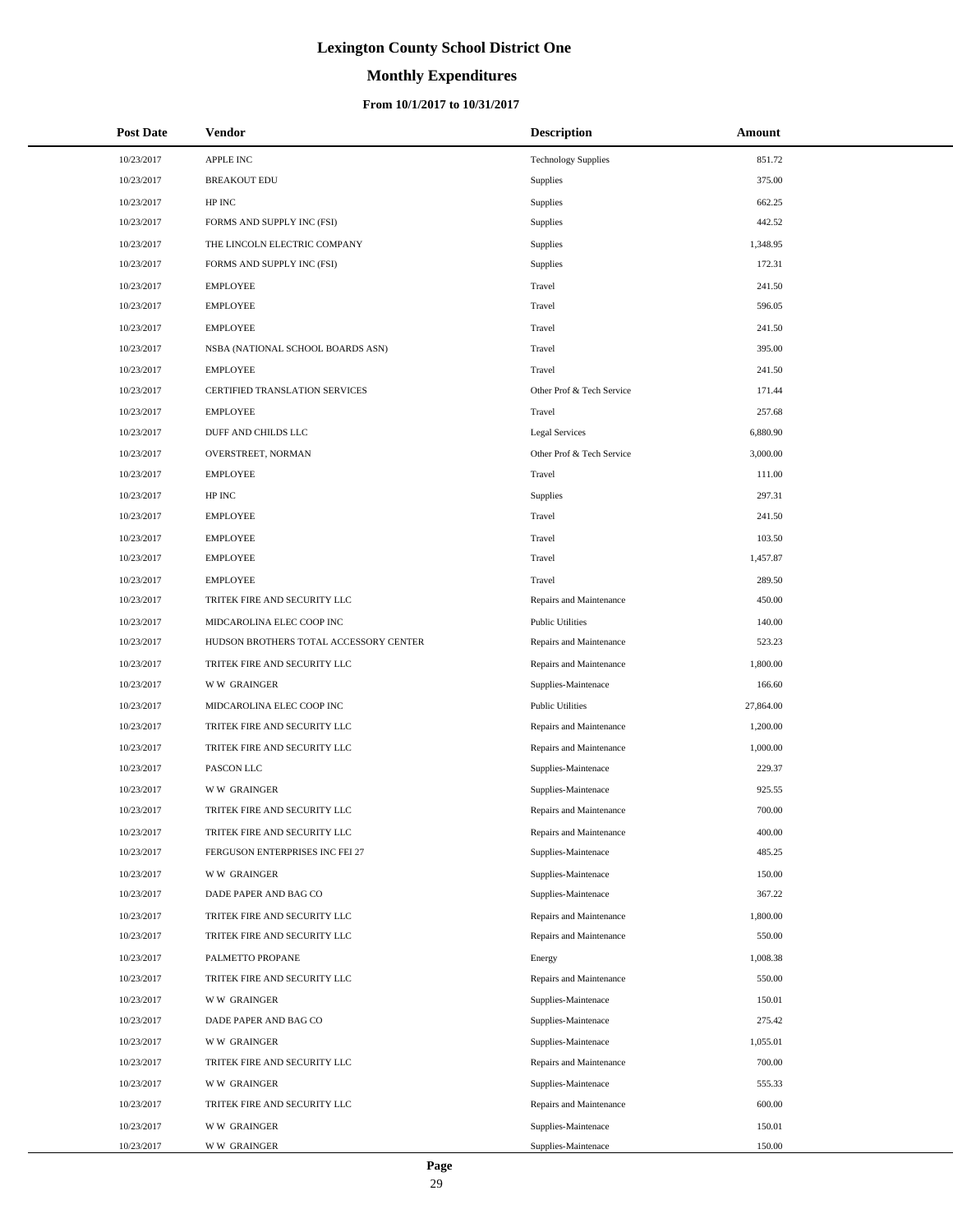# **Monthly Expenditures**

### **From 10/1/2017 to 10/31/2017**

| <b>Post Date</b> | Vendor                                 | <b>Description</b>         | Amount    |
|------------------|----------------------------------------|----------------------------|-----------|
| 10/23/2017       | <b>APPLE INC</b>                       | <b>Technology Supplies</b> | 851.72    |
| 10/23/2017       | <b>BREAKOUT EDU</b>                    | Supplies                   | 375.00    |
| 10/23/2017       | HP INC                                 | Supplies                   | 662.25    |
| 10/23/2017       | FORMS AND SUPPLY INC (FSI)             | Supplies                   | 442.52    |
| 10/23/2017       | THE LINCOLN ELECTRIC COMPANY           | <b>Supplies</b>            | 1,348.95  |
| 10/23/2017       | FORMS AND SUPPLY INC (FSI)             | Supplies                   | 172.31    |
| 10/23/2017       | <b>EMPLOYEE</b>                        | Travel                     | 241.50    |
| 10/23/2017       | <b>EMPLOYEE</b>                        | Travel                     | 596.05    |
| 10/23/2017       | <b>EMPLOYEE</b>                        | Travel                     | 241.50    |
| 10/23/2017       | NSBA (NATIONAL SCHOOL BOARDS ASN)      | Travel                     | 395.00    |
| 10/23/2017       | <b>EMPLOYEE</b>                        | Travel                     | 241.50    |
| 10/23/2017       | CERTIFIED TRANSLATION SERVICES         | Other Prof & Tech Service  | 171.44    |
| 10/23/2017       | <b>EMPLOYEE</b>                        | Travel                     | 257.68    |
| 10/23/2017       | DUFF AND CHILDS LLC                    | Legal Services             | 6,880.90  |
| 10/23/2017       | OVERSTREET, NORMAN                     | Other Prof & Tech Service  | 3,000.00  |
| 10/23/2017       | <b>EMPLOYEE</b>                        | Travel                     | 111.00    |
| 10/23/2017       | HP INC                                 | <b>Supplies</b>            | 297.31    |
| 10/23/2017       | <b>EMPLOYEE</b>                        | Travel                     | 241.50    |
| 10/23/2017       | <b>EMPLOYEE</b>                        | Travel                     | 103.50    |
| 10/23/2017       | <b>EMPLOYEE</b>                        | Travel                     | 1,457.87  |
| 10/23/2017       | <b>EMPLOYEE</b>                        | Travel                     | 289.50    |
| 10/23/2017       | TRITEK FIRE AND SECURITY LLC           | Repairs and Maintenance    | 450.00    |
| 10/23/2017       | MIDCAROLINA ELEC COOP INC              | <b>Public Utilities</b>    | 140.00    |
| 10/23/2017       | HUDSON BROTHERS TOTAL ACCESSORY CENTER | Repairs and Maintenance    | 523.23    |
| 10/23/2017       | TRITEK FIRE AND SECURITY LLC           | Repairs and Maintenance    | 1,800.00  |
| 10/23/2017       | <b>WW GRAINGER</b>                     | Supplies-Maintenace        | 166.60    |
| 10/23/2017       | MIDCAROLINA ELEC COOP INC              | <b>Public Utilities</b>    | 27,864.00 |
| 10/23/2017       | TRITEK FIRE AND SECURITY LLC           | Repairs and Maintenance    | 1,200.00  |
| 10/23/2017       | TRITEK FIRE AND SECURITY LLC           | Repairs and Maintenance    | 1,000.00  |
| 10/23/2017       | PASCON LLC                             | Supplies-Maintenace        | 229.37    |
| 10/23/2017       | <b>WW GRAINGER</b>                     | Supplies-Maintenace        | 925.55    |
| 10/23/2017       | TRITEK FIRE AND SECURITY LLC           | Repairs and Maintenance    | 700.00    |
| 10/23/2017       | TRITEK FIRE AND SECURITY LLC           | Repairs and Maintenance    | 400.00    |
| 10/23/2017       | FERGUSON ENTERPRISES INC FEI 27        | Supplies-Maintenace        | 485.25    |
| 10/23/2017       | <b>WW GRAINGER</b>                     | Supplies-Maintenace        | 150.00    |
| 10/23/2017       | DADE PAPER AND BAG CO                  | Supplies-Maintenace        | 367.22    |
| 10/23/2017       | TRITEK FIRE AND SECURITY LLC           | Repairs and Maintenance    | 1,800.00  |
| 10/23/2017       | TRITEK FIRE AND SECURITY LLC           | Repairs and Maintenance    | 550.00    |
| 10/23/2017       | PALMETTO PROPANE                       | Energy                     | 1,008.38  |
| 10/23/2017       | TRITEK FIRE AND SECURITY LLC           | Repairs and Maintenance    | 550.00    |
| 10/23/2017       | <b>WW GRAINGER</b>                     | Supplies-Maintenace        | 150.01    |
| 10/23/2017       | DADE PAPER AND BAG CO                  | Supplies-Maintenace        | 275.42    |
| 10/23/2017       | <b>WW GRAINGER</b>                     | Supplies-Maintenace        | 1,055.01  |
| 10/23/2017       | TRITEK FIRE AND SECURITY LLC           | Repairs and Maintenance    | 700.00    |
| 10/23/2017       | <b>WW GRAINGER</b>                     | Supplies-Maintenace        | 555.33    |
| 10/23/2017       | TRITEK FIRE AND SECURITY LLC           | Repairs and Maintenance    | 600.00    |
| 10/23/2017       | <b>WW GRAINGER</b>                     | Supplies-Maintenace        | 150.01    |
| 10/23/2017       | <b>WW GRAINGER</b>                     | Supplies-Maintenace        | 150.00    |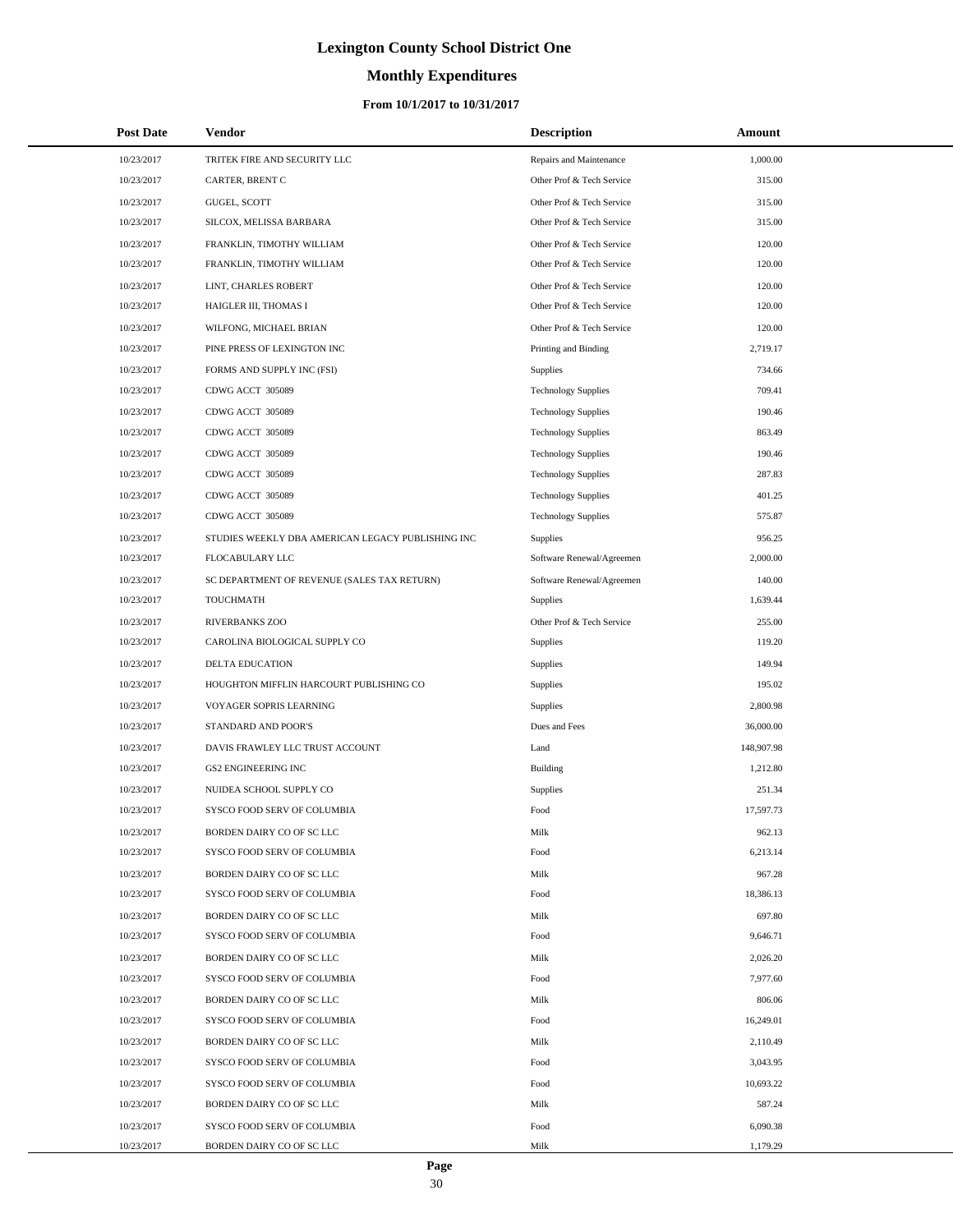# **Monthly Expenditures**

### **From 10/1/2017 to 10/31/2017**

| <b>Post Date</b> | <b>Vendor</b>                                     | <b>Description</b>         | <b>Amount</b> |  |
|------------------|---------------------------------------------------|----------------------------|---------------|--|
| 10/23/2017       | TRITEK FIRE AND SECURITY LLC                      | Repairs and Maintenance    | 1,000.00      |  |
| 10/23/2017       | <b>CARTER, BRENT C</b>                            | Other Prof & Tech Service  | 315.00        |  |
| 10/23/2017       | GUGEL, SCOTT                                      | Other Prof & Tech Service  | 315.00        |  |
| 10/23/2017       | SILCOX, MELISSA BARBARA                           | Other Prof & Tech Service  | 315.00        |  |
| 10/23/2017       | FRANKLIN, TIMOTHY WILLIAM                         | Other Prof & Tech Service  | 120.00        |  |
| 10/23/2017       | FRANKLIN, TIMOTHY WILLIAM                         | Other Prof & Tech Service  | 120.00        |  |
| 10/23/2017       | LINT, CHARLES ROBERT                              | Other Prof & Tech Service  | 120.00        |  |
| 10/23/2017       | HAIGLER III, THOMAS I                             | Other Prof & Tech Service  | 120.00        |  |
| 10/23/2017       | WILFONG, MICHAEL BRIAN                            | Other Prof & Tech Service  | 120.00        |  |
| 10/23/2017       | PINE PRESS OF LEXINGTON INC                       | Printing and Binding       | 2,719.17      |  |
| 10/23/2017       | FORMS AND SUPPLY INC (FSI)                        | Supplies                   | 734.66        |  |
| 10/23/2017       | CDWG ACCT 305089                                  | <b>Technology Supplies</b> | 709.41        |  |
| 10/23/2017       | CDWG ACCT 305089                                  | <b>Technology Supplies</b> | 190.46        |  |
| 10/23/2017       | CDWG ACCT 305089                                  | <b>Technology Supplies</b> | 863.49        |  |
| 10/23/2017       | CDWG ACCT 305089                                  | <b>Technology Supplies</b> | 190.46        |  |
| 10/23/2017       | CDWG ACCT 305089                                  | <b>Technology Supplies</b> | 287.83        |  |
| 10/23/2017       | CDWG ACCT 305089                                  | <b>Technology Supplies</b> | 401.25        |  |
| 10/23/2017       | CDWG ACCT 305089                                  | <b>Technology Supplies</b> | 575.87        |  |
| 10/23/2017       | STUDIES WEEKLY DBA AMERICAN LEGACY PUBLISHING INC | Supplies                   | 956.25        |  |
| 10/23/2017       | FLOCABULARY LLC                                   | Software Renewal/Agreemen  | 2,000.00      |  |
| 10/23/2017       | SC DEPARTMENT OF REVENUE (SALES TAX RETURN)       | Software Renewal/Agreemen  | 140.00        |  |
| 10/23/2017       | TOUCHMATH                                         | Supplies                   | 1,639.44      |  |
| 10/23/2017       | RIVERBANKS ZOO                                    | Other Prof & Tech Service  | 255.00        |  |
| 10/23/2017       | CAROLINA BIOLOGICAL SUPPLY CO                     | Supplies                   | 119.20        |  |
| 10/23/2017       | DELTA EDUCATION                                   | Supplies                   | 149.94        |  |
| 10/23/2017       | HOUGHTON MIFFLIN HARCOURT PUBLISHING CO           | Supplies                   | 195.02        |  |
| 10/23/2017       | VOYAGER SOPRIS LEARNING                           | Supplies                   | 2,800.98      |  |
| 10/23/2017       | STANDARD AND POOR'S                               | Dues and Fees              | 36,000.00     |  |
| 10/23/2017       | DAVIS FRAWLEY LLC TRUST ACCOUNT                   | Land                       | 148,907.98    |  |
| 10/23/2017       | <b>GS2 ENGINEERING INC</b>                        | Building                   | 1,212.80      |  |
| 10/23/2017       | NUIDEA SCHOOL SUPPLY CO                           | Supplies                   | 251.34        |  |
| 10/23/2017       | SYSCO FOOD SERV OF COLUMBIA                       | Food                       | 17,597.73     |  |
| 10/23/2017       | BORDEN DAIRY CO OF SC LLC                         | Milk                       | 962.13        |  |
| 10/23/2017       | SYSCO FOOD SERV OF COLUMBIA                       | Food                       | 6,213.14      |  |
| 10/23/2017       | BORDEN DAIRY CO OF SC LLC                         | Milk                       | 967.28        |  |
| 10/23/2017       | SYSCO FOOD SERV OF COLUMBIA                       | Food                       | 18,386.13     |  |
| 10/23/2017       | BORDEN DAIRY CO OF SC LLC                         | Milk                       | 697.80        |  |
| 10/23/2017       | SYSCO FOOD SERV OF COLUMBIA                       | Food                       | 9,646.71      |  |
| 10/23/2017       | BORDEN DAIRY CO OF SC LLC                         | Milk                       | 2,026.20      |  |
| 10/23/2017       | SYSCO FOOD SERV OF COLUMBIA                       | Food                       | 7,977.60      |  |
| 10/23/2017       | BORDEN DAIRY CO OF SC LLC                         | Milk                       | 806.06        |  |
| 10/23/2017       | SYSCO FOOD SERV OF COLUMBIA                       | Food                       | 16,249.01     |  |
| 10/23/2017       | BORDEN DAIRY CO OF SC LLC                         | Milk                       | 2,110.49      |  |
| 10/23/2017       | SYSCO FOOD SERV OF COLUMBIA                       | Food                       | 3,043.95      |  |
| 10/23/2017       | SYSCO FOOD SERV OF COLUMBIA                       | Food                       | 10,693.22     |  |
| 10/23/2017       | BORDEN DAIRY CO OF SC LLC                         | Milk                       | 587.24        |  |
| 10/23/2017       | SYSCO FOOD SERV OF COLUMBIA                       | Food                       | 6,090.38      |  |
| 10/23/2017       | BORDEN DAIRY CO OF SC LLC                         | Milk                       | 1,179.29      |  |

 $\overline{a}$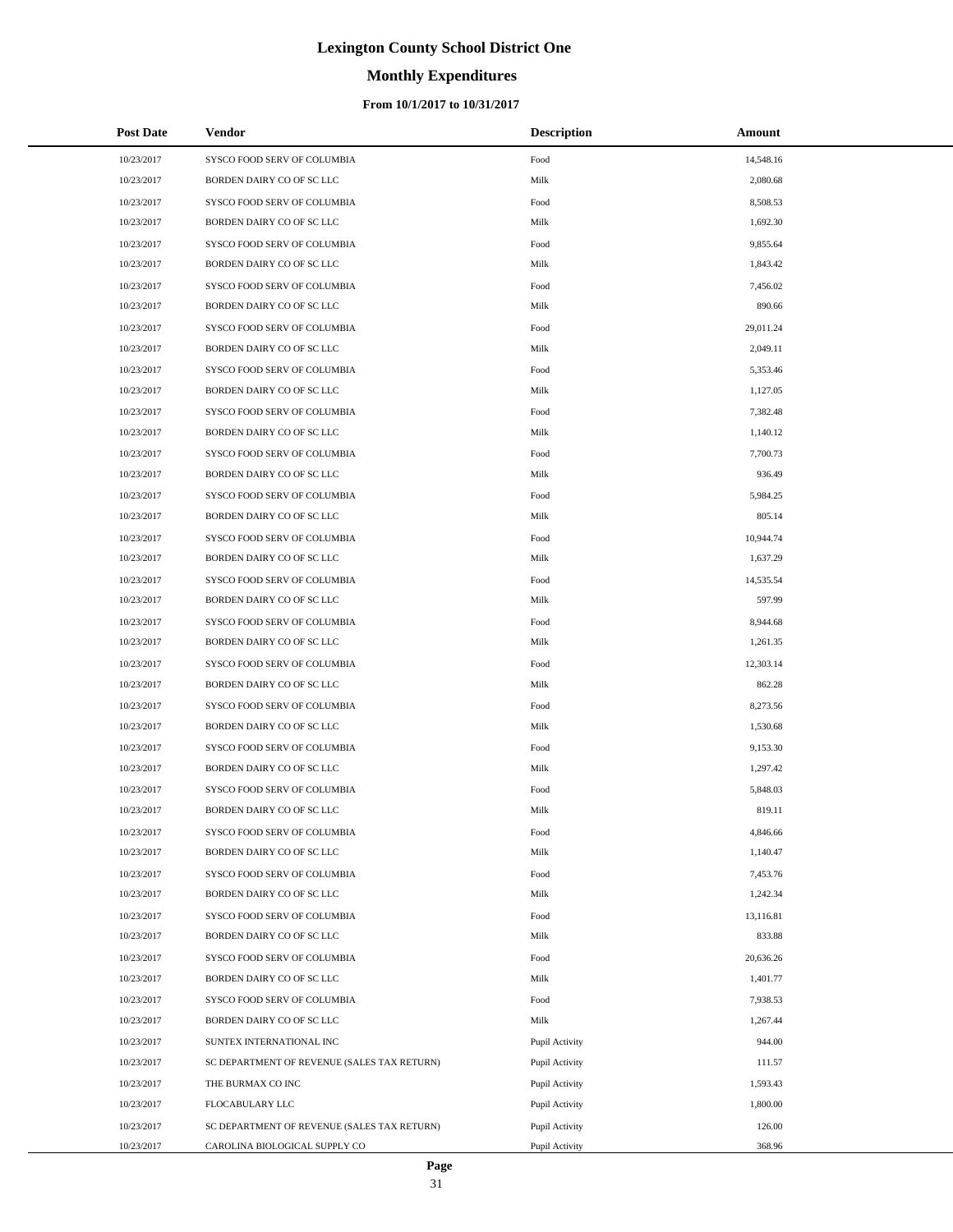# **Monthly Expenditures**

### **From 10/1/2017 to 10/31/2017**

| <b>Post Date</b> | Vendor                                      | <b>Description</b> | Amount    |
|------------------|---------------------------------------------|--------------------|-----------|
| 10/23/2017       | SYSCO FOOD SERV OF COLUMBIA                 | Food               | 14,548.16 |
| 10/23/2017       | BORDEN DAIRY CO OF SC LLC                   | Milk               | 2,080.68  |
| 10/23/2017       | SYSCO FOOD SERV OF COLUMBIA                 | Food               | 8,508.53  |
| 10/23/2017       | BORDEN DAIRY CO OF SC LLC                   | Milk               | 1,692.30  |
| 10/23/2017       | SYSCO FOOD SERV OF COLUMBIA                 | Food               | 9,855.64  |
| 10/23/2017       | BORDEN DAIRY CO OF SC LLC                   | Milk               | 1,843.42  |
| 10/23/2017       | SYSCO FOOD SERV OF COLUMBIA                 | Food               | 7,456.02  |
| 10/23/2017       | BORDEN DAIRY CO OF SC LLC                   | Milk               | 890.66    |
| 10/23/2017       | SYSCO FOOD SERV OF COLUMBIA                 | Food               | 29,011.24 |
| 10/23/2017       | BORDEN DAIRY CO OF SC LLC                   | Milk               | 2,049.11  |
| 10/23/2017       | SYSCO FOOD SERV OF COLUMBIA                 | Food               | 5,353.46  |
| 10/23/2017       | BORDEN DAIRY CO OF SC LLC                   | Milk               | 1,127.05  |
| 10/23/2017       | SYSCO FOOD SERV OF COLUMBIA                 | Food               | 7,382.48  |
| 10/23/2017       | BORDEN DAIRY CO OF SC LLC                   | Milk               | 1,140.12  |
| 10/23/2017       | SYSCO FOOD SERV OF COLUMBIA                 | Food               | 7,700.73  |
| 10/23/2017       | BORDEN DAIRY CO OF SC LLC                   | Milk               | 936.49    |
| 10/23/2017       | SYSCO FOOD SERV OF COLUMBIA                 | Food               | 5,984.25  |
| 10/23/2017       | BORDEN DAIRY CO OF SC LLC                   | Milk               | 805.14    |
| 10/23/2017       | SYSCO FOOD SERV OF COLUMBIA                 | Food               | 10,944.74 |
| 10/23/2017       | BORDEN DAIRY CO OF SC LLC                   | Milk               | 1,637.29  |
| 10/23/2017       | SYSCO FOOD SERV OF COLUMBIA                 | Food               | 14,535.54 |
| 10/23/2017       | BORDEN DAIRY CO OF SC LLC                   | Milk               | 597.99    |
| 10/23/2017       | SYSCO FOOD SERV OF COLUMBIA                 | Food               | 8,944.68  |
| 10/23/2017       | BORDEN DAIRY CO OF SC LLC                   | Milk               | 1,261.35  |
| 10/23/2017       | SYSCO FOOD SERV OF COLUMBIA                 | Food               | 12,303.14 |
| 10/23/2017       | BORDEN DAIRY CO OF SC LLC                   | Milk               | 862.28    |
| 10/23/2017       | SYSCO FOOD SERV OF COLUMBIA                 | Food               | 8,273.56  |
| 10/23/2017       | BORDEN DAIRY CO OF SC LLC                   | Milk               | 1,530.68  |
| 10/23/2017       | SYSCO FOOD SERV OF COLUMBIA                 | Food               | 9,153.30  |
| 10/23/2017       | BORDEN DAIRY CO OF SC LLC                   | Milk               | 1,297.42  |
| 10/23/2017       | SYSCO FOOD SERV OF COLUMBIA                 | Food               | 5,848.03  |
| 10/23/2017       | BORDEN DAIRY CO OF SC LLC                   | Milk               | 819.11    |
| 10/23/2017       | SYSCO FOOD SERV OF COLUMBIA                 | Food               | 4,846.66  |
| 10/23/2017       | BORDEN DAIRY CO OF SC LLC                   | Milk               | 1,140.47  |
| 10/23/2017       | SYSCO FOOD SERV OF COLUMBIA                 | Food               | 7,453.76  |
| 10/23/2017       | BORDEN DAIRY CO OF SC LLC                   | Milk               | 1,242.34  |
| 10/23/2017       | SYSCO FOOD SERV OF COLUMBIA                 | Food               | 13,116.81 |
| 10/23/2017       | BORDEN DAIRY CO OF SC LLC                   | Milk               | 833.88    |
| 10/23/2017       | SYSCO FOOD SERV OF COLUMBIA                 | Food               | 20,636.26 |
| 10/23/2017       | BORDEN DAIRY CO OF SC LLC                   | Milk               | 1,401.77  |
| 10/23/2017       | SYSCO FOOD SERV OF COLUMBIA                 | Food               | 7,938.53  |
| 10/23/2017       | BORDEN DAIRY CO OF SC LLC                   | Milk               | 1,267.44  |
| 10/23/2017       | SUNTEX INTERNATIONAL INC                    | Pupil Activity     | 944.00    |
| 10/23/2017       | SC DEPARTMENT OF REVENUE (SALES TAX RETURN) | Pupil Activity     | 111.57    |
| 10/23/2017       | THE BURMAX CO INC                           | Pupil Activity     | 1,593.43  |
| 10/23/2017       | FLOCABULARY LLC                             | Pupil Activity     | 1,800.00  |
| 10/23/2017       | SC DEPARTMENT OF REVENUE (SALES TAX RETURN) | Pupil Activity     | 126.00    |
| 10/23/2017       | CAROLINA BIOLOGICAL SUPPLY CO               | Pupil Activity     | 368.96    |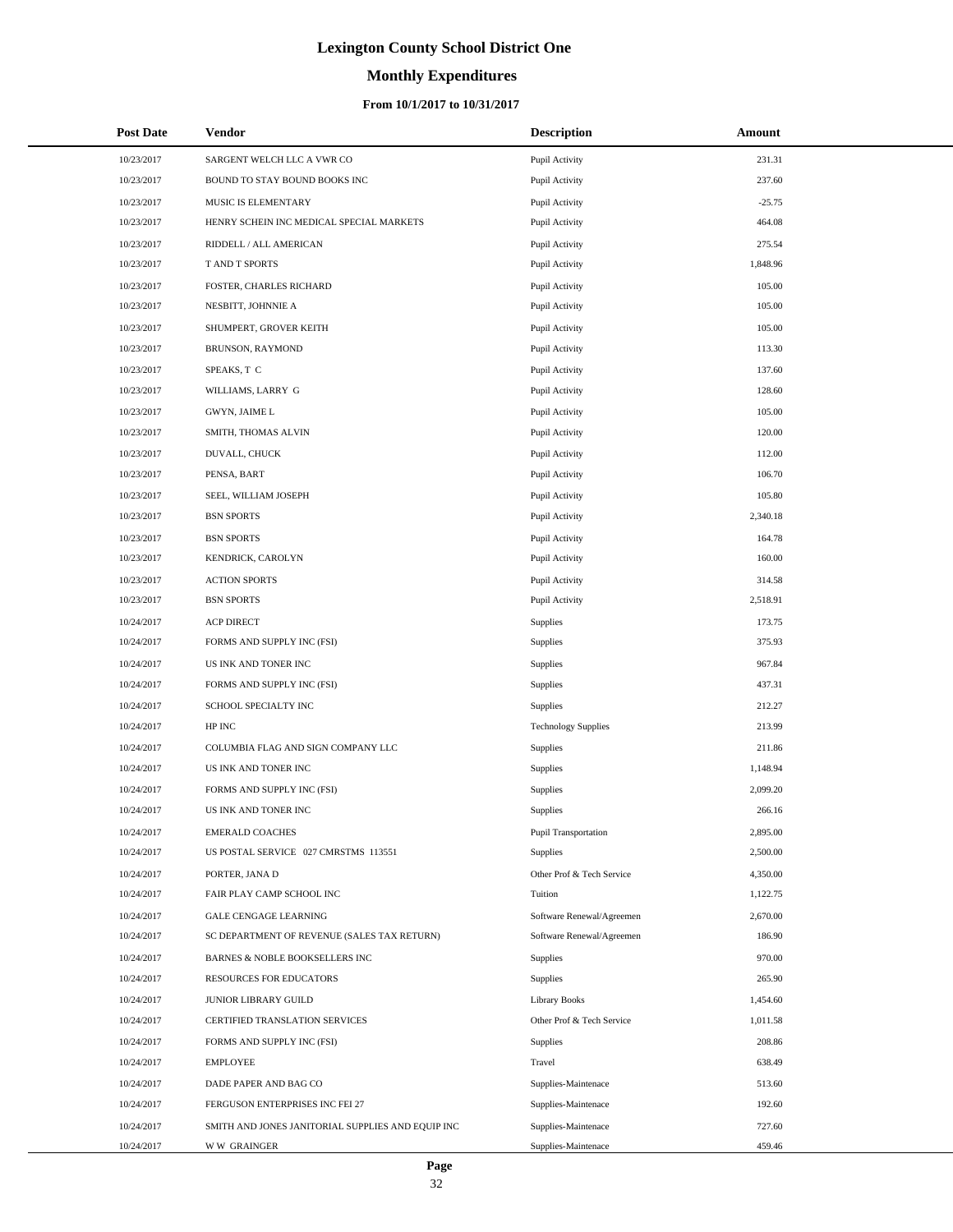# **Monthly Expenditures**

### **From 10/1/2017 to 10/31/2017**

| <b>Post Date</b> | Vendor                                            | <b>Description</b>         | Amount   |  |
|------------------|---------------------------------------------------|----------------------------|----------|--|
| 10/23/2017       | SARGENT WELCH LLC A VWR CO                        | Pupil Activity             | 231.31   |  |
| 10/23/2017       | BOUND TO STAY BOUND BOOKS INC                     | Pupil Activity             | 237.60   |  |
| 10/23/2017       | MUSIC IS ELEMENTARY                               | Pupil Activity             | $-25.75$ |  |
| 10/23/2017       | HENRY SCHEIN INC MEDICAL SPECIAL MARKETS          | Pupil Activity             | 464.08   |  |
| 10/23/2017       | RIDDELL / ALL AMERICAN                            | Pupil Activity             | 275.54   |  |
| 10/23/2017       | T AND T SPORTS                                    | Pupil Activity             | 1,848.96 |  |
| 10/23/2017       | FOSTER, CHARLES RICHARD                           | Pupil Activity             | 105.00   |  |
| 10/23/2017       | NESBITT, JOHNNIE A                                | Pupil Activity             | 105.00   |  |
| 10/23/2017       | SHUMPERT, GROVER KEITH                            | Pupil Activity             | 105.00   |  |
| 10/23/2017       | BRUNSON, RAYMOND                                  | Pupil Activity             | 113.30   |  |
| 10/23/2017       | SPEAKS, T C                                       | Pupil Activity             | 137.60   |  |
| 10/23/2017       | WILLIAMS, LARRY G                                 | Pupil Activity             | 128.60   |  |
| 10/23/2017       | GWYN, JAIME L                                     | Pupil Activity             | 105.00   |  |
| 10/23/2017       | SMITH, THOMAS ALVIN                               | Pupil Activity             | 120.00   |  |
| 10/23/2017       | DUVALL, CHUCK                                     | Pupil Activity             | 112.00   |  |
| 10/23/2017       | PENSA, BART                                       | Pupil Activity             | 106.70   |  |
| 10/23/2017       | SEEL, WILLIAM JOSEPH                              | Pupil Activity             | 105.80   |  |
| 10/23/2017       | <b>BSN SPORTS</b>                                 | Pupil Activity             | 2,340.18 |  |
| 10/23/2017       | <b>BSN SPORTS</b>                                 | Pupil Activity             | 164.78   |  |
| 10/23/2017       | KENDRICK, CAROLYN                                 | Pupil Activity             | 160.00   |  |
| 10/23/2017       | <b>ACTION SPORTS</b>                              | Pupil Activity             | 314.58   |  |
| 10/23/2017       | <b>BSN SPORTS</b>                                 | Pupil Activity             | 2,518.91 |  |
| 10/24/2017       | <b>ACP DIRECT</b>                                 | Supplies                   | 173.75   |  |
| 10/24/2017       | FORMS AND SUPPLY INC (FSI)                        | Supplies                   | 375.93   |  |
| 10/24/2017       | US INK AND TONER INC                              | Supplies                   | 967.84   |  |
| 10/24/2017       | FORMS AND SUPPLY INC (FSI)                        | Supplies                   | 437.31   |  |
| 10/24/2017       | SCHOOL SPECIALTY INC                              | Supplies                   | 212.27   |  |
| 10/24/2017       | HP INC                                            | <b>Technology Supplies</b> | 213.99   |  |
| 10/24/2017       | COLUMBIA FLAG AND SIGN COMPANY LLC                | Supplies                   | 211.86   |  |
| 10/24/2017       | US INK AND TONER INC                              | Supplies                   | 1,148.94 |  |
| 10/24/2017       | FORMS AND SUPPLY INC (FSI)                        | Supplies                   | 2,099.20 |  |
| 10/24/2017       | US INK AND TONER INC                              | Supplies                   | 266.16   |  |
| 10/24/2017       | <b>EMERALD COACHES</b>                            | Pupil Transportation       | 2,895.00 |  |
| 10/24/2017       | US POSTAL SERVICE 027 CMRSTMS 113551              | Supplies                   | 2,500.00 |  |
| 10/24/2017       | PORTER, JANA D                                    | Other Prof & Tech Service  | 4,350.00 |  |
| 10/24/2017       | FAIR PLAY CAMP SCHOOL INC                         | Tuition                    | 1,122.75 |  |
| 10/24/2017       | <b>GALE CENGAGE LEARNING</b>                      | Software Renewal/Agreemen  | 2,670.00 |  |
| 10/24/2017       | SC DEPARTMENT OF REVENUE (SALES TAX RETURN)       | Software Renewal/Agreemen  | 186.90   |  |
| 10/24/2017       | <b>BARNES &amp; NOBLE BOOKSELLERS INC</b>         | Supplies                   | 970.00   |  |
| 10/24/2017       | RESOURCES FOR EDUCATORS                           | Supplies                   | 265.90   |  |
| 10/24/2017       | <b>JUNIOR LIBRARY GUILD</b>                       | <b>Library Books</b>       | 1,454.60 |  |
| 10/24/2017       | CERTIFIED TRANSLATION SERVICES                    | Other Prof & Tech Service  | 1,011.58 |  |
| 10/24/2017       | FORMS AND SUPPLY INC (FSI)                        | Supplies                   | 208.86   |  |
| 10/24/2017       | <b>EMPLOYEE</b>                                   | Travel                     | 638.49   |  |
| 10/24/2017       | DADE PAPER AND BAG CO                             | Supplies-Maintenace        | 513.60   |  |
| 10/24/2017       | FERGUSON ENTERPRISES INC FEI 27                   | Supplies-Maintenace        | 192.60   |  |
| 10/24/2017       | SMITH AND JONES JANITORIAL SUPPLIES AND EQUIP INC | Supplies-Maintenace        | 727.60   |  |
| 10/24/2017       | <b>WW GRAINGER</b>                                | Supplies-Maintenace        | 459.46   |  |

 $\overline{a}$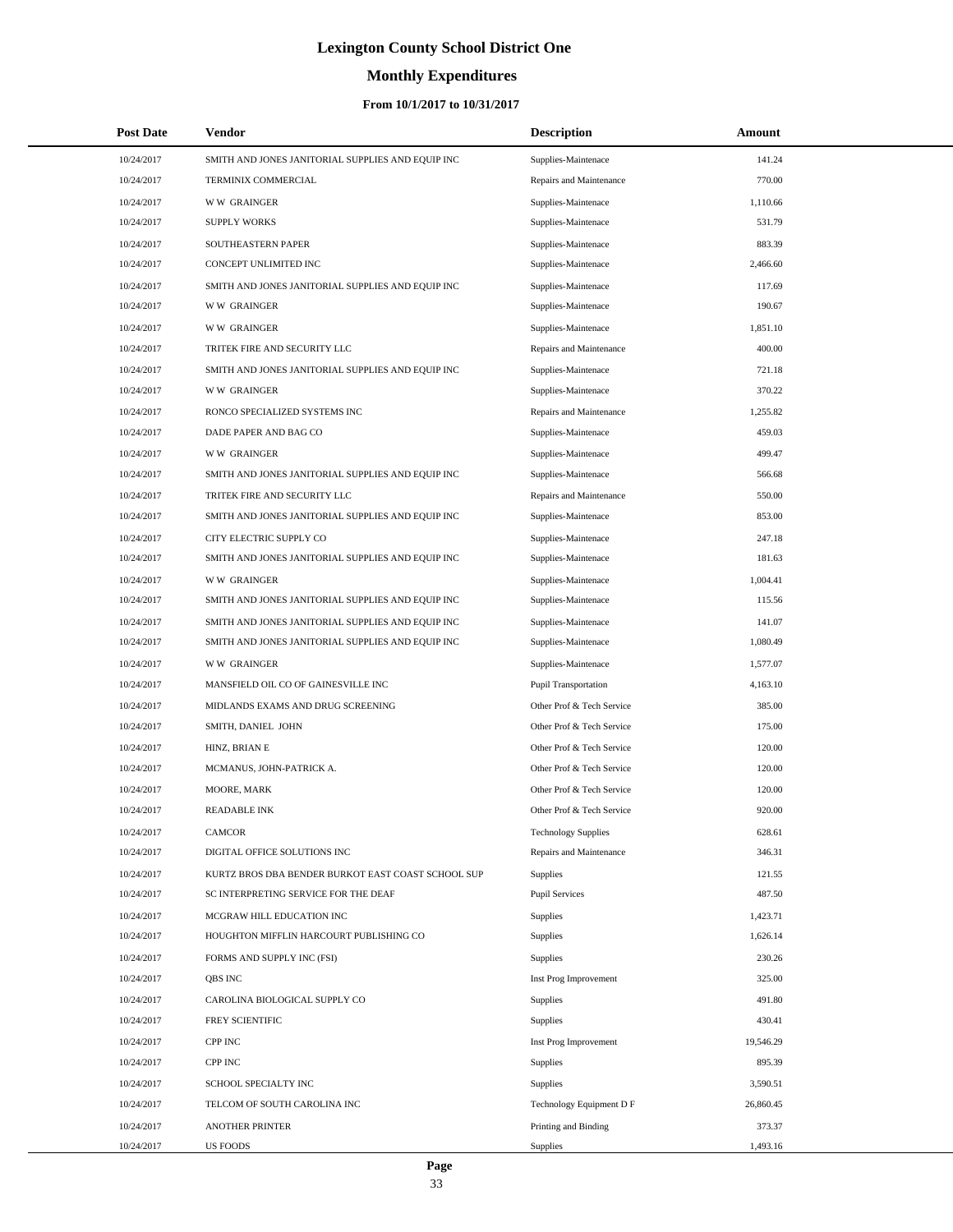# **Monthly Expenditures**

| <b>Post Date</b> | Vendor                                             | <b>Description</b>         | Amount    |  |
|------------------|----------------------------------------------------|----------------------------|-----------|--|
| 10/24/2017       | SMITH AND JONES JANITORIAL SUPPLIES AND EQUIP INC  | Supplies-Maintenace        | 141.24    |  |
| 10/24/2017       | TERMINIX COMMERCIAL                                | Repairs and Maintenance    | 770.00    |  |
| 10/24/2017       | <b>WW GRAINGER</b>                                 | Supplies-Maintenace        | 1,110.66  |  |
| 10/24/2017       | <b>SUPPLY WORKS</b>                                | Supplies-Maintenace        | 531.79    |  |
| 10/24/2017       | SOUTHEASTERN PAPER                                 | Supplies-Maintenace        | 883.39    |  |
| 10/24/2017       | CONCEPT UNLIMITED INC                              | Supplies-Maintenace        | 2,466.60  |  |
| 10/24/2017       | SMITH AND JONES JANITORIAL SUPPLIES AND EQUIP INC  | Supplies-Maintenace        | 117.69    |  |
| 10/24/2017       | <b>WW GRAINGER</b>                                 | Supplies-Maintenace        | 190.67    |  |
| 10/24/2017       | <b>WW GRAINGER</b>                                 | Supplies-Maintenace        | 1,851.10  |  |
| 10/24/2017       | TRITEK FIRE AND SECURITY LLC                       | Repairs and Maintenance    | 400.00    |  |
| 10/24/2017       | SMITH AND JONES JANITORIAL SUPPLIES AND EQUIP INC  | Supplies-Maintenace        | 721.18    |  |
| 10/24/2017       | <b>WW GRAINGER</b>                                 | Supplies-Maintenace        | 370.22    |  |
| 10/24/2017       | RONCO SPECIALIZED SYSTEMS INC                      | Repairs and Maintenance    | 1,255.82  |  |
| 10/24/2017       | DADE PAPER AND BAG CO                              | Supplies-Maintenace        | 459.03    |  |
| 10/24/2017       | <b>WW GRAINGER</b>                                 | Supplies-Maintenace        | 499.47    |  |
| 10/24/2017       | SMITH AND JONES JANITORIAL SUPPLIES AND EQUIP INC  | Supplies-Maintenace        | 566.68    |  |
| 10/24/2017       | TRITEK FIRE AND SECURITY LLC                       | Repairs and Maintenance    | 550.00    |  |
| 10/24/2017       | SMITH AND JONES JANITORIAL SUPPLIES AND EQUIP INC  | Supplies-Maintenace        | 853.00    |  |
| 10/24/2017       | CITY ELECTRIC SUPPLY CO                            | Supplies-Maintenace        | 247.18    |  |
| 10/24/2017       | SMITH AND JONES JANITORIAL SUPPLIES AND EQUIP INC  | Supplies-Maintenace        | 181.63    |  |
| 10/24/2017       | <b>WW GRAINGER</b>                                 | Supplies-Maintenace        | 1,004.41  |  |
| 10/24/2017       | SMITH AND JONES JANITORIAL SUPPLIES AND EQUIP INC  | Supplies-Maintenace        | 115.56    |  |
| 10/24/2017       | SMITH AND JONES JANITORIAL SUPPLIES AND EQUIP INC  | Supplies-Maintenace        | 141.07    |  |
| 10/24/2017       | SMITH AND JONES JANITORIAL SUPPLIES AND EQUIP INC  | Supplies-Maintenace        | 1,080.49  |  |
| 10/24/2017       | <b>WW GRAINGER</b>                                 | Supplies-Maintenace        | 1,577.07  |  |
| 10/24/2017       | MANSFIELD OIL CO OF GAINESVILLE INC                | Pupil Transportation       | 4,163.10  |  |
| 10/24/2017       | MIDLANDS EXAMS AND DRUG SCREENING                  | Other Prof & Tech Service  | 385.00    |  |
| 10/24/2017       | SMITH, DANIEL JOHN                                 | Other Prof & Tech Service  | 175.00    |  |
| 10/24/2017       | HINZ, BRIAN E                                      | Other Prof & Tech Service  | 120.00    |  |
| 10/24/2017       | MCMANUS, JOHN-PATRICK A.                           | Other Prof & Tech Service  | 120.00    |  |
| 10/24/2017       | MOORE, MARK                                        | Other Prof & Tech Service  | 120.00    |  |
| 10/24/2017       | <b>READABLE INK</b>                                | Other Prof & Tech Service  | 920.00    |  |
| 10/24/2017       | <b>CAMCOR</b>                                      | <b>Technology Supplies</b> | 628.61    |  |
| 10/24/2017       | DIGITAL OFFICE SOLUTIONS INC                       | Repairs and Maintenance    | 346.31    |  |
| 10/24/2017       | KURTZ BROS DBA BENDER BURKOT EAST COAST SCHOOL SUP | Supplies                   | 121.55    |  |
| 10/24/2017       | SC INTERPRETING SERVICE FOR THE DEAF               | <b>Pupil Services</b>      | 487.50    |  |
| 10/24/2017       | MCGRAW HILL EDUCATION INC                          | <b>Supplies</b>            | 1,423.71  |  |
| 10/24/2017       | HOUGHTON MIFFLIN HARCOURT PUBLISHING CO            | Supplies                   | 1,626.14  |  |
| 10/24/2017       | FORMS AND SUPPLY INC (FSI)                         | Supplies                   | 230.26    |  |
| 10/24/2017       | <b>OBS INC</b>                                     | Inst Prog Improvement      | 325.00    |  |
| 10/24/2017       | CAROLINA BIOLOGICAL SUPPLY CO                      | <b>Supplies</b>            | 491.80    |  |
| 10/24/2017       | FREY SCIENTIFIC                                    | Supplies                   | 430.41    |  |
| 10/24/2017       | CPP INC                                            | Inst Prog Improvement      | 19,546.29 |  |
| 10/24/2017       | CPP INC                                            | Supplies                   | 895.39    |  |
| 10/24/2017       | SCHOOL SPECIALTY INC                               | <b>Supplies</b>            | 3,590.51  |  |
| 10/24/2017       | TELCOM OF SOUTH CAROLINA INC                       | Technology Equipment D F   | 26,860.45 |  |
| 10/24/2017       | <b>ANOTHER PRINTER</b>                             | Printing and Binding       | 373.37    |  |
| 10/24/2017       | US FOODS                                           | Supplies                   | 1,493.16  |  |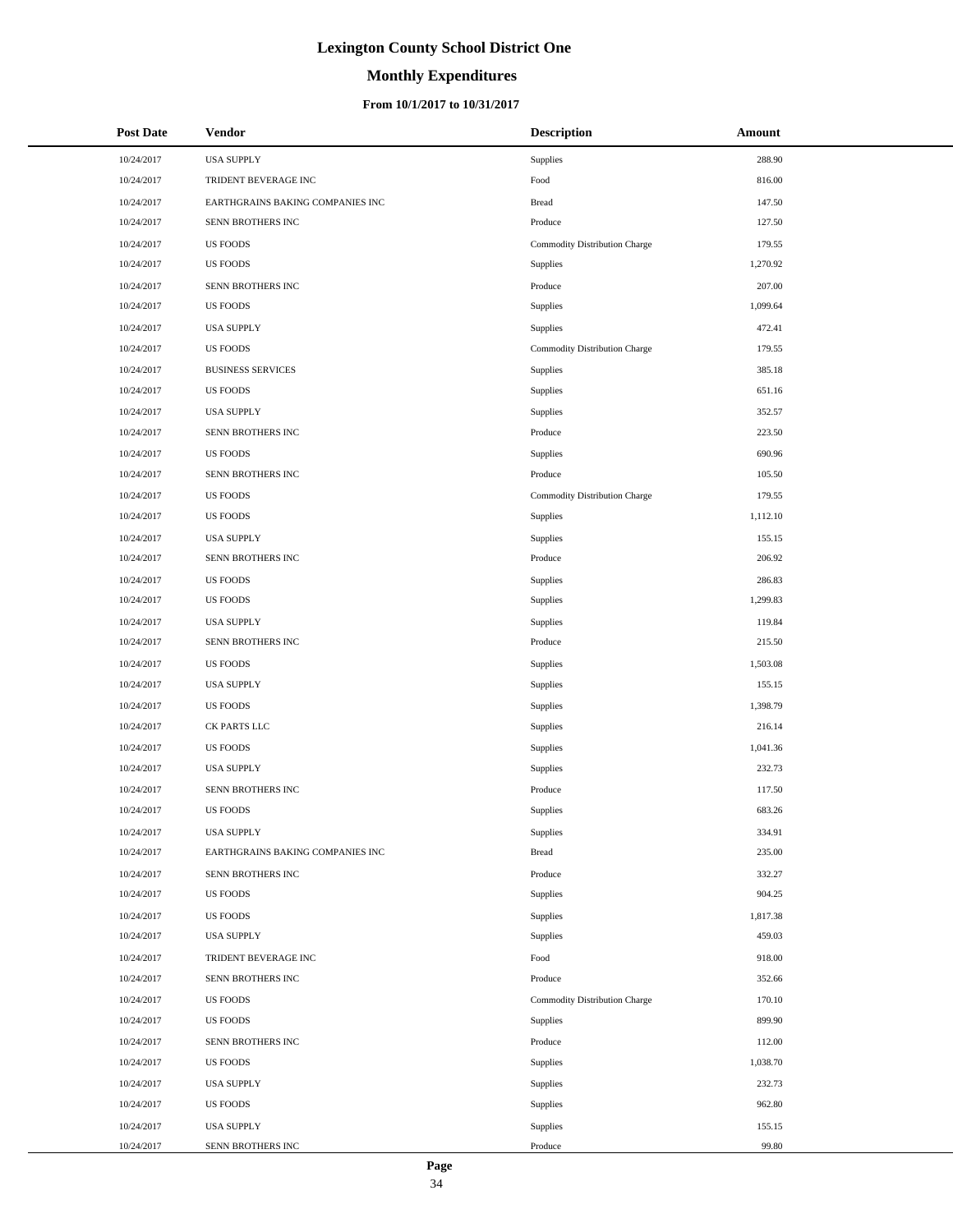# **Monthly Expenditures**

### **From 10/1/2017 to 10/31/2017**

| <b>Post Date</b> | Vendor                           | <b>Description</b>            | Amount   |
|------------------|----------------------------------|-------------------------------|----------|
| 10/24/2017       | <b>USA SUPPLY</b>                | Supplies                      | 288.90   |
| 10/24/2017       | TRIDENT BEVERAGE INC             | Food                          | 816.00   |
| 10/24/2017       | EARTHGRAINS BAKING COMPANIES INC | <b>Bread</b>                  | 147.50   |
| 10/24/2017       | SENN BROTHERS INC                | Produce                       | 127.50   |
| 10/24/2017       | <b>US FOODS</b>                  | Commodity Distribution Charge | 179.55   |
| 10/24/2017       | <b>US FOODS</b>                  | Supplies                      | 1,270.92 |
| 10/24/2017       | SENN BROTHERS INC                | Produce                       | 207.00   |
| 10/24/2017       | <b>US FOODS</b>                  | Supplies                      | 1,099.64 |
| 10/24/2017       | <b>USA SUPPLY</b>                | Supplies                      | 472.41   |
| 10/24/2017       | <b>US FOODS</b>                  | Commodity Distribution Charge | 179.55   |
| 10/24/2017       | <b>BUSINESS SERVICES</b>         | Supplies                      | 385.18   |
| 10/24/2017       | <b>US FOODS</b>                  | Supplies                      | 651.16   |
| 10/24/2017       | <b>USA SUPPLY</b>                | Supplies                      | 352.57   |
| 10/24/2017       | SENN BROTHERS INC                | Produce                       | 223.50   |
| 10/24/2017       | <b>US FOODS</b>                  | Supplies                      | 690.96   |
| 10/24/2017       | SENN BROTHERS INC                | Produce                       | 105.50   |
| 10/24/2017       | <b>US FOODS</b>                  | Commodity Distribution Charge | 179.55   |
| 10/24/2017       | <b>US FOODS</b>                  | Supplies                      | 1,112.10 |
| 10/24/2017       | <b>USA SUPPLY</b>                | Supplies                      | 155.15   |
| 10/24/2017       | SENN BROTHERS INC                | Produce                       | 206.92   |
| 10/24/2017       | <b>US FOODS</b>                  | Supplies                      | 286.83   |
| 10/24/2017       | <b>US FOODS</b>                  | Supplies                      | 1,299.83 |
| 10/24/2017       | <b>USA SUPPLY</b>                | Supplies                      | 119.84   |
| 10/24/2017       | SENN BROTHERS INC                | Produce                       | 215.50   |
| 10/24/2017       | <b>US FOODS</b>                  | Supplies                      | 1,503.08 |
| 10/24/2017       | <b>USA SUPPLY</b>                | Supplies                      | 155.15   |
| 10/24/2017       | <b>US FOODS</b>                  | Supplies                      | 1,398.79 |
| 10/24/2017       | CK PARTS LLC                     | Supplies                      | 216.14   |
| 10/24/2017       | <b>US FOODS</b>                  | Supplies                      | 1,041.36 |
| 10/24/2017       | <b>USA SUPPLY</b>                | Supplies                      | 232.73   |
| 10/24/2017       | SENN BROTHERS INC                | Produce                       | 117.50   |
| 10/24/2017       | <b>US FOODS</b>                  | Supplies                      | 683.26   |
| 10/24/2017       | <b>USA SUPPLY</b>                | Supplies                      | 334.91   |
| 10/24/2017       | EARTHGRAINS BAKING COMPANIES INC | <b>Bread</b>                  | 235.00   |
| 10/24/2017       | SENN BROTHERS INC                | Produce                       | 332.27   |
| 10/24/2017       | <b>US FOODS</b>                  | Supplies                      | 904.25   |
| 10/24/2017       | US FOODS                         | Supplies                      | 1,817.38 |
| 10/24/2017       | <b>USA SUPPLY</b>                | Supplies                      | 459.03   |
| 10/24/2017       | TRIDENT BEVERAGE INC             | Food                          | 918.00   |
| 10/24/2017       | SENN BROTHERS INC                | Produce                       | 352.66   |
| 10/24/2017       | <b>US FOODS</b>                  | Commodity Distribution Charge | 170.10   |
| 10/24/2017       | <b>US FOODS</b>                  | Supplies                      | 899.90   |
| 10/24/2017       | SENN BROTHERS INC                | Produce                       | 112.00   |
| 10/24/2017       | <b>US FOODS</b>                  | Supplies                      | 1,038.70 |
| 10/24/2017       | <b>USA SUPPLY</b>                | Supplies                      | 232.73   |
| 10/24/2017       | US FOODS                         | Supplies                      | 962.80   |
| 10/24/2017       | <b>USA SUPPLY</b>                | Supplies                      | 155.15   |
| 10/24/2017       | SENN BROTHERS INC                | Produce                       | 99.80    |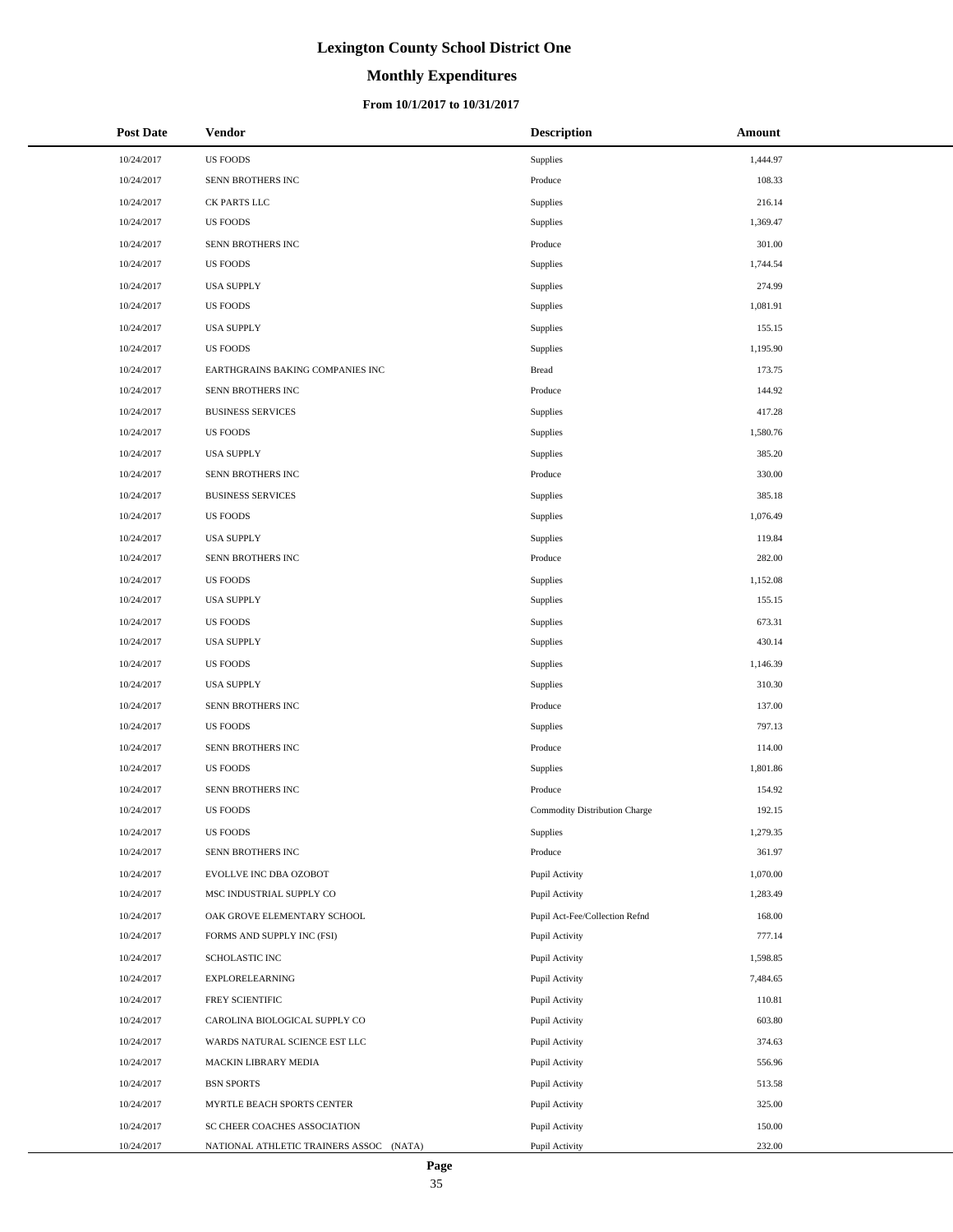# **Monthly Expenditures**

### **From 10/1/2017 to 10/31/2017**

| <b>Post Date</b> | <b>Vendor</b>                           | <b>Description</b>             | Amount   |
|------------------|-----------------------------------------|--------------------------------|----------|
| 10/24/2017       | <b>US FOODS</b>                         | Supplies                       | 1,444.97 |
| 10/24/2017       | SENN BROTHERS INC                       | Produce                        | 108.33   |
| 10/24/2017       | CK PARTS LLC                            | Supplies                       | 216.14   |
| 10/24/2017       | <b>US FOODS</b>                         | Supplies                       | 1,369.47 |
| 10/24/2017       | SENN BROTHERS INC                       | Produce                        | 301.00   |
| 10/24/2017       | <b>US FOODS</b>                         | Supplies                       | 1,744.54 |
| 10/24/2017       | <b>USA SUPPLY</b>                       | Supplies                       | 274.99   |
| 10/24/2017       | <b>US FOODS</b>                         | Supplies                       | 1,081.91 |
| 10/24/2017       | <b>USA SUPPLY</b>                       | Supplies                       | 155.15   |
| 10/24/2017       | <b>US FOODS</b>                         | Supplies                       | 1,195.90 |
| 10/24/2017       | EARTHGRAINS BAKING COMPANIES INC        | Bread                          | 173.75   |
| 10/24/2017       | SENN BROTHERS INC                       | Produce                        | 144.92   |
| 10/24/2017       | <b>BUSINESS SERVICES</b>                | Supplies                       | 417.28   |
| 10/24/2017       | US FOODS                                | Supplies                       | 1,580.76 |
| 10/24/2017       | <b>USA SUPPLY</b>                       | Supplies                       | 385.20   |
| 10/24/2017       | SENN BROTHERS INC                       | Produce                        | 330.00   |
| 10/24/2017       | <b>BUSINESS SERVICES</b>                | Supplies                       | 385.18   |
| 10/24/2017       | <b>US FOODS</b>                         | Supplies                       | 1,076.49 |
| 10/24/2017       | <b>USA SUPPLY</b>                       | Supplies                       | 119.84   |
| 10/24/2017       | SENN BROTHERS INC                       | Produce                        | 282.00   |
| 10/24/2017       | <b>US FOODS</b>                         | Supplies                       | 1,152.08 |
| 10/24/2017       | <b>USA SUPPLY</b>                       | Supplies                       | 155.15   |
| 10/24/2017       | <b>US FOODS</b>                         | Supplies                       | 673.31   |
| 10/24/2017       | <b>USA SUPPLY</b>                       | Supplies                       | 430.14   |
| 10/24/2017       | <b>US FOODS</b>                         | Supplies                       | 1,146.39 |
| 10/24/2017       | <b>USA SUPPLY</b>                       | Supplies                       | 310.30   |
| 10/24/2017       | SENN BROTHERS INC                       | Produce                        | 137.00   |
| 10/24/2017       | <b>US FOODS</b>                         | Supplies                       | 797.13   |
| 10/24/2017       | SENN BROTHERS INC                       | Produce                        | 114.00   |
| 10/24/2017       | <b>US FOODS</b>                         | Supplies                       | 1,801.86 |
| 10/24/2017       | SENN BROTHERS INC                       | Produce                        | 154.92   |
| 10/24/2017       | <b>US FOODS</b>                         | Commodity Distribution Charge  | 192.15   |
| 10/24/2017       | <b>US FOODS</b>                         | Supplies                       | 1,279.35 |
| 10/24/2017       | SENN BROTHERS INC                       | Produce                        | 361.97   |
| 10/24/2017       | EVOLLVE INC DBA OZOBOT                  | Pupil Activity                 | 1,070.00 |
| 10/24/2017       | MSC INDUSTRIAL SUPPLY CO                | Pupil Activity                 | 1,283.49 |
| 10/24/2017       | OAK GROVE ELEMENTARY SCHOOL             | Pupil Act-Fee/Collection Refnd | 168.00   |
| 10/24/2017       | FORMS AND SUPPLY INC (FSI)              | Pupil Activity                 | 777.14   |
| 10/24/2017       | SCHOLASTIC INC                          | Pupil Activity                 | 1,598.85 |
| 10/24/2017       | <b>EXPLORELEARNING</b>                  | Pupil Activity                 | 7,484.65 |
| 10/24/2017       | FREY SCIENTIFIC                         | Pupil Activity                 | 110.81   |
| 10/24/2017       | CAROLINA BIOLOGICAL SUPPLY CO           | Pupil Activity                 | 603.80   |
| 10/24/2017       | WARDS NATURAL SCIENCE EST LLC           | Pupil Activity                 | 374.63   |
| 10/24/2017       | MACKIN LIBRARY MEDIA                    | Pupil Activity                 | 556.96   |
| 10/24/2017       | <b>BSN SPORTS</b>                       | Pupil Activity                 | 513.58   |
| 10/24/2017       | MYRTLE BEACH SPORTS CENTER              | Pupil Activity                 | 325.00   |
| 10/24/2017       | SC CHEER COACHES ASSOCIATION            | Pupil Activity                 | 150.00   |
| 10/24/2017       | NATIONAL ATHLETIC TRAINERS ASSOC (NATA) | Pupil Activity                 | 232.00   |

÷.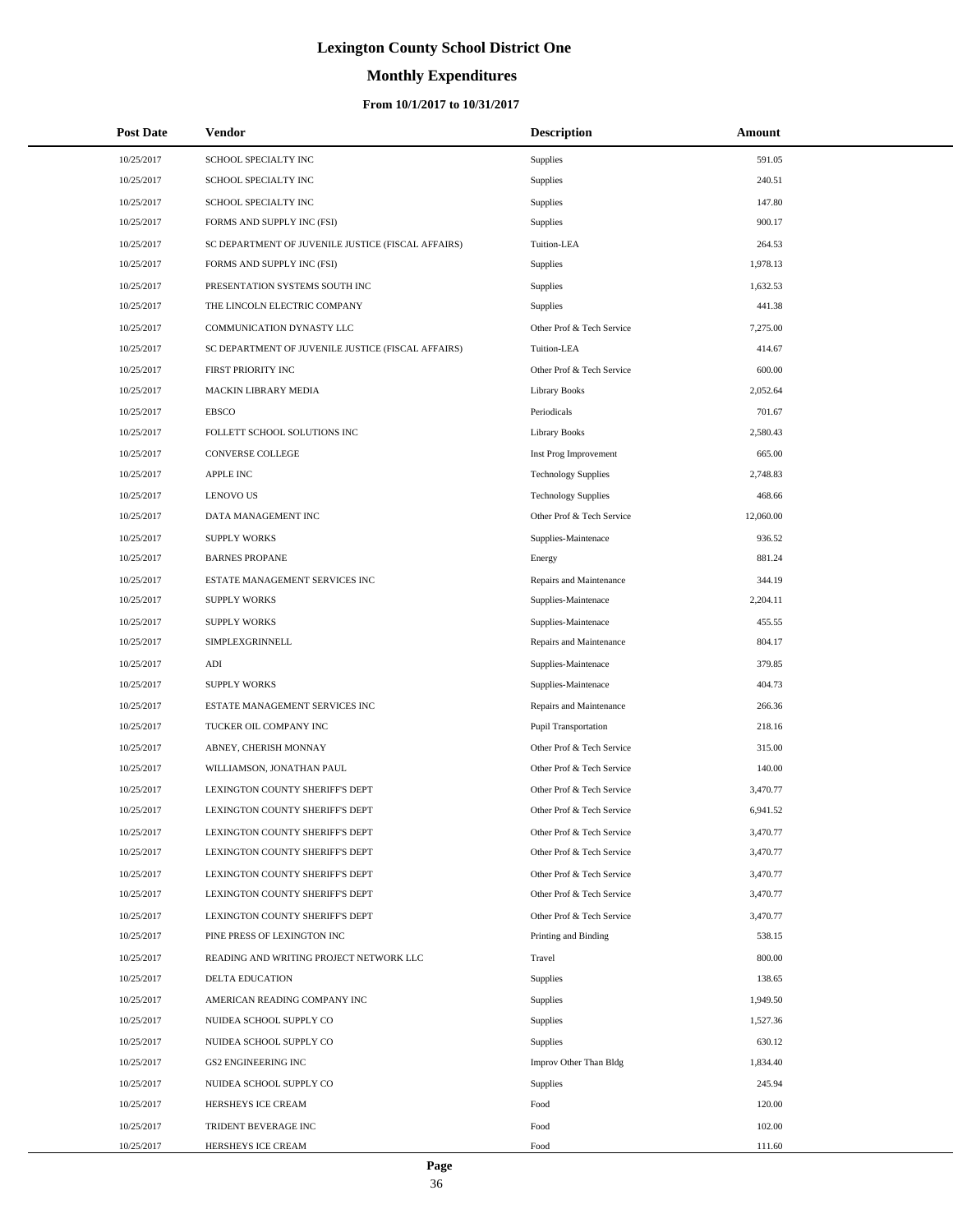# **Monthly Expenditures**

### **From 10/1/2017 to 10/31/2017**

| <b>Post Date</b> | Vendor                                             | <b>Description</b>          | Amount    |
|------------------|----------------------------------------------------|-----------------------------|-----------|
| 10/25/2017       | SCHOOL SPECIALTY INC                               | Supplies                    | 591.05    |
| 10/25/2017       | SCHOOL SPECIALTY INC                               | Supplies                    | 240.51    |
| 10/25/2017       | <b>SCHOOL SPECIALTY INC</b>                        | Supplies                    | 147.80    |
| 10/25/2017       | FORMS AND SUPPLY INC (FSI)                         | Supplies                    | 900.17    |
| 10/25/2017       | SC DEPARTMENT OF JUVENILE JUSTICE (FISCAL AFFAIRS) | Tuition-LEA                 | 264.53    |
| 10/25/2017       | FORMS AND SUPPLY INC (FSI)                         | Supplies                    | 1,978.13  |
| 10/25/2017       | PRESENTATION SYSTEMS SOUTH INC                     | Supplies                    | 1,632.53  |
| 10/25/2017       | THE LINCOLN ELECTRIC COMPANY                       | Supplies                    | 441.38    |
| 10/25/2017       | COMMUNICATION DYNASTY LLC                          | Other Prof & Tech Service   | 7,275.00  |
| 10/25/2017       | SC DEPARTMENT OF JUVENILE JUSTICE (FISCAL AFFAIRS) | Tuition-LEA                 | 414.67    |
| 10/25/2017       | FIRST PRIORITY INC                                 | Other Prof & Tech Service   | 600.00    |
| 10/25/2017       | MACKIN LIBRARY MEDIA                               | <b>Library Books</b>        | 2,052.64  |
| 10/25/2017       | <b>EBSCO</b>                                       | Periodicals                 | 701.67    |
| 10/25/2017       | FOLLETT SCHOOL SOLUTIONS INC                       | <b>Library Books</b>        | 2,580.43  |
| 10/25/2017       | CONVERSE COLLEGE                                   | Inst Prog Improvement       | 665.00    |
| 10/25/2017       | <b>APPLE INC</b>                                   | <b>Technology Supplies</b>  | 2,748.83  |
| 10/25/2017       | <b>LENOVO US</b>                                   | <b>Technology Supplies</b>  | 468.66    |
| 10/25/2017       | DATA MANAGEMENT INC                                | Other Prof & Tech Service   | 12,060.00 |
| 10/25/2017       | <b>SUPPLY WORKS</b>                                | Supplies-Maintenace         | 936.52    |
| 10/25/2017       | <b>BARNES PROPANE</b>                              | Energy                      | 881.24    |
| 10/25/2017       | ESTATE MANAGEMENT SERVICES INC                     | Repairs and Maintenance     | 344.19    |
| 10/25/2017       | <b>SUPPLY WORKS</b>                                | Supplies-Maintenace         | 2,204.11  |
| 10/25/2017       | <b>SUPPLY WORKS</b>                                | Supplies-Maintenace         | 455.55    |
| 10/25/2017       | SIMPLEXGRINNELL                                    | Repairs and Maintenance     | 804.17    |
| 10/25/2017       | ADI                                                | Supplies-Maintenace         | 379.85    |
| 10/25/2017       | <b>SUPPLY WORKS</b>                                | Supplies-Maintenace         | 404.73    |
| 10/25/2017       | ESTATE MANAGEMENT SERVICES INC                     | Repairs and Maintenance     | 266.36    |
| 10/25/2017       | TUCKER OIL COMPANY INC                             | <b>Pupil Transportation</b> | 218.16    |
| 10/25/2017       | ABNEY, CHERISH MONNAY                              | Other Prof & Tech Service   | 315.00    |
| 10/25/2017       | WILLIAMSON, JONATHAN PAUL                          | Other Prof & Tech Service   | 140.00    |
| 10/25/2017       | LEXINGTON COUNTY SHERIFF'S DEPT                    | Other Prof & Tech Service   | 3,470.77  |
| 10/25/2017       | LEXINGTON COUNTY SHERIFF'S DEPT                    | Other Prof & Tech Service   | 6,941.52  |
| 10/25/2017       | LEXINGTON COUNTY SHERIFF'S DEPT                    | Other Prof & Tech Service   | 3,470.77  |
| 10/25/2017       | LEXINGTON COUNTY SHERIFF'S DEPT                    | Other Prof & Tech Service   | 3,470.77  |
| 10/25/2017       | LEXINGTON COUNTY SHERIFF'S DEPT                    | Other Prof & Tech Service   | 3,470.77  |
| 10/25/2017       | LEXINGTON COUNTY SHERIFF'S DEPT                    | Other Prof & Tech Service   | 3,470.77  |
| 10/25/2017       | LEXINGTON COUNTY SHERIFF'S DEPT                    | Other Prof & Tech Service   | 3,470.77  |
| 10/25/2017       | PINE PRESS OF LEXINGTON INC                        | Printing and Binding        | 538.15    |
| 10/25/2017       | READING AND WRITING PROJECT NETWORK LLC            | Travel                      | 800.00    |
| 10/25/2017       | DELTA EDUCATION                                    | Supplies                    | 138.65    |
| 10/25/2017       | AMERICAN READING COMPANY INC                       | Supplies                    | 1,949.50  |
| 10/25/2017       | NUIDEA SCHOOL SUPPLY CO                            | Supplies                    | 1,527.36  |
| 10/25/2017       | NUIDEA SCHOOL SUPPLY CO                            | Supplies                    | 630.12    |
| 10/25/2017       | GS2 ENGINEERING INC                                | Improv Other Than Bldg      | 1,834.40  |
| 10/25/2017       | NUIDEA SCHOOL SUPPLY CO                            | Supplies                    | 245.94    |
| 10/25/2017       | HERSHEYS ICE CREAM                                 | Food                        | 120.00    |
| 10/25/2017       | TRIDENT BEVERAGE INC                               | Food                        | 102.00    |
| 10/25/2017       | HERSHEYS ICE CREAM                                 | Food                        | 111.60    |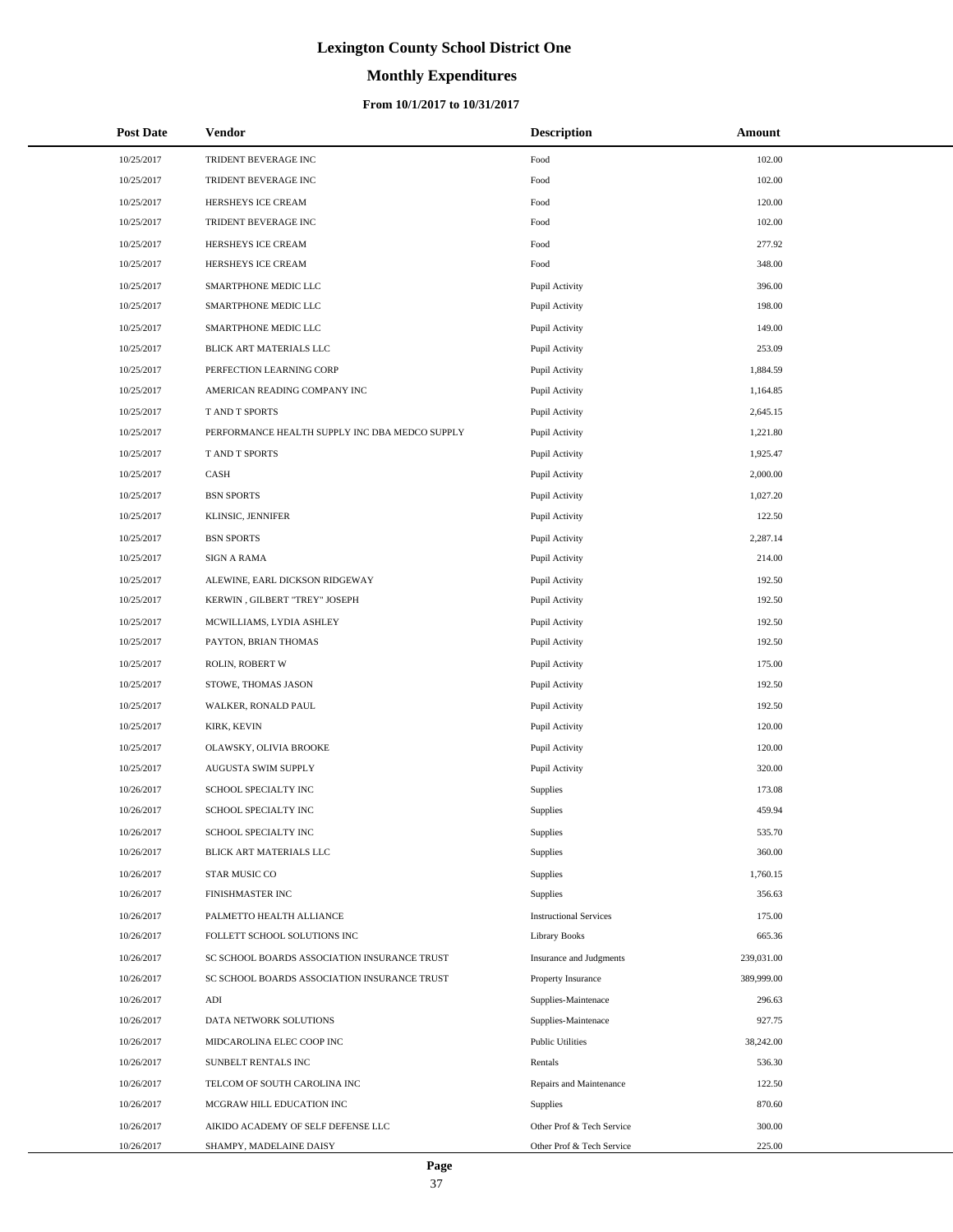# **Monthly Expenditures**

### **From 10/1/2017 to 10/31/2017**

| <b>Post Date</b> | <b>Vendor</b>                                  | <b>Description</b>             | Amount     |
|------------------|------------------------------------------------|--------------------------------|------------|
| 10/25/2017       | TRIDENT BEVERAGE INC                           | Food                           | 102.00     |
| 10/25/2017       | TRIDENT BEVERAGE INC                           | Food                           | 102.00     |
| 10/25/2017       | HERSHEYS ICE CREAM                             | Food                           | 120.00     |
| 10/25/2017       | TRIDENT BEVERAGE INC                           | Food                           | 102.00     |
| 10/25/2017       | HERSHEYS ICE CREAM                             | Food                           | 277.92     |
| 10/25/2017       | HERSHEYS ICE CREAM                             | Food                           | 348.00     |
| 10/25/2017       | SMARTPHONE MEDIC LLC                           | Pupil Activity                 | 396.00     |
| 10/25/2017       | SMARTPHONE MEDIC LLC                           | Pupil Activity                 | 198.00     |
| 10/25/2017       | SMARTPHONE MEDIC LLC                           | Pupil Activity                 | 149.00     |
| 10/25/2017       | BLICK ART MATERIALS LLC                        | Pupil Activity                 | 253.09     |
| 10/25/2017       | PERFECTION LEARNING CORP                       | Pupil Activity                 | 1,884.59   |
| 10/25/2017       | AMERICAN READING COMPANY INC                   | Pupil Activity                 | 1,164.85   |
| 10/25/2017       | T AND T SPORTS                                 | Pupil Activity                 | 2,645.15   |
| 10/25/2017       | PERFORMANCE HEALTH SUPPLY INC DBA MEDCO SUPPLY | Pupil Activity                 | 1,221.80   |
| 10/25/2017       | T AND T SPORTS                                 | Pupil Activity                 | 1,925.47   |
| 10/25/2017       | CASH                                           | Pupil Activity                 | 2,000.00   |
| 10/25/2017       | <b>BSN SPORTS</b>                              | Pupil Activity                 | 1,027.20   |
| 10/25/2017       | KLINSIC, JENNIFER                              | Pupil Activity                 | 122.50     |
| 10/25/2017       | <b>BSN SPORTS</b>                              | Pupil Activity                 | 2,287.14   |
| 10/25/2017       | <b>SIGN A RAMA</b>                             | Pupil Activity                 | 214.00     |
| 10/25/2017       | ALEWINE, EARL DICKSON RIDGEWAY                 | Pupil Activity                 | 192.50     |
| 10/25/2017       | KERWIN, GILBERT "TREY" JOSEPH                  | Pupil Activity                 | 192.50     |
| 10/25/2017       | MCWILLIAMS, LYDIA ASHLEY                       | Pupil Activity                 | 192.50     |
| 10/25/2017       | PAYTON, BRIAN THOMAS                           | Pupil Activity                 | 192.50     |
| 10/25/2017       | ROLIN, ROBERT W                                | Pupil Activity                 | 175.00     |
| 10/25/2017       | STOWE, THOMAS JASON                            | Pupil Activity                 | 192.50     |
| 10/25/2017       | WALKER, RONALD PAUL                            | Pupil Activity                 | 192.50     |
| 10/25/2017       | KIRK, KEVIN                                    | Pupil Activity                 | 120.00     |
| 10/25/2017       | OLAWSKY, OLIVIA BROOKE                         | Pupil Activity                 | 120.00     |
| 10/25/2017       | AUGUSTA SWIM SUPPLY                            | Pupil Activity                 | 320.00     |
| 10/26/2017       | SCHOOL SPECIALTY INC                           | <b>Supplies</b>                | 173.08     |
| 10/26/2017       | SCHOOL SPECIALTY INC                           | Supplies                       | 459.94     |
| 10/26/2017       | SCHOOL SPECIALTY INC                           | Supplies                       | 535.70     |
| 10/26/2017       | BLICK ART MATERIALS LLC                        | Supplies                       | 360.00     |
| 10/26/2017       | STAR MUSIC CO                                  | Supplies                       | 1,760.15   |
| 10/26/2017       | FINISHMASTER INC                               | Supplies                       | 356.63     |
| 10/26/2017       | PALMETTO HEALTH ALLIANCE                       | <b>Instructional Services</b>  | 175.00     |
| 10/26/2017       | FOLLETT SCHOOL SOLUTIONS INC                   | <b>Library Books</b>           | 665.36     |
| 10/26/2017       | SC SCHOOL BOARDS ASSOCIATION INSURANCE TRUST   | <b>Insurance and Judgments</b> | 239,031.00 |
| 10/26/2017       | SC SCHOOL BOARDS ASSOCIATION INSURANCE TRUST   | Property Insurance             | 389,999.00 |
| 10/26/2017       | $\mathbf{ADI}$                                 | Supplies-Maintenace            | 296.63     |
| 10/26/2017       | DATA NETWORK SOLUTIONS                         | Supplies-Maintenace            | 927.75     |
| 10/26/2017       | MIDCAROLINA ELEC COOP INC                      | <b>Public Utilities</b>        | 38,242.00  |
| 10/26/2017       | SUNBELT RENTALS INC                            | Rentals                        | 536.30     |
| 10/26/2017       | TELCOM OF SOUTH CAROLINA INC                   | Repairs and Maintenance        | 122.50     |
| 10/26/2017       | MCGRAW HILL EDUCATION INC                      | Supplies                       | 870.60     |
| 10/26/2017       | AIKIDO ACADEMY OF SELF DEFENSE LLC             | Other Prof & Tech Service      | 300.00     |
| 10/26/2017       | SHAMPY, MADELAINE DAISY                        | Other Prof & Tech Service      | 225.00     |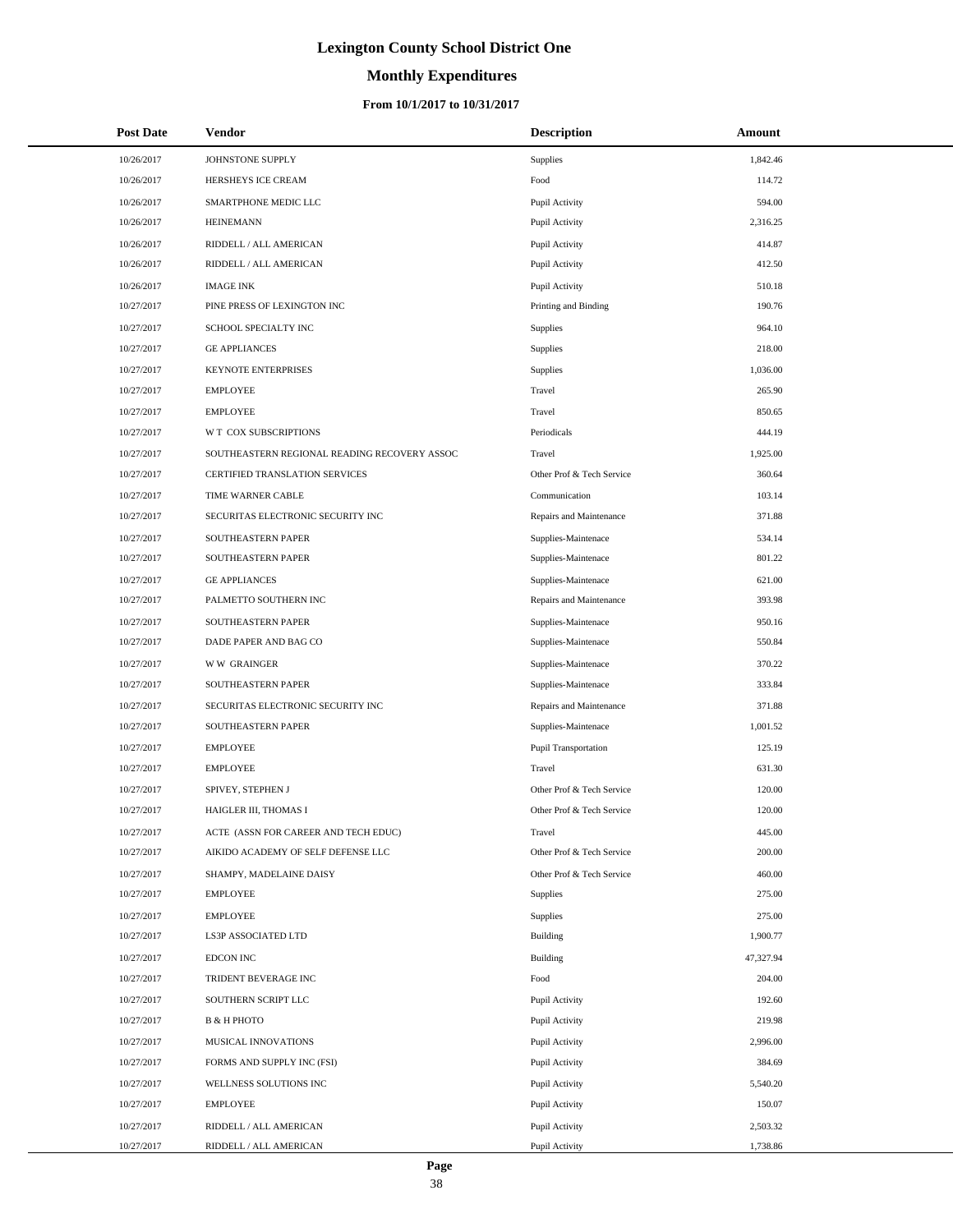# **Monthly Expenditures**

| <b>Post Date</b> | <b>Vendor</b>                                | <b>Description</b>        | Amount    |
|------------------|----------------------------------------------|---------------------------|-----------|
| 10/26/2017       | JOHNSTONE SUPPLY                             | Supplies                  | 1,842.46  |
| 10/26/2017       | HERSHEYS ICE CREAM                           | Food                      | 114.72    |
| 10/26/2017       | SMARTPHONE MEDIC LLC                         | Pupil Activity            | 594.00    |
| 10/26/2017       | <b>HEINEMANN</b>                             | Pupil Activity            | 2,316.25  |
| 10/26/2017       | RIDDELL / ALL AMERICAN                       | Pupil Activity            | 414.87    |
| 10/26/2017       | RIDDELL / ALL AMERICAN                       | Pupil Activity            | 412.50    |
| 10/26/2017       | <b>IMAGE INK</b>                             | Pupil Activity            | 510.18    |
| 10/27/2017       | PINE PRESS OF LEXINGTON INC                  | Printing and Binding      | 190.76    |
| 10/27/2017       | SCHOOL SPECIALTY INC                         | Supplies                  | 964.10    |
| 10/27/2017       | <b>GE APPLIANCES</b>                         | Supplies                  | 218.00    |
| 10/27/2017       | KEYNOTE ENTERPRISES                          | Supplies                  | 1,036.00  |
| 10/27/2017       | <b>EMPLOYEE</b>                              | Travel                    | 265.90    |
| 10/27/2017       | <b>EMPLOYEE</b>                              | Travel                    | 850.65    |
| 10/27/2017       | W T COX SUBSCRIPTIONS                        | Periodicals               | 444.19    |
| 10/27/2017       | SOUTHEASTERN REGIONAL READING RECOVERY ASSOC | Travel                    | 1,925.00  |
| 10/27/2017       | CERTIFIED TRANSLATION SERVICES               | Other Prof & Tech Service | 360.64    |
| 10/27/2017       | TIME WARNER CABLE                            | Communication             | 103.14    |
| 10/27/2017       | SECURITAS ELECTRONIC SECURITY INC            | Repairs and Maintenance   | 371.88    |
| 10/27/2017       | SOUTHEASTERN PAPER                           | Supplies-Maintenace       | 534.14    |
| 10/27/2017       | SOUTHEASTERN PAPER                           | Supplies-Maintenace       | 801.22    |
| 10/27/2017       | <b>GE APPLIANCES</b>                         | Supplies-Maintenace       | 621.00    |
| 10/27/2017       | PALMETTO SOUTHERN INC                        | Repairs and Maintenance   | 393.98    |
| 10/27/2017       | SOUTHEASTERN PAPER                           | Supplies-Maintenace       | 950.16    |
| 10/27/2017       | DADE PAPER AND BAG CO                        | Supplies-Maintenace       | 550.84    |
| 10/27/2017       | <b>WW GRAINGER</b>                           | Supplies-Maintenace       | 370.22    |
| 10/27/2017       | SOUTHEASTERN PAPER                           | Supplies-Maintenace       | 333.84    |
| 10/27/2017       | SECURITAS ELECTRONIC SECURITY INC            | Repairs and Maintenance   | 371.88    |
| 10/27/2017       | SOUTHEASTERN PAPER                           | Supplies-Maintenace       | 1,001.52  |
| 10/27/2017       | <b>EMPLOYEE</b>                              | Pupil Transportation      | 125.19    |
| 10/27/2017       | <b>EMPLOYEE</b>                              | Travel                    | 631.30    |
| 10/27/2017       | SPIVEY, STEPHEN J                            | Other Prof & Tech Service | 120.00    |
| 10/27/2017       | HAIGLER III, THOMAS I                        | Other Prof & Tech Service | 120.00    |
| 10/27/2017       | ACTE (ASSN FOR CAREER AND TECH EDUC)         | Travel                    | 445.00    |
| 10/27/2017       | AIKIDO ACADEMY OF SELF DEFENSE LLC           | Other Prof & Tech Service | 200.00    |
| 10/27/2017       | SHAMPY, MADELAINE DAISY                      | Other Prof & Tech Service | 460.00    |
| 10/27/2017       | <b>EMPLOYEE</b>                              | Supplies                  | 275.00    |
| 10/27/2017       | <b>EMPLOYEE</b>                              | Supplies                  | 275.00    |
| 10/27/2017       | LS3P ASSOCIATED LTD                          | Building                  | 1,900.77  |
| 10/27/2017       | <b>EDCON INC</b>                             | Building                  | 47,327.94 |
| 10/27/2017       | TRIDENT BEVERAGE INC                         | Food                      | 204.00    |
| 10/27/2017       | SOUTHERN SCRIPT LLC                          | Pupil Activity            | 192.60    |
| 10/27/2017       | <b>B &amp; H PHOTO</b>                       | Pupil Activity            | 219.98    |
| 10/27/2017       | MUSICAL INNOVATIONS                          | Pupil Activity            | 2,996.00  |
| 10/27/2017       | FORMS AND SUPPLY INC (FSI)                   | Pupil Activity            | 384.69    |
| 10/27/2017       | WELLNESS SOLUTIONS INC                       | Pupil Activity            | 5,540.20  |
| 10/27/2017       | <b>EMPLOYEE</b>                              | Pupil Activity            | 150.07    |
| 10/27/2017       | RIDDELL / ALL AMERICAN                       | Pupil Activity            | 2,503.32  |
| 10/27/2017       | RIDDELL / ALL AMERICAN                       | Pupil Activity            | 1,738.86  |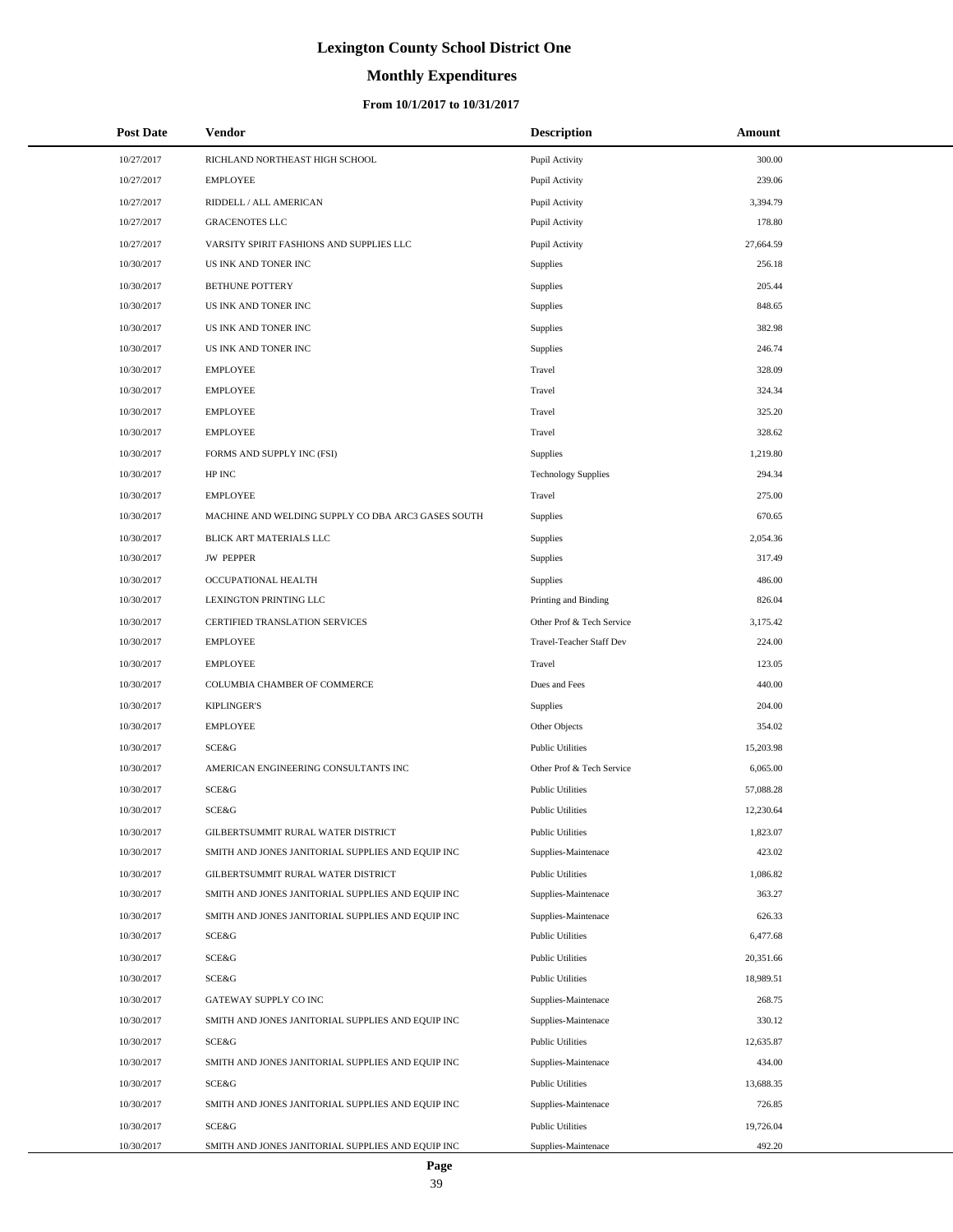# **Monthly Expenditures**

### **From 10/1/2017 to 10/31/2017**

| Post Date  | <b>Vendor</b>                                      | <b>Description</b>         | Amount    |
|------------|----------------------------------------------------|----------------------------|-----------|
| 10/27/2017 | RICHLAND NORTHEAST HIGH SCHOOL                     | Pupil Activity             | 300.00    |
| 10/27/2017 | <b>EMPLOYEE</b>                                    | Pupil Activity             | 239.06    |
| 10/27/2017 | RIDDELL / ALL AMERICAN                             | Pupil Activity             | 3,394.79  |
| 10/27/2017 | <b>GRACENOTES LLC</b>                              | Pupil Activity             | 178.80    |
| 10/27/2017 | VARSITY SPIRIT FASHIONS AND SUPPLIES LLC           | Pupil Activity             | 27,664.59 |
| 10/30/2017 | US INK AND TONER INC                               | Supplies                   | 256.18    |
| 10/30/2017 | <b>BETHUNE POTTERY</b>                             | Supplies                   | 205.44    |
| 10/30/2017 | US INK AND TONER INC                               | Supplies                   | 848.65    |
| 10/30/2017 | US INK AND TONER INC                               | Supplies                   | 382.98    |
| 10/30/2017 | US INK AND TONER INC                               | Supplies                   | 246.74    |
| 10/30/2017 | <b>EMPLOYEE</b>                                    | Travel                     | 328.09    |
| 10/30/2017 | <b>EMPLOYEE</b>                                    | Travel                     | 324.34    |
| 10/30/2017 | <b>EMPLOYEE</b>                                    | Travel                     | 325.20    |
| 10/30/2017 | <b>EMPLOYEE</b>                                    | Travel                     | 328.62    |
| 10/30/2017 | FORMS AND SUPPLY INC (FSI)                         | Supplies                   | 1,219.80  |
| 10/30/2017 | HP INC                                             | <b>Technology Supplies</b> | 294.34    |
| 10/30/2017 | <b>EMPLOYEE</b>                                    | Travel                     | 275.00    |
| 10/30/2017 | MACHINE AND WELDING SUPPLY CO DBA ARC3 GASES SOUTH | Supplies                   | 670.65    |
| 10/30/2017 | BLICK ART MATERIALS LLC                            | Supplies                   | 2,054.36  |
| 10/30/2017 | <b>JW PEPPER</b>                                   | Supplies                   | 317.49    |
| 10/30/2017 | OCCUPATIONAL HEALTH                                | Supplies                   | 486.00    |
| 10/30/2017 | LEXINGTON PRINTING LLC                             | Printing and Binding       | 826.04    |
| 10/30/2017 | CERTIFIED TRANSLATION SERVICES                     | Other Prof & Tech Service  | 3,175.42  |
| 10/30/2017 | <b>EMPLOYEE</b>                                    | Travel-Teacher Staff Dev   | 224.00    |
| 10/30/2017 | <b>EMPLOYEE</b>                                    | Travel                     | 123.05    |
| 10/30/2017 | COLUMBIA CHAMBER OF COMMERCE                       | Dues and Fees              | 440.00    |
| 10/30/2017 | <b>KIPLINGER'S</b>                                 | Supplies                   | 204.00    |
| 10/30/2017 | <b>EMPLOYEE</b>                                    | Other Objects              | 354.02    |
| 10/30/2017 | <b>SCE&amp;G</b>                                   | <b>Public Utilities</b>    | 15,203.98 |
| 10/30/2017 | AMERICAN ENGINEERING CONSULTANTS INC               | Other Prof & Tech Service  | 6,065.00  |
| 10/30/2017 | SCE&G                                              | <b>Public Utilities</b>    | 57,088.28 |
| 10/30/2017 | SCE&G                                              | <b>Public Utilities</b>    | 12,230.64 |
| 10/30/2017 | GILBERTSUMMIT RURAL WATER DISTRICT                 | <b>Public Utilities</b>    | 1,823.07  |
| 10/30/2017 | SMITH AND JONES JANITORIAL SUPPLIES AND EQUIP INC  | Supplies-Maintenace        | 423.02    |
| 10/30/2017 | GILBERTSUMMIT RURAL WATER DISTRICT                 | <b>Public Utilities</b>    | 1,086.82  |
| 10/30/2017 | SMITH AND JONES JANITORIAL SUPPLIES AND EQUIP INC  | Supplies-Maintenace        | 363.27    |
| 10/30/2017 | SMITH AND JONES JANITORIAL SUPPLIES AND EQUIP INC  | Supplies-Maintenace        | 626.33    |
| 10/30/2017 | SCE&G                                              | <b>Public Utilities</b>    | 6,477.68  |
| 10/30/2017 | SCE&G                                              | <b>Public Utilities</b>    | 20,351.66 |
| 10/30/2017 | <b>SCE&amp;G</b>                                   | <b>Public Utilities</b>    | 18,989.51 |
| 10/30/2017 | GATEWAY SUPPLY CO INC                              | Supplies-Maintenace        | 268.75    |
| 10/30/2017 | SMITH AND JONES JANITORIAL SUPPLIES AND EQUIP INC  | Supplies-Maintenace        | 330.12    |
| 10/30/2017 | SCE&G                                              | <b>Public Utilities</b>    | 12,635.87 |
| 10/30/2017 | SMITH AND JONES JANITORIAL SUPPLIES AND EQUIP INC  | Supplies-Maintenace        | 434.00    |
| 10/30/2017 | SCE&G                                              | <b>Public Utilities</b>    | 13,688.35 |
| 10/30/2017 | SMITH AND JONES JANITORIAL SUPPLIES AND EQUIP INC  | Supplies-Maintenace        | 726.85    |
| 10/30/2017 | SCE&G                                              | <b>Public Utilities</b>    | 19,726.04 |
| 10/30/2017 | SMITH AND JONES JANITORIAL SUPPLIES AND EQUIP INC  | Supplies-Maintenace        | 492.20    |

 $\overline{a}$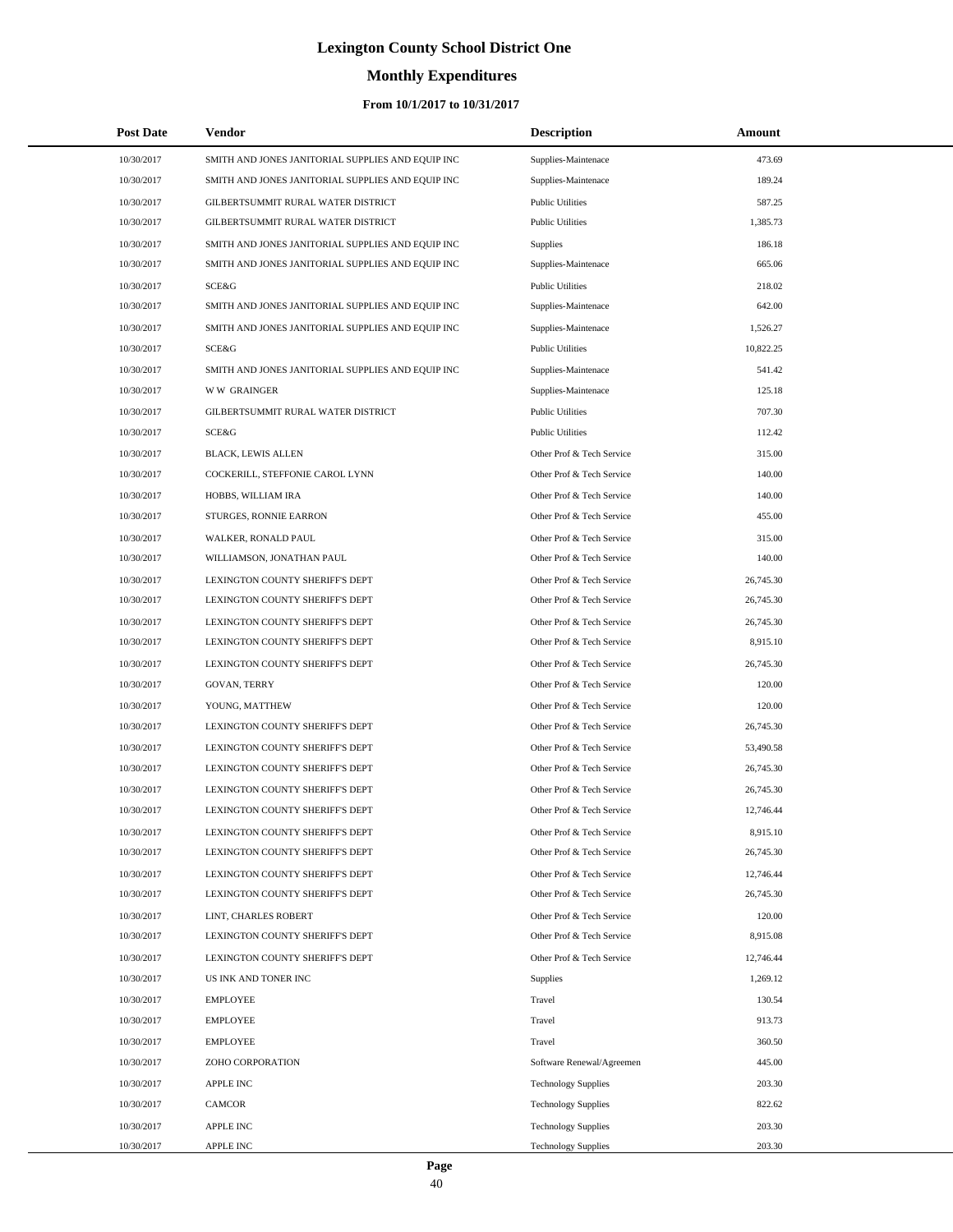# **Monthly Expenditures**

### **From 10/1/2017 to 10/31/2017**

| <b>Post Date</b> | <b>Vendor</b>                                     | <b>Description</b>         | Amount    |  |
|------------------|---------------------------------------------------|----------------------------|-----------|--|
| 10/30/2017       | SMITH AND JONES JANITORIAL SUPPLIES AND EQUIP INC | Supplies-Maintenace        | 473.69    |  |
| 10/30/2017       | SMITH AND JONES JANITORIAL SUPPLIES AND EQUIP INC | Supplies-Maintenace        | 189.24    |  |
| 10/30/2017       | GILBERTSUMMIT RURAL WATER DISTRICT                | <b>Public Utilities</b>    | 587.25    |  |
| 10/30/2017       | GILBERTSUMMIT RURAL WATER DISTRICT                | <b>Public Utilities</b>    | 1,385.73  |  |
| 10/30/2017       | SMITH AND JONES JANITORIAL SUPPLIES AND EQUIP INC | <b>Supplies</b>            | 186.18    |  |
| 10/30/2017       | SMITH AND JONES JANITORIAL SUPPLIES AND EQUIP INC | Supplies-Maintenace        | 665.06    |  |
| 10/30/2017       | SCE&G                                             | <b>Public Utilities</b>    | 218.02    |  |
| 10/30/2017       | SMITH AND JONES JANITORIAL SUPPLIES AND EQUIP INC | Supplies-Maintenace        | 642.00    |  |
| 10/30/2017       | SMITH AND JONES JANITORIAL SUPPLIES AND EQUIP INC | Supplies-Maintenace        | 1,526.27  |  |
| 10/30/2017       | SCE&G                                             | <b>Public Utilities</b>    | 10,822.25 |  |
| 10/30/2017       | SMITH AND JONES JANITORIAL SUPPLIES AND EQUIP INC | Supplies-Maintenace        | 541.42    |  |
| 10/30/2017       | <b>WW GRAINGER</b>                                | Supplies-Maintenace        | 125.18    |  |
| 10/30/2017       | GILBERTSUMMIT RURAL WATER DISTRICT                | <b>Public Utilities</b>    | 707.30    |  |
| 10/30/2017       | <b>SCE&amp;G</b>                                  | <b>Public Utilities</b>    | 112.42    |  |
| 10/30/2017       | <b>BLACK, LEWIS ALLEN</b>                         | Other Prof & Tech Service  | 315.00    |  |
| 10/30/2017       | COCKERILL, STEFFONIE CAROL LYNN                   | Other Prof & Tech Service  | 140.00    |  |
| 10/30/2017       | HOBBS, WILLIAM IRA                                | Other Prof & Tech Service  | 140.00    |  |
| 10/30/2017       | STURGES, RONNIE EARRON                            | Other Prof & Tech Service  | 455.00    |  |
| 10/30/2017       | WALKER, RONALD PAUL                               | Other Prof & Tech Service  | 315.00    |  |
| 10/30/2017       | WILLIAMSON, JONATHAN PAUL                         | Other Prof & Tech Service  | 140.00    |  |
| 10/30/2017       | LEXINGTON COUNTY SHERIFF'S DEPT                   | Other Prof & Tech Service  | 26,745.30 |  |
| 10/30/2017       | LEXINGTON COUNTY SHERIFF'S DEPT                   | Other Prof & Tech Service  | 26,745.30 |  |
| 10/30/2017       | LEXINGTON COUNTY SHERIFF'S DEPT                   | Other Prof & Tech Service  | 26,745.30 |  |
| 10/30/2017       | LEXINGTON COUNTY SHERIFF'S DEPT                   | Other Prof & Tech Service  | 8,915.10  |  |
| 10/30/2017       | LEXINGTON COUNTY SHERIFF'S DEPT                   | Other Prof & Tech Service  | 26,745.30 |  |
| 10/30/2017       | GOVAN, TERRY                                      | Other Prof & Tech Service  | 120.00    |  |
| 10/30/2017       | YOUNG, MATTHEW                                    | Other Prof & Tech Service  | 120.00    |  |
| 10/30/2017       | LEXINGTON COUNTY SHERIFF'S DEPT                   | Other Prof & Tech Service  | 26,745.30 |  |
| 10/30/2017       | LEXINGTON COUNTY SHERIFF'S DEPT                   | Other Prof & Tech Service  | 53,490.58 |  |
| 10/30/2017       | LEXINGTON COUNTY SHERIFF'S DEPT                   | Other Prof & Tech Service  | 26,745.30 |  |
| 10/30/2017       | LEXINGTON COUNTY SHERIFF'S DEPT                   | Other Prof & Tech Service  | 26,745.30 |  |
| 10/30/2017       | LEXINGTON COUNTY SHERIFF'S DEPT                   | Other Prof & Tech Service  | 12,746.44 |  |
| 10/30/2017       | LEXINGTON COUNTY SHERIFF'S DEPT                   | Other Prof & Tech Service  | 8,915.10  |  |
| 10/30/2017       | LEXINGTON COUNTY SHERIFF'S DEPT                   | Other Prof & Tech Service  | 26,745.30 |  |
| 10/30/2017       | LEXINGTON COUNTY SHERIFF'S DEPT                   | Other Prof & Tech Service  | 12,746.44 |  |
| 10/30/2017       | LEXINGTON COUNTY SHERIFF'S DEPT                   | Other Prof & Tech Service  | 26,745.30 |  |
| 10/30/2017       | LINT, CHARLES ROBERT                              | Other Prof & Tech Service  | 120.00    |  |
| 10/30/2017       | LEXINGTON COUNTY SHERIFF'S DEPT                   | Other Prof & Tech Service  | 8,915.08  |  |
| 10/30/2017       | LEXINGTON COUNTY SHERIFF'S DEPT                   | Other Prof & Tech Service  | 12,746.44 |  |
| 10/30/2017       | US INK AND TONER INC                              | Supplies                   | 1,269.12  |  |
| 10/30/2017       | <b>EMPLOYEE</b>                                   | Travel                     | 130.54    |  |
| 10/30/2017       | <b>EMPLOYEE</b>                                   | Travel                     | 913.73    |  |
| 10/30/2017       | <b>EMPLOYEE</b>                                   | Travel                     | 360.50    |  |
| 10/30/2017       | ZOHO CORPORATION                                  | Software Renewal/Agreemen  | 445.00    |  |
| 10/30/2017       | <b>APPLE INC</b>                                  | <b>Technology Supplies</b> | 203.30    |  |
| 10/30/2017       | CAMCOR                                            | <b>Technology Supplies</b> | 822.62    |  |
| 10/30/2017       | <b>APPLE INC</b>                                  | <b>Technology Supplies</b> | 203.30    |  |
| 10/30/2017       | APPLE INC                                         | <b>Technology Supplies</b> | 203.30    |  |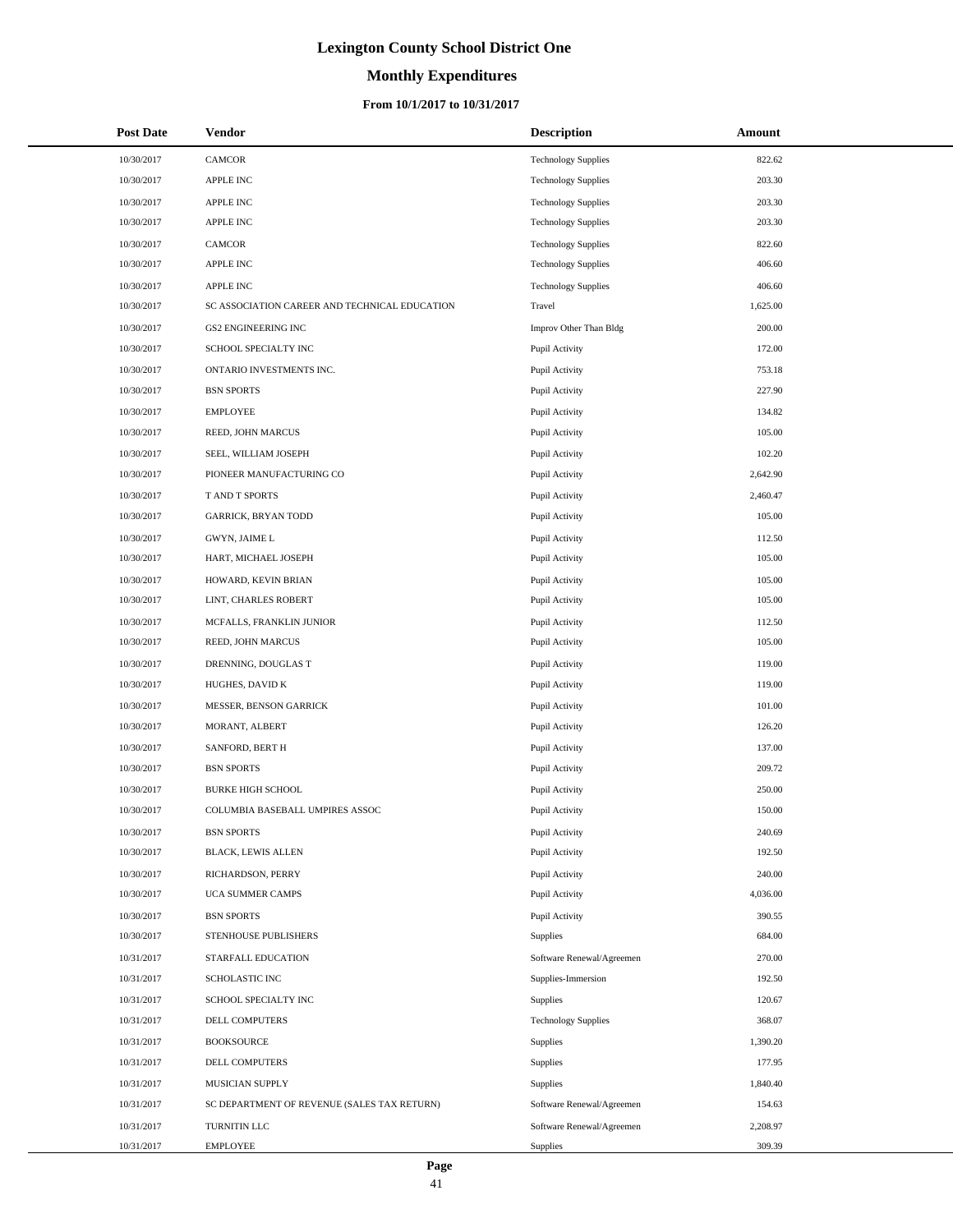# **Monthly Expenditures**

| <b>Post Date</b> | Vendor                                        | <b>Description</b>         | Amount   |
|------------------|-----------------------------------------------|----------------------------|----------|
| 10/30/2017       | CAMCOR                                        | <b>Technology Supplies</b> | 822.62   |
| 10/30/2017       | <b>APPLE INC</b>                              | <b>Technology Supplies</b> | 203.30   |
| 10/30/2017       | APPLE INC                                     | <b>Technology Supplies</b> | 203.30   |
| 10/30/2017       | <b>APPLE INC</b>                              | <b>Technology Supplies</b> | 203.30   |
| 10/30/2017       | CAMCOR                                        | <b>Technology Supplies</b> | 822.60   |
| 10/30/2017       | <b>APPLE INC</b>                              | <b>Technology Supplies</b> | 406.60   |
| 10/30/2017       | APPLE INC                                     | <b>Technology Supplies</b> | 406.60   |
| 10/30/2017       | SC ASSOCIATION CAREER AND TECHNICAL EDUCATION | Travel                     | 1,625.00 |
| 10/30/2017       | <b>GS2 ENGINEERING INC</b>                    | Improv Other Than Bldg     | 200.00   |
| 10/30/2017       | SCHOOL SPECIALTY INC                          | Pupil Activity             | 172.00   |
| 10/30/2017       | ONTARIO INVESTMENTS INC.                      | Pupil Activity             | 753.18   |
| 10/30/2017       | <b>BSN SPORTS</b>                             | Pupil Activity             | 227.90   |
| 10/30/2017       | <b>EMPLOYEE</b>                               | Pupil Activity             | 134.82   |
| 10/30/2017       | REED, JOHN MARCUS                             | Pupil Activity             | 105.00   |
| 10/30/2017       | SEEL, WILLIAM JOSEPH                          | Pupil Activity             | 102.20   |
| 10/30/2017       | PIONEER MANUFACTURING CO                      | Pupil Activity             | 2,642.90 |
| 10/30/2017       | T AND T SPORTS                                | Pupil Activity             | 2,460.47 |
| 10/30/2017       | <b>GARRICK, BRYAN TODD</b>                    | Pupil Activity             | 105.00   |
| 10/30/2017       | GWYN, JAIME L                                 | Pupil Activity             | 112.50   |
| 10/30/2017       | HART, MICHAEL JOSEPH                          | Pupil Activity             | 105.00   |
| 10/30/2017       | HOWARD, KEVIN BRIAN                           | Pupil Activity             | 105.00   |
| 10/30/2017       | LINT, CHARLES ROBERT                          | Pupil Activity             | 105.00   |
| 10/30/2017       | MCFALLS, FRANKLIN JUNIOR                      | Pupil Activity             | 112.50   |
| 10/30/2017       | REED, JOHN MARCUS                             | Pupil Activity             | 105.00   |
| 10/30/2017       | DRENNING, DOUGLAS T                           | Pupil Activity             | 119.00   |
| 10/30/2017       | HUGHES, DAVID K                               | Pupil Activity             | 119.00   |
| 10/30/2017       | MESSER, BENSON GARRICK                        | Pupil Activity             | 101.00   |
| 10/30/2017       | MORANT, ALBERT                                | Pupil Activity             | 126.20   |
| 10/30/2017       | SANFORD, BERT H                               | Pupil Activity             | 137.00   |
| 10/30/2017       | <b>BSN SPORTS</b>                             | Pupil Activity             | 209.72   |
| 10/30/2017       | <b>BURKE HIGH SCHOOL</b>                      | Pupil Activity             | 250.00   |
| 10/30/2017       | COLUMBIA BASEBALL UMPIRES ASSOC               | Pupil Activity             | 150.00   |
| 10/30/2017       | <b>BSN SPORTS</b>                             | Pupil Activity             | 240.69   |
| 10/30/2017       | BLACK, LEWIS ALLEN                            | Pupil Activity             | 192.50   |
| 10/30/2017       | RICHARDSON, PERRY                             | Pupil Activity             | 240.00   |
| 10/30/2017       | UCA SUMMER CAMPS                              | Pupil Activity             | 4,036.00 |
| 10/30/2017       | <b>BSN SPORTS</b>                             | Pupil Activity             | 390.55   |
| 10/30/2017       | STENHOUSE PUBLISHERS                          | Supplies                   | 684.00   |
| 10/31/2017       | STARFALL EDUCATION                            | Software Renewal/Agreemen  | 270.00   |
| 10/31/2017       | <b>SCHOLASTIC INC</b>                         | Supplies-Immersion         | 192.50   |
| 10/31/2017       | SCHOOL SPECIALTY INC                          | Supplies                   | 120.67   |
| 10/31/2017       | DELL COMPUTERS                                | <b>Technology Supplies</b> | 368.07   |
| 10/31/2017       | <b>BOOKSOURCE</b>                             | Supplies                   | 1,390.20 |
| 10/31/2017       | DELL COMPUTERS                                | Supplies                   | 177.95   |
| 10/31/2017       | MUSICIAN SUPPLY                               | Supplies                   | 1,840.40 |
| 10/31/2017       | SC DEPARTMENT OF REVENUE (SALES TAX RETURN)   | Software Renewal/Agreemen  | 154.63   |
| 10/31/2017       | TURNITIN LLC                                  | Software Renewal/Agreemen  | 2,208.97 |
| 10/31/2017       | <b>EMPLOYEE</b>                               | Supplies                   | 309.39   |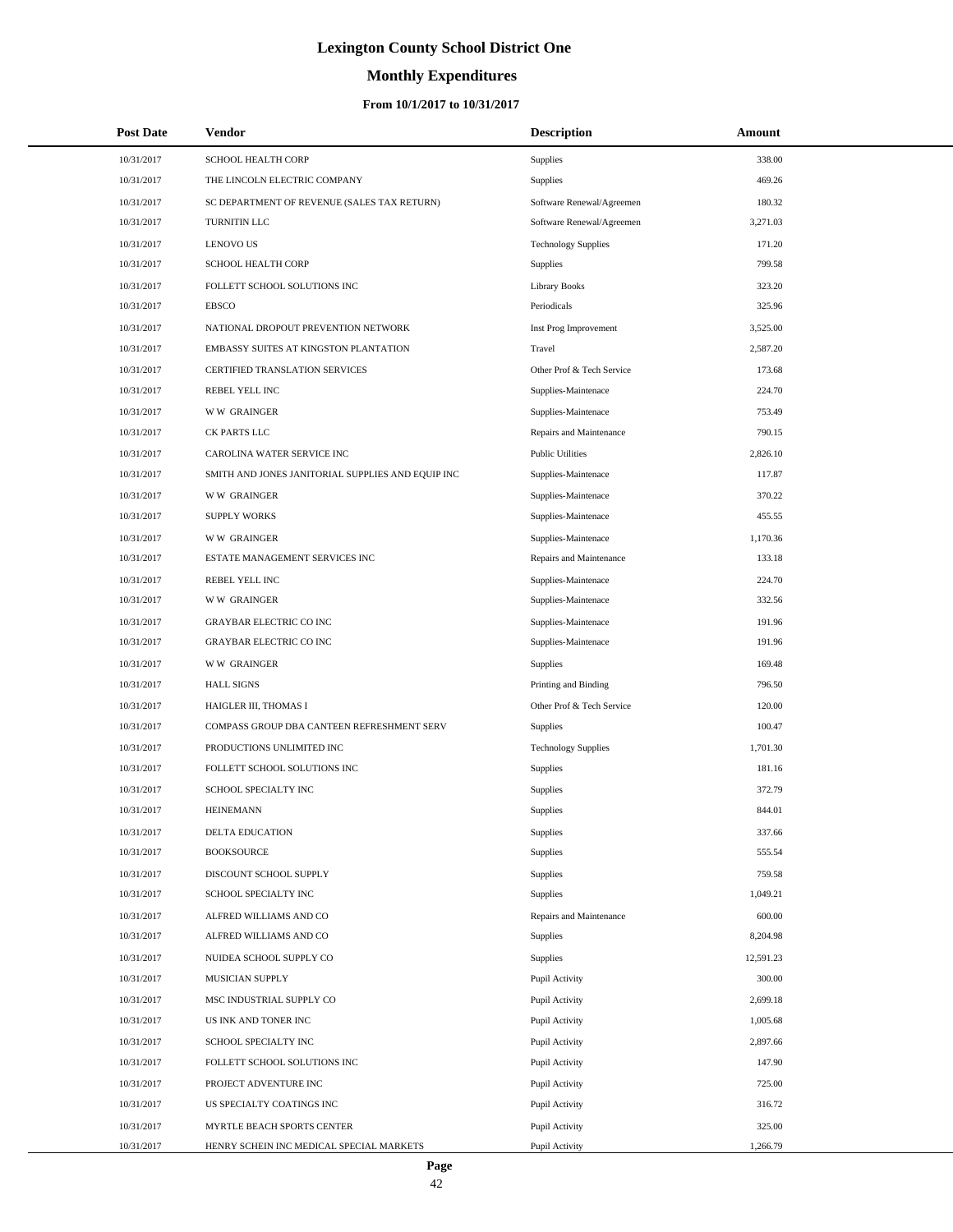# **Monthly Expenditures**

### **From 10/1/2017 to 10/31/2017**

| <b>Post Date</b> | Vendor                                            | <b>Description</b>         | Amount    |  |
|------------------|---------------------------------------------------|----------------------------|-----------|--|
| 10/31/2017       | SCHOOL HEALTH CORP                                | Supplies                   | 338.00    |  |
| 10/31/2017       | THE LINCOLN ELECTRIC COMPANY                      | Supplies                   | 469.26    |  |
| 10/31/2017       | SC DEPARTMENT OF REVENUE (SALES TAX RETURN)       | Software Renewal/Agreemen  | 180.32    |  |
| 10/31/2017       | TURNITIN LLC                                      | Software Renewal/Agreemen  | 3,271.03  |  |
| 10/31/2017       | <b>LENOVO US</b>                                  | <b>Technology Supplies</b> | 171.20    |  |
| 10/31/2017       | SCHOOL HEALTH CORP                                | Supplies                   | 799.58    |  |
| 10/31/2017       | FOLLETT SCHOOL SOLUTIONS INC                      | <b>Library Books</b>       | 323.20    |  |
| 10/31/2017       | <b>EBSCO</b>                                      | Periodicals                | 325.96    |  |
| 10/31/2017       | NATIONAL DROPOUT PREVENTION NETWORK               | Inst Prog Improvement      | 3,525.00  |  |
| 10/31/2017       | EMBASSY SUITES AT KINGSTON PLANTATION             | Travel                     | 2,587.20  |  |
| 10/31/2017       | CERTIFIED TRANSLATION SERVICES                    | Other Prof & Tech Service  | 173.68    |  |
| 10/31/2017       | REBEL YELL INC                                    | Supplies-Maintenace        | 224.70    |  |
| 10/31/2017       | <b>WW GRAINGER</b>                                | Supplies-Maintenace        | 753.49    |  |
| 10/31/2017       | CK PARTS LLC                                      | Repairs and Maintenance    | 790.15    |  |
| 10/31/2017       | CAROLINA WATER SERVICE INC                        | <b>Public Utilities</b>    | 2,826.10  |  |
| 10/31/2017       | SMITH AND JONES JANITORIAL SUPPLIES AND EQUIP INC | Supplies-Maintenace        | 117.87    |  |
| 10/31/2017       | <b>WW GRAINGER</b>                                | Supplies-Maintenace        | 370.22    |  |
| 10/31/2017       | <b>SUPPLY WORKS</b>                               | Supplies-Maintenace        | 455.55    |  |
| 10/31/2017       | <b>WW GRAINGER</b>                                | Supplies-Maintenace        | 1,170.36  |  |
| 10/31/2017       | ESTATE MANAGEMENT SERVICES INC                    | Repairs and Maintenance    | 133.18    |  |
| 10/31/2017       | REBEL YELL INC                                    | Supplies-Maintenace        | 224.70    |  |
| 10/31/2017       | <b>WW GRAINGER</b>                                | Supplies-Maintenace        | 332.56    |  |
| 10/31/2017       | <b>GRAYBAR ELECTRIC CO INC</b>                    | Supplies-Maintenace        | 191.96    |  |
| 10/31/2017       | <b>GRAYBAR ELECTRIC CO INC</b>                    | Supplies-Maintenace        | 191.96    |  |
| 10/31/2017       | <b>WW GRAINGER</b>                                | <b>Supplies</b>            | 169.48    |  |
| 10/31/2017       | <b>HALL SIGNS</b>                                 | Printing and Binding       | 796.50    |  |
| 10/31/2017       | HAIGLER III, THOMAS I                             | Other Prof & Tech Service  | 120.00    |  |
| 10/31/2017       | COMPASS GROUP DBA CANTEEN REFRESHMENT SERV        | <b>Supplies</b>            | 100.47    |  |
| 10/31/2017       | PRODUCTIONS UNLIMITED INC                         | <b>Technology Supplies</b> | 1,701.30  |  |
| 10/31/2017       | FOLLETT SCHOOL SOLUTIONS INC                      | Supplies                   | 181.16    |  |
| 10/31/2017       | SCHOOL SPECIALTY INC                              | Supplies                   | 372.79    |  |
| 10/31/2017       | <b>HEINEMANN</b>                                  | Supplies                   | 844.01    |  |
| 10/31/2017       | DELTA EDUCATION                                   | Supplies                   | 337.66    |  |
| 10/31/2017       | <b>BOOKSOURCE</b>                                 | Supplies                   | 555.54    |  |
| 10/31/2017       | DISCOUNT SCHOOL SUPPLY                            | Supplies                   | 759.58    |  |
| 10/31/2017       | SCHOOL SPECIALTY INC                              | <b>Supplies</b>            | 1,049.21  |  |
| 10/31/2017       | ALFRED WILLIAMS AND CO                            | Repairs and Maintenance    | 600.00    |  |
| 10/31/2017       | ALFRED WILLIAMS AND CO                            | Supplies                   | 8,204.98  |  |
| 10/31/2017       | NUIDEA SCHOOL SUPPLY CO                           | Supplies                   | 12,591.23 |  |
| 10/31/2017       | MUSICIAN SUPPLY                                   | Pupil Activity             | 300.00    |  |
| 10/31/2017       | MSC INDUSTRIAL SUPPLY CO                          | Pupil Activity             | 2,699.18  |  |
| 10/31/2017       | US INK AND TONER INC                              | Pupil Activity             | 1,005.68  |  |
| 10/31/2017       | SCHOOL SPECIALTY INC                              | Pupil Activity             | 2,897.66  |  |
| 10/31/2017       | FOLLETT SCHOOL SOLUTIONS INC                      | Pupil Activity             | 147.90    |  |
| 10/31/2017       | PROJECT ADVENTURE INC                             | Pupil Activity             | 725.00    |  |
| 10/31/2017       | US SPECIALTY COATINGS INC                         | Pupil Activity             | 316.72    |  |
| 10/31/2017       | MYRTLE BEACH SPORTS CENTER                        | Pupil Activity             | 325.00    |  |
| 10/31/2017       | HENRY SCHEIN INC MEDICAL SPECIAL MARKETS          | Pupil Activity             | 1,266.79  |  |